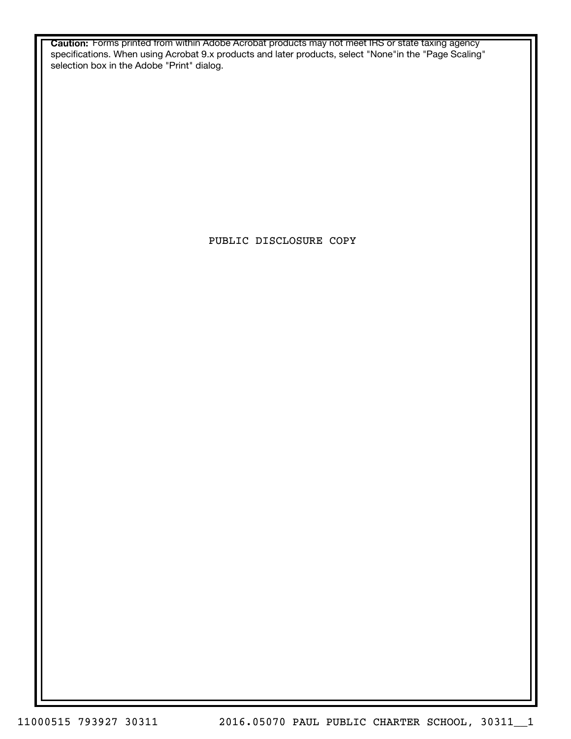**Caution:** Forms printed from within Adobe Acrobat products may not meet IRS or state taxing agency specifications. When using Acrobat 9.x products and later products, select "None"in the "Page Scaling" selection box in the Adobe "Print" dialog.

PUBLIC DISCLOSURE COPY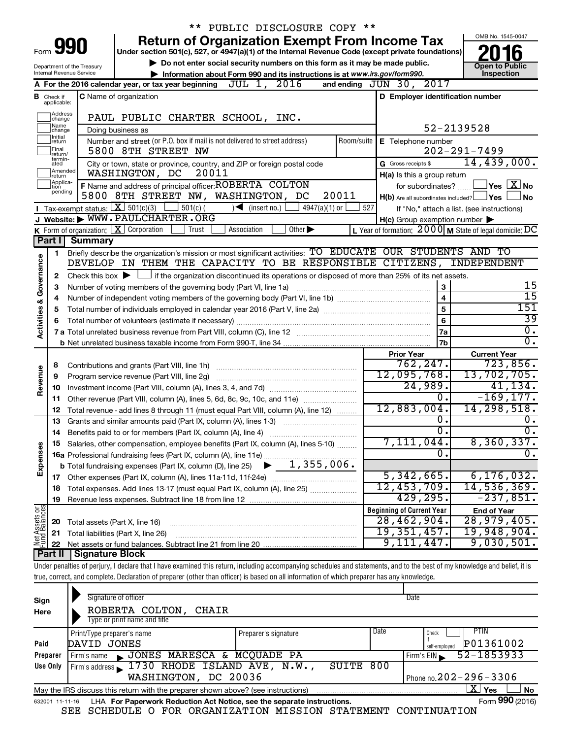|                                                                                                           |                               |                                | ** PUBLIC DISCLOSURE COPY **                                                                                                                                                       |                                                         |                                                           |  |  |
|-----------------------------------------------------------------------------------------------------------|-------------------------------|--------------------------------|------------------------------------------------------------------------------------------------------------------------------------------------------------------------------------|---------------------------------------------------------|-----------------------------------------------------------|--|--|
|                                                                                                           |                               | Form 990                       | <b>Return of Organization Exempt From Income Tax</b><br>Under section 501(c), 527, or 4947(a)(1) of the Internal Revenue Code (except private foundations)                         |                                                         | OMB No. 1545-0047                                         |  |  |
|                                                                                                           |                               |                                |                                                                                                                                                                                    |                                                         |                                                           |  |  |
| Do not enter social security numbers on this form as it may be made public.<br>Department of the Treasury |                               |                                |                                                                                                                                                                                    |                                                         |                                                           |  |  |
|                                                                                                           |                               | Internal Revenue Service       | Information about Form 990 and its instructions is at www.irs.gov/form990.<br>JUL 1, 2016                                                                                          |                                                         | Inspection                                                |  |  |
|                                                                                                           |                               |                                | A For the 2016 calendar year, or tax year beginning                                                                                                                                | and ending JUN 30, 2017                                 |                                                           |  |  |
|                                                                                                           | <b>B</b> Check if applicable: |                                | <b>C</b> Name of organization                                                                                                                                                      | D Employer identification number                        |                                                           |  |  |
|                                                                                                           | Address<br>change             |                                | PAUL PUBLIC CHARTER SCHOOL, INC.                                                                                                                                                   |                                                         |                                                           |  |  |
|                                                                                                           | Name<br>change                |                                | Doing business as                                                                                                                                                                  | 52-2139528                                              |                                                           |  |  |
|                                                                                                           | Initial<br>∣return            |                                | Number and street (or P.O. box if mail is not delivered to street address)                                                                                                         | Room/suite   E Telephone number                         |                                                           |  |  |
|                                                                                                           | Final<br>return/              |                                | 5800 8TH STREET NW                                                                                                                                                                 |                                                         | $202 - 291 - 7499$                                        |  |  |
|                                                                                                           | termin-<br>ated               |                                | City or town, state or province, country, and ZIP or foreign postal code                                                                                                           | G Gross receipts \$                                     | 14,439,000.                                               |  |  |
|                                                                                                           | Amended<br>Ireturn            |                                | 20011<br>WASHINGTON, DC                                                                                                                                                            | H(a) Is this a group return                             |                                                           |  |  |
|                                                                                                           | Applica-<br>ltion             |                                | F Name and address of principal officer: ROBERTA COLTON                                                                                                                            | for subordinates?                                       | $\Box$ Yes $\Box X$ No                                    |  |  |
|                                                                                                           | pending                       |                                | 5800 8TH STREET NW, WASHINGTON, DC<br>20011                                                                                                                                        | $H(b)$ Are all subordinates included? $\Box$ Yes $\Box$ | <b>No</b>                                                 |  |  |
|                                                                                                           |                               |                                | Tax-exempt status: $X \overline{S}$ 501(c)(3) 501(c)(<br>$\sqrt{\frac{1}{1}}$ (insert no.)<br>$4947(a)(1)$ or<br>527                                                               |                                                         | If "No," attach a list. (see instructions)                |  |  |
|                                                                                                           |                               |                                | J Website: WWW.PAULCHARTER.ORG                                                                                                                                                     | $H(c)$ Group exemption number $\blacktriangleright$     |                                                           |  |  |
|                                                                                                           |                               |                                | <b>K</b> Form of organization: $\boxed{\textbf{X}}$ Corporation<br>  Trust<br>Association<br>Other $\blacktriangleright$                                                           |                                                         | L Year of formation: $2000$ M State of legal domicile: DC |  |  |
|                                                                                                           | Part I                        | <b>Summary</b>                 |                                                                                                                                                                                    |                                                         |                                                           |  |  |
|                                                                                                           | 1                             |                                | Briefly describe the organization's mission or most significant activities: TO EDUCATE OUR STUDENTS AND TO<br>DEVELOP IN THEM THE CAPACITY TO BE RESPONSIBLE CITIZENS, INDEPENDENT |                                                         |                                                           |  |  |
|                                                                                                           |                               |                                |                                                                                                                                                                                    |                                                         |                                                           |  |  |
| Governance                                                                                                | 2                             |                                | Check this box $\blacktriangleright$ $\Box$ if the organization discontinued its operations or disposed of more than 25% of its net assets.                                        |                                                         | 15                                                        |  |  |
|                                                                                                           | З                             |                                | Number of voting members of the governing body (Part VI, line 1a)                                                                                                                  | 3<br>4                                                  | $\overline{15}$                                           |  |  |
|                                                                                                           | 4<br>5                        |                                |                                                                                                                                                                                    | 5                                                       | 151                                                       |  |  |
|                                                                                                           | 6                             |                                |                                                                                                                                                                                    | 6                                                       | $\overline{39}$                                           |  |  |
| <b>Activities &amp;</b>                                                                                   |                               |                                |                                                                                                                                                                                    | 7a                                                      | σ.                                                        |  |  |
|                                                                                                           |                               |                                |                                                                                                                                                                                    | 7 <sub>b</sub>                                          | $\overline{0}$ .                                          |  |  |
|                                                                                                           |                               |                                |                                                                                                                                                                                    | <b>Prior Year</b>                                       | <b>Current Year</b>                                       |  |  |
|                                                                                                           | 8                             |                                |                                                                                                                                                                                    | 762, 247.                                               | 723,856.                                                  |  |  |
| Revenue                                                                                                   | 9                             |                                | Program service revenue (Part VIII, line 2g)                                                                                                                                       | 12,095,768.                                             | 13,702,705.                                               |  |  |
|                                                                                                           | 10                            |                                |                                                                                                                                                                                    | 24,989.                                                 | 41, 134.                                                  |  |  |
|                                                                                                           | 11                            |                                | Other revenue (Part VIII, column (A), lines 5, 6d, 8c, 9c, 10c, and 11e)                                                                                                           | 0.                                                      | $-169, 177.$                                              |  |  |
|                                                                                                           | 12                            |                                | Total revenue - add lines 8 through 11 (must equal Part VIII, column (A), line 12)                                                                                                 | 12,883,004.                                             | 14, 298, 518.                                             |  |  |
|                                                                                                           | 13                            |                                | Grants and similar amounts paid (Part IX, column (A), lines 1-3)                                                                                                                   | 0.                                                      | $\overline{0}$ .                                          |  |  |
|                                                                                                           | 14                            |                                |                                                                                                                                                                                    | $\overline{0}$ .                                        | $\overline{0}$ .                                          |  |  |
|                                                                                                           |                               |                                | Salaries, other compensation, employee benefits (Part IX, column (A), lines 5-10)                                                                                                  | 7,111,044.<br>$\mathbf 0$ .                             | 8,360,337.<br>σ.                                          |  |  |
| Expenses                                                                                                  |                               |                                | <b>16a</b> Professional fundraising fees (Part IX, column (A), line 11e)<br>1,355,006.                                                                                             |                                                         |                                                           |  |  |
|                                                                                                           |                               |                                | <b>b</b> Total fundraising expenses (Part IX, column (D), line 25)                                                                                                                 | 5,342,665.                                              | 6, 176, 032.                                              |  |  |
|                                                                                                           | 18                            |                                | Total expenses. Add lines 13-17 (must equal Part IX, column (A), line 25)                                                                                                          | 12,453,709.                                             | 14,536,369.                                               |  |  |
|                                                                                                           | 19                            |                                |                                                                                                                                                                                    | 429,295.                                                | $-237,851.$                                               |  |  |
|                                                                                                           |                               |                                |                                                                                                                                                                                    | <b>Beginning of Current Year</b>                        | <b>End of Year</b>                                        |  |  |
|                                                                                                           | 20                            | Total assets (Part X, line 16) |                                                                                                                                                                                    | 28,462,904.                                             | 28,979,405.                                               |  |  |
|                                                                                                           | 21                            |                                | Total liabilities (Part X, line 26)                                                                                                                                                | 19, 351, 457.                                           | 19,948,904.                                               |  |  |
| Net Assets or                                                                                             | 22                            |                                |                                                                                                                                                                                    | 9,111,447.                                              | 9,030,501.                                                |  |  |
|                                                                                                           | <b>Part II</b>                | <b>Signature Block</b>         |                                                                                                                                                                                    |                                                         |                                                           |  |  |
|                                                                                                           |                               |                                | Under penalties of perjury, I declare that I have examined this return, including accompanying schedules and statements, and to the best of my knowledge and belief, it is         |                                                         |                                                           |  |  |
|                                                                                                           |                               |                                | true, correct, and complete. Declaration of preparer (other than officer) is based on all information of which preparer has any knowledge.                                         |                                                         |                                                           |  |  |

| Sign<br>Here | Signature of officer<br>ROBERTA COLTON,<br>CHAIR<br>Type or print name and title                             |                      |      | Date                         |  |  |  |  |
|--------------|--------------------------------------------------------------------------------------------------------------|----------------------|------|------------------------------|--|--|--|--|
|              | Print/Type preparer's name                                                                                   | Preparer's signature | Date | PTIN<br>Check                |  |  |  |  |
| Paid         | DAVID JONES                                                                                                  |                      |      | P01361002<br>self-emploved   |  |  |  |  |
| Preparer     | JONES MARESCA & MCQUADE PA<br>Firm's name                                                                    |                      |      | 52-1853933<br>Firm's $EIN$   |  |  |  |  |
| Use Only     | Firm's address 1730 RHODE ISLAND AVE, N.W.,                                                                  | SUITE                | 800  |                              |  |  |  |  |
|              | WASHINGTON, DC 20036                                                                                         |                      |      | Phone no. $202 - 296 - 3306$ |  |  |  |  |
|              | ΧI<br><b>No</b><br>Yes<br>May the IRS discuss this return with the preparer shown above? (see instructions)  |                      |      |                              |  |  |  |  |
|              | Form 990 (2016)<br>LHA For Paperwork Reduction Act Notice, see the separate instructions.<br>632001 11-11-16 |                      |      |                              |  |  |  |  |

SEE SCHEDULE O FOR ORGANIZATION MISSION STATEMENT CONTINUATION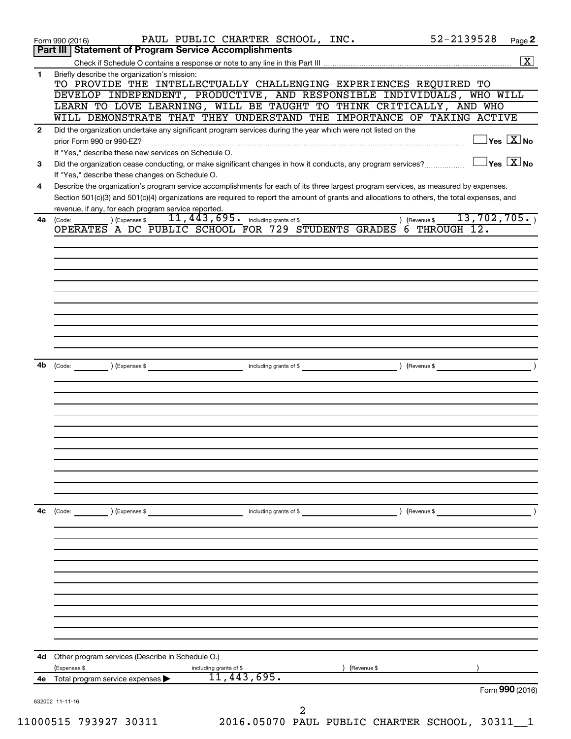|              | 52-2139528<br>PAUL PUBLIC CHARTER SCHOOL, INC.<br>Page 2<br>Form 990 (2016)                                                                                      |
|--------------|------------------------------------------------------------------------------------------------------------------------------------------------------------------|
|              | Part III   Statement of Program Service Accomplishments                                                                                                          |
|              |                                                                                                                                                                  |
| 1            | Briefly describe the organization's mission:<br>TO PROVIDE THE INTELLECTUALLY CHALLENGING EXPERIENCES REQUIRED TO                                                |
|              | DEVELOP INDEPENDENT, PRODUCTIVE, AND RESPONSIBLE INDIVIDUALS, WHO WILL                                                                                           |
|              | LEARN TO LOVE LEARNING, WILL BE TAUGHT TO THINK CRITICALLY, AND WHO                                                                                              |
|              | WILL DEMONSTRATE THAT THEY UNDERSTAND THE IMPORTANCE OF TAKING ACTIVE                                                                                            |
| $\mathbf{2}$ | Did the organization undertake any significant program services during the year which were not listed on the<br>$\overline{\ }$ Yes $\overline{\rm \bf X}$ No    |
|              | prior Form 990 or 990-EZ?<br>If "Yes," describe these new services on Schedule O.                                                                                |
| 3            | $\overline{\ }$ Yes $\overline{\phantom{a}X}$ No<br>Did the organization cease conducting, or make significant changes in how it conducts, any program services? |
|              | If "Yes," describe these changes on Schedule O.                                                                                                                  |
| 4            | Describe the organization's program service accomplishments for each of its three largest program services, as measured by expenses.                             |
|              | Section 501(c)(3) and 501(c)(4) organizations are required to report the amount of grants and allocations to others, the total expenses, and                     |
|              | revenue, if any, for each program service reported.<br>13,702,705.<br>11, 443, 695. including grants of \$                                                       |
| 4a           | ) (Expenses \$<br>(Revenue \$<br>(Code:<br>OPERATES A DC PUBLIC SCHOOL FOR 729 STUDENTS GRADES<br>6 THROUGH 12.                                                  |
|              |                                                                                                                                                                  |
|              |                                                                                                                                                                  |
|              |                                                                                                                                                                  |
|              |                                                                                                                                                                  |
|              |                                                                                                                                                                  |
|              |                                                                                                                                                                  |
|              |                                                                                                                                                                  |
|              |                                                                                                                                                                  |
|              |                                                                                                                                                                  |
|              |                                                                                                                                                                  |
| 4b           | (Expenses \$<br>(Revenue \$<br>(Code:<br>including grants of \$                                                                                                  |
|              |                                                                                                                                                                  |
|              |                                                                                                                                                                  |
|              |                                                                                                                                                                  |
|              |                                                                                                                                                                  |
|              |                                                                                                                                                                  |
|              |                                                                                                                                                                  |
|              |                                                                                                                                                                  |
|              |                                                                                                                                                                  |
|              |                                                                                                                                                                  |
|              |                                                                                                                                                                  |
| 4с           | ) (Expenses \$<br>including grants of \$<br>) (Revenue \$<br>(Code:                                                                                              |
|              |                                                                                                                                                                  |
|              |                                                                                                                                                                  |
|              |                                                                                                                                                                  |
|              |                                                                                                                                                                  |
|              |                                                                                                                                                                  |
|              |                                                                                                                                                                  |
|              |                                                                                                                                                                  |
|              |                                                                                                                                                                  |
|              |                                                                                                                                                                  |
|              |                                                                                                                                                                  |
|              | Other program services (Describe in Schedule O.)                                                                                                                 |
|              |                                                                                                                                                                  |
| 4d<br>4е     | (Expenses \$<br>including grants of \$<br>(Revenue \$<br>11,443,695.<br>Total program service expenses                                                           |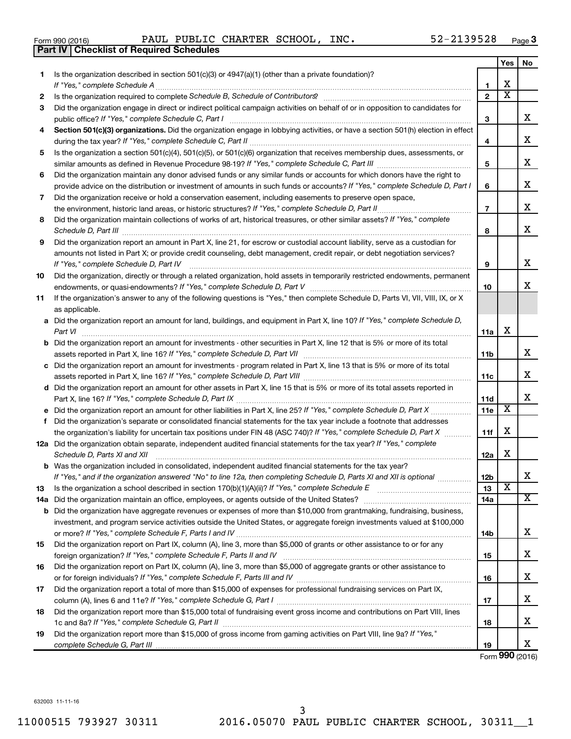|  | Form 990 (2016) |  |
|--|-----------------|--|
|  |                 |  |

Form 990 (2016) Page PAUL PUBLIC CHARTER SCHOOL, INC. 52-2139528

|     | <b>Part IV   Checklist of Required Schedules</b>                                                                                                                                                                                    |                         |                         |                       |
|-----|-------------------------------------------------------------------------------------------------------------------------------------------------------------------------------------------------------------------------------------|-------------------------|-------------------------|-----------------------|
|     |                                                                                                                                                                                                                                     |                         | Yes                     | No                    |
| 1   | Is the organization described in section 501(c)(3) or 4947(a)(1) (other than a private foundation)?                                                                                                                                 |                         |                         |                       |
|     |                                                                                                                                                                                                                                     | 1                       | х                       |                       |
| 2   |                                                                                                                                                                                                                                     | $\mathbf{2}$            | $\overline{\textbf{x}}$ |                       |
| 3   | Did the organization engage in direct or indirect political campaign activities on behalf of or in opposition to candidates for                                                                                                     |                         |                         |                       |
|     |                                                                                                                                                                                                                                     | 3                       |                         | x                     |
| 4   | Section 501(c)(3) organizations. Did the organization engage in lobbying activities, or have a section 501(h) election in effect                                                                                                    |                         |                         |                       |
|     |                                                                                                                                                                                                                                     | 4                       |                         | x                     |
| 5   | Is the organization a section 501(c)(4), 501(c)(5), or 501(c)(6) organization that receives membership dues, assessments, or                                                                                                        |                         |                         |                       |
|     |                                                                                                                                                                                                                                     | 5                       |                         | x                     |
| 6   | Did the organization maintain any donor advised funds or any similar funds or accounts for which donors have the right to                                                                                                           |                         |                         |                       |
|     | provide advice on the distribution or investment of amounts in such funds or accounts? If "Yes," complete Schedule D, Part I                                                                                                        | 6                       |                         | x                     |
| 7   | Did the organization receive or hold a conservation easement, including easements to preserve open space,                                                                                                                           |                         |                         |                       |
|     |                                                                                                                                                                                                                                     | $\overline{\mathbf{r}}$ |                         | х                     |
| 8   | Did the organization maintain collections of works of art, historical treasures, or other similar assets? If "Yes," complete                                                                                                        |                         |                         |                       |
|     | Schedule D, Part III <b>Marting Community</b> Construction of the Construction of the Construction of the Construction of the Construction of the Construction of the Construction of the Construction of the Construction of the C | 8                       |                         | х                     |
| 9   | Did the organization report an amount in Part X, line 21, for escrow or custodial account liability, serve as a custodian for                                                                                                       |                         |                         |                       |
|     | amounts not listed in Part X; or provide credit counseling, debt management, credit repair, or debt negotiation services?                                                                                                           |                         |                         |                       |
|     | If "Yes," complete Schedule D, Part IV                                                                                                                                                                                              | 9                       |                         | x                     |
| 10  | Did the organization, directly or through a related organization, hold assets in temporarily restricted endowments, permanent                                                                                                       |                         |                         |                       |
|     |                                                                                                                                                                                                                                     | 10                      |                         | x                     |
| 11  | If the organization's answer to any of the following questions is "Yes," then complete Schedule D, Parts VI, VII, VIII, IX, or X                                                                                                    |                         |                         |                       |
|     | as applicable.                                                                                                                                                                                                                      |                         |                         |                       |
|     | a Did the organization report an amount for land, buildings, and equipment in Part X, line 10? If "Yes," complete Schedule D,                                                                                                       |                         |                         |                       |
|     |                                                                                                                                                                                                                                     | 11a                     | X                       |                       |
|     | <b>b</b> Did the organization report an amount for investments - other securities in Part X, line 12 that is 5% or more of its total                                                                                                |                         |                         |                       |
|     |                                                                                                                                                                                                                                     | 11b                     |                         | x                     |
|     | c Did the organization report an amount for investments - program related in Part X, line 13 that is 5% or more of its total                                                                                                        |                         |                         |                       |
|     |                                                                                                                                                                                                                                     | 11c                     |                         | х                     |
|     | d Did the organization report an amount for other assets in Part X, line 15 that is 5% or more of its total assets reported in                                                                                                      |                         |                         |                       |
|     |                                                                                                                                                                                                                                     | 11d                     |                         | х                     |
|     |                                                                                                                                                                                                                                     | 11e                     | X                       |                       |
|     | f Did the organization's separate or consolidated financial statements for the tax year include a footnote that addresses                                                                                                           |                         |                         |                       |
|     | the organization's liability for uncertain tax positions under FIN 48 (ASC 740)? If "Yes," complete Schedule D, Part X                                                                                                              | 11f                     | X                       |                       |
|     | 12a Did the organization obtain separate, independent audited financial statements for the tax year? If "Yes," complete                                                                                                             |                         |                         |                       |
|     | Schedule D, Parts XI and XII                                                                                                                                                                                                        | 12a                     | х                       |                       |
|     | <b>b</b> Was the organization included in consolidated, independent audited financial statements for the tax year?                                                                                                                  |                         |                         |                       |
|     | If "Yes," and if the organization answered "No" to line 12a, then completing Schedule D, Parts XI and XII is optional                                                                                                               | 12b                     | X                       | х                     |
| 13  |                                                                                                                                                                                                                                     | 13                      |                         | $\overline{\text{X}}$ |
| 14a |                                                                                                                                                                                                                                     | 14a                     |                         |                       |
|     | <b>b</b> Did the organization have aggregate revenues or expenses of more than \$10,000 from grantmaking, fundraising, business,                                                                                                    |                         |                         |                       |
|     | investment, and program service activities outside the United States, or aggregate foreign investments valued at \$100,000                                                                                                          |                         |                         | х                     |
|     | Did the organization report on Part IX, column (A), line 3, more than \$5,000 of grants or other assistance to or for any                                                                                                           | 14b                     |                         |                       |
| 15  |                                                                                                                                                                                                                                     |                         |                         | х                     |
|     | Did the organization report on Part IX, column (A), line 3, more than \$5,000 of aggregate grants or other assistance to                                                                                                            | 15                      |                         |                       |
| 16  |                                                                                                                                                                                                                                     |                         |                         | х                     |
|     |                                                                                                                                                                                                                                     | 16                      |                         |                       |
| 17  | Did the organization report a total of more than \$15,000 of expenses for professional fundraising services on Part IX,                                                                                                             |                         |                         | х                     |
|     | Did the organization report more than \$15,000 total of fundraising event gross income and contributions on Part VIII, lines                                                                                                        | 17                      |                         |                       |
| 18  |                                                                                                                                                                                                                                     |                         |                         | х                     |
| 19  | Did the organization report more than \$15,000 of gross income from gaming activities on Part VIII, line 9a? If "Yes,"                                                                                                              | 18                      |                         |                       |
|     |                                                                                                                                                                                                                                     | 19                      |                         | x                     |
|     |                                                                                                                                                                                                                                     |                         |                         |                       |

Form (2016) **990**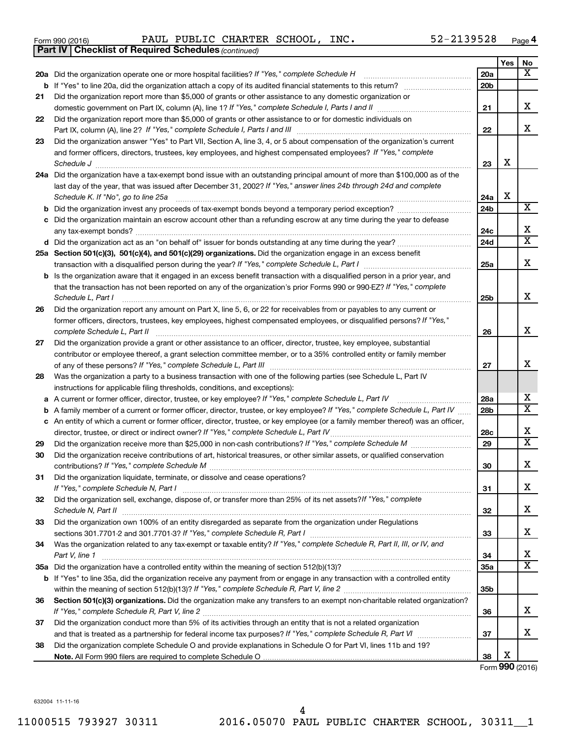|  | Form 990 (2016) |
|--|-----------------|
|  |                 |

*(continued)* **Part IV Checklist of Required Schedules**

Form 990 (2016) Page PAUL PUBLIC CHARTER SCHOOL, INC. 52-2139528

|    |                                                                                                                                                                                                                                 |                 | Yes | No                           |
|----|---------------------------------------------------------------------------------------------------------------------------------------------------------------------------------------------------------------------------------|-----------------|-----|------------------------------|
|    | 20a Did the organization operate one or more hospital facilities? If "Yes," complete Schedule H                                                                                                                                 | 20a             |     | x                            |
|    |                                                                                                                                                                                                                                 | 20 <sub>b</sub> |     |                              |
| 21 | Did the organization report more than \$5,000 of grants or other assistance to any domestic organization or                                                                                                                     |                 |     |                              |
|    |                                                                                                                                                                                                                                 | 21              |     | х                            |
| 22 | Did the organization report more than \$5,000 of grants or other assistance to or for domestic individuals on<br>Part IX, column (A), line 2? If "Yes," complete Schedule I, Parts I and III [11]] [11]] [11] [11] [11] [11] [1 | 22              |     | х                            |
| 23 | Did the organization answer "Yes" to Part VII, Section A, line 3, 4, or 5 about compensation of the organization's current                                                                                                      |                 |     |                              |
|    | and former officers, directors, trustees, key employees, and highest compensated employees? If "Yes," complete                                                                                                                  |                 |     |                              |
|    | Schedule J                                                                                                                                                                                                                      | 23              | X   |                              |
|    | 24a Did the organization have a tax-exempt bond issue with an outstanding principal amount of more than \$100,000 as of the                                                                                                     |                 |     |                              |
|    | last day of the year, that was issued after December 31, 2002? If "Yes," answer lines 24b through 24d and complete                                                                                                              |                 |     |                              |
|    | Schedule K. If "No", go to line 25a                                                                                                                                                                                             | 24a             | X   |                              |
| b  |                                                                                                                                                                                                                                 | 24 <sub>b</sub> |     | $\overline{\text{X}}$        |
|    | Did the organization maintain an escrow account other than a refunding escrow at any time during the year to defease                                                                                                            | 24c             |     | X                            |
|    |                                                                                                                                                                                                                                 | 24d             |     | $\overline{\textbf{X}}$      |
|    | 25a Section 501(c)(3), 501(c)(4), and 501(c)(29) organizations. Did the organization engage in an excess benefit                                                                                                                |                 |     |                              |
|    |                                                                                                                                                                                                                                 | 25a             |     | х                            |
|    | b Is the organization aware that it engaged in an excess benefit transaction with a disqualified person in a prior year, and                                                                                                    |                 |     |                              |
|    | that the transaction has not been reported on any of the organization's prior Forms 990 or 990-EZ? If "Yes," complete                                                                                                           |                 |     |                              |
|    | Schedule L, Part I                                                                                                                                                                                                              | 25b             |     | х                            |
| 26 | Did the organization report any amount on Part X, line 5, 6, or 22 for receivables from or payables to any current or                                                                                                           |                 |     |                              |
|    | former officers, directors, trustees, key employees, highest compensated employees, or disqualified persons? If "Yes,"<br>complete Schedule L, Part II                                                                          | 26              |     | х                            |
| 27 | Did the organization provide a grant or other assistance to an officer, director, trustee, key employee, substantial                                                                                                            |                 |     |                              |
|    | contributor or employee thereof, a grant selection committee member, or to a 35% controlled entity or family member                                                                                                             |                 |     |                              |
|    |                                                                                                                                                                                                                                 | 27              |     | х                            |
| 28 | Was the organization a party to a business transaction with one of the following parties (see Schedule L, Part IV                                                                                                               |                 |     |                              |
|    | instructions for applicable filing thresholds, conditions, and exceptions):                                                                                                                                                     |                 |     |                              |
| а  | A current or former officer, director, trustee, or key employee? If "Yes," complete Schedule L, Part IV                                                                                                                         | 28a             |     | х<br>$\overline{\textbf{X}}$ |
| b  | A family member of a current or former officer, director, trustee, or key employee? If "Yes," complete Schedule L, Part IV                                                                                                      | 28b             |     |                              |
|    | c An entity of which a current or former officer, director, trustee, or key employee (or a family member thereof) was an officer,<br>director, trustee, or direct or indirect owner? If "Yes," complete Schedule L, Part IV     | 28c             |     | х                            |
| 29 |                                                                                                                                                                                                                                 | 29              |     | X                            |
| 30 | Did the organization receive contributions of art, historical treasures, or other similar assets, or qualified conservation                                                                                                     |                 |     |                              |
|    |                                                                                                                                                                                                                                 | 30              |     | х                            |
| 31 | Did the organization liquidate, terminate, or dissolve and cease operations?                                                                                                                                                    |                 |     |                              |
|    |                                                                                                                                                                                                                                 | 31              |     | х                            |
| 32 | Did the organization sell, exchange, dispose of, or transfer more than 25% of its net assets? If "Yes," complete                                                                                                                |                 |     |                              |
|    |                                                                                                                                                                                                                                 | 32              |     | х                            |
| 33 | Did the organization own 100% of an entity disregarded as separate from the organization under Regulations                                                                                                                      |                 |     |                              |
|    |                                                                                                                                                                                                                                 | 33              |     | х                            |
| 34 | Was the organization related to any tax-exempt or taxable entity? If "Yes," complete Schedule R, Part II, III, or IV, and                                                                                                       |                 |     |                              |
|    | Part V, line 1                                                                                                                                                                                                                  | 34              |     | х                            |
|    |                                                                                                                                                                                                                                 | 35a             |     | X                            |
|    | b If "Yes" to line 35a, did the organization receive any payment from or engage in any transaction with a controlled entity                                                                                                     |                 |     |                              |
|    |                                                                                                                                                                                                                                 | 35b             |     |                              |
| 36 | Section 501(c)(3) organizations. Did the organization make any transfers to an exempt non-charitable related organization?                                                                                                      |                 |     | x                            |
|    | Did the organization conduct more than 5% of its activities through an entity that is not a related organization                                                                                                                | 36              |     |                              |
| 37 |                                                                                                                                                                                                                                 | 37              |     | x                            |
| 38 | Did the organization complete Schedule O and provide explanations in Schedule O for Part VI, lines 11b and 19?                                                                                                                  |                 |     |                              |
|    |                                                                                                                                                                                                                                 | 38              | х   |                              |
|    |                                                                                                                                                                                                                                 |                 |     |                              |

Form (2016) **990**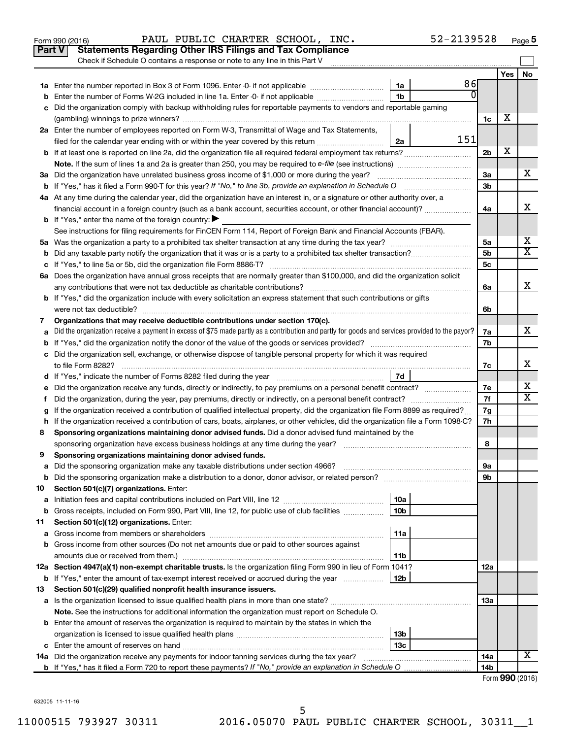|    | Part V<br><b>Statements Regarding Other IRS Filings and Tax Compliance</b><br>Check if Schedule O contains a response or note to any line in this Part V |                |     |                |     |                 |
|----|----------------------------------------------------------------------------------------------------------------------------------------------------------|----------------|-----|----------------|-----|-----------------|
|    |                                                                                                                                                          |                |     |                | Yes | No              |
|    |                                                                                                                                                          | 1a             | 86  |                |     |                 |
|    | Enter the number of Forms W-2G included in line 1a. Enter -0- if not applicable                                                                          | 1 <sub>b</sub> | 0l  |                |     |                 |
|    | Did the organization comply with backup withholding rules for reportable payments to vendors and reportable gaming                                       |                |     |                |     |                 |
|    |                                                                                                                                                          |                |     | 1c             | х   |                 |
|    | 2a Enter the number of employees reported on Form W-3, Transmittal of Wage and Tax Statements,                                                           |                |     |                |     |                 |
|    | filed for the calendar year ending with or within the year covered by this return <i>manumumumum</i>                                                     | 2a             | 151 |                |     |                 |
|    |                                                                                                                                                          |                |     | 2 <sub>b</sub> | X   |                 |
|    |                                                                                                                                                          |                |     |                |     |                 |
|    | 3a Did the organization have unrelated business gross income of \$1,000 or more during the year?                                                         |                |     | За             |     | х               |
|    |                                                                                                                                                          |                |     | 3b             |     |                 |
|    | 4a At any time during the calendar year, did the organization have an interest in, or a signature or other authority over, a                             |                |     |                |     |                 |
|    | financial account in a foreign country (such as a bank account, securities account, or other financial account)?                                         |                |     | 4a             |     | x               |
|    | <b>b</b> If "Yes," enter the name of the foreign country: $\blacktriangleright$                                                                          |                |     |                |     |                 |
|    | See instructions for filing requirements for FinCEN Form 114, Report of Foreign Bank and Financial Accounts (FBAR).                                      |                |     |                |     |                 |
|    |                                                                                                                                                          |                |     | 5а             |     | х               |
|    |                                                                                                                                                          |                |     | 5b             |     | X               |
|    |                                                                                                                                                          |                |     | 5с             |     |                 |
|    | 6a Does the organization have annual gross receipts that are normally greater than \$100,000, and did the organization solicit                           |                |     |                |     |                 |
|    |                                                                                                                                                          |                |     | 6a             |     | x               |
|    | <b>b</b> If "Yes," did the organization include with every solicitation an express statement that such contributions or gifts                            |                |     |                |     |                 |
|    |                                                                                                                                                          |                |     | 6b             |     |                 |
| 7  | Organizations that may receive deductible contributions under section 170(c).                                                                            |                |     |                |     |                 |
|    | Did the organization receive a payment in excess of \$75 made partly as a contribution and partly for goods and services provided to the payor?          |                |     | 7a             |     | x               |
|    |                                                                                                                                                          |                |     | 7b             |     |                 |
|    | c Did the organization sell, exchange, or otherwise dispose of tangible personal property for which it was required                                      |                |     |                |     |                 |
|    |                                                                                                                                                          |                |     | 7c             |     | х               |
|    |                                                                                                                                                          | 7d             |     |                |     |                 |
|    | Did the organization receive any funds, directly or indirectly, to pay premiums on a personal benefit contract?                                          |                |     | 7е             |     | х               |
| f. | Did the organization, during the year, pay premiums, directly or indirectly, on a personal benefit contract?                                             |                |     | 7f             |     | X               |
|    | If the organization received a contribution of qualified intellectual property, did the organization file Form 8899 as required?                         |                |     | 7g             |     |                 |
|    | h If the organization received a contribution of cars, boats, airplanes, or other vehicles, did the organization file a Form 1098-C?                     |                |     | 7h             |     |                 |
| 8  | Sponsoring organizations maintaining donor advised funds. Did a donor advised fund maintained by the                                                     |                |     |                |     |                 |
|    |                                                                                                                                                          |                |     | 8              |     |                 |
| 9  | Sponsoring organizations maintaining donor advised funds.                                                                                                |                |     |                |     |                 |
|    |                                                                                                                                                          |                |     | эа             |     |                 |
|    | <b>b</b> Did the sponsoring organization make a distribution to a donor, donor advisor, or related person?                                               |                |     | 9b             |     |                 |
| 10 | Section 501(c)(7) organizations. Enter:                                                                                                                  |                |     |                |     |                 |
| а  |                                                                                                                                                          | 10a            |     |                |     |                 |
| b  | Gross receipts, included on Form 990, Part VIII, line 12, for public use of club facilities                                                              | 10b            |     |                |     |                 |
| 11 | Section 501(c)(12) organizations. Enter:                                                                                                                 |                |     |                |     |                 |
| а  |                                                                                                                                                          | 11a            |     |                |     |                 |
|    | <b>b</b> Gross income from other sources (Do not net amounts due or paid to other sources against                                                        |                |     |                |     |                 |
|    |                                                                                                                                                          | 11b            |     |                |     |                 |
|    | 12a Section 4947(a)(1) non-exempt charitable trusts. Is the organization filing Form 990 in lieu of Form 1041?                                           |                |     | 12a            |     |                 |
|    | <b>b</b> If "Yes," enter the amount of tax-exempt interest received or accrued during the year                                                           | 12b            |     |                |     |                 |
| 13 | Section 501(c)(29) qualified nonprofit health insurance issuers.                                                                                         |                |     |                |     |                 |
|    | a Is the organization licensed to issue qualified health plans in more than one state?                                                                   |                |     | 1За            |     |                 |
|    | Note. See the instructions for additional information the organization must report on Schedule O.                                                        |                |     |                |     |                 |
|    | <b>b</b> Enter the amount of reserves the organization is required to maintain by the states in which the                                                |                |     |                |     |                 |
|    |                                                                                                                                                          | 13b            |     |                |     |                 |
| c  |                                                                                                                                                          | 13с            |     |                |     | x               |
|    | 14a Did the organization receive any payments for indoor tanning services during the tax year?                                                           |                |     | 14a            |     |                 |
|    |                                                                                                                                                          |                |     | 14b            |     | $000 \text{ m}$ |

Form 990 (2016) Page PAUL PUBLIC CHARTER SCHOOL, INC. 52-2139528

| Form 990 (2016) |  |  |
|-----------------|--|--|
|-----------------|--|--|

52-2139528 Page 5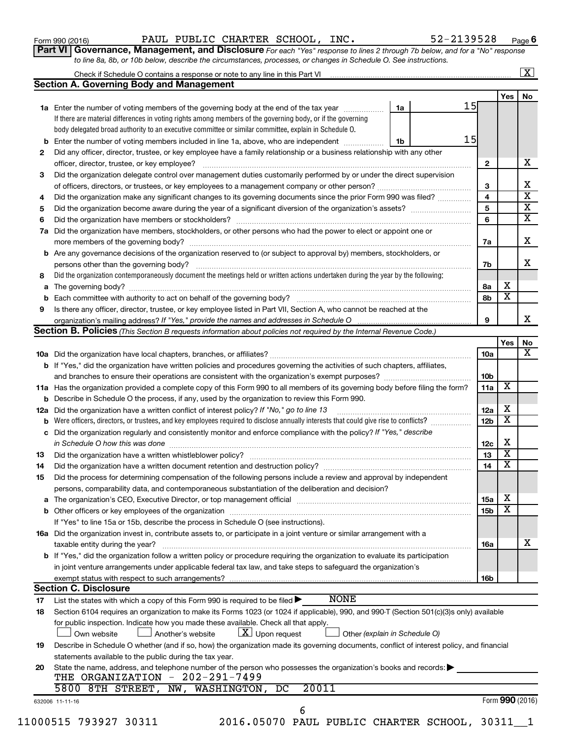| Form 990 (2016) |  |  |  |  |
|-----------------|--|--|--|--|
|-----------------|--|--|--|--|

Form 990 (2016) Page PAUL PUBLIC CHARTER SCHOOL, INC. 52-2139528

**6**

**Part VI** Governance, Management, and Disclosure For each "Yes" response to lines 2 through 7b below, and for a "No" response *to line 8a, 8b, or 10b below, describe the circumstances, processes, or changes in Schedule O. See instructions.*

| <b>Section A. Governing Body and Management</b><br>Yes<br>15<br>1a Enter the number of voting members of the governing body at the end of the tax year<br>1a<br>If there are material differences in voting rights among members of the governing body, or if the governing<br>body delegated broad authority to an executive committee or similar committee, explain in Schedule O.<br>15<br>Enter the number of voting members included in line 1a, above, who are independent <i>manumum</i><br>1b<br>b<br>Did any officer, director, trustee, or key employee have a family relationship or a business relationship with any other<br>х<br>$\mathbf{2}$<br>officer, director, trustee, or key employee?<br>Did the organization delegate control over management duties customarily performed by or under the direct supervision<br>х<br>3<br>$\overline{\textbf{x}}$<br>4<br>Did the organization make any significant changes to its governing documents since the prior Form 990 was filed?<br>$\overline{\mathbf{X}}$<br>5<br>$\overline{\mathbf{X}}$<br>6<br>6<br>Did the organization have members, stockholders, or other persons who had the power to elect or appoint one or<br>7a<br>x<br>7a<br>Are any governance decisions of the organization reserved to (or subject to approval by) members, stockholders, or<br>b<br>x<br>7b<br>Did the organization contemporaneously document the meetings held or written actions undertaken during the year by the following:<br>8<br>х<br>8а<br>а<br>$\overline{\textbf{x}}$<br>8b<br>b<br>Is there any officer, director, trustee, or key employee listed in Part VII, Section A, who cannot be reached at the<br>9<br>x<br>9<br><b>Section B. Policies</b> (This Section B requests information about policies not required by the Internal Revenue Code.)<br>Yes<br>No<br>x<br>10a<br><b>b</b> If "Yes," did the organization have written policies and procedures governing the activities of such chapters, affiliates,<br>10b<br>X<br>11a Has the organization provided a complete copy of this Form 990 to all members of its governing body before filing the form?<br>11a<br><b>b</b> Describe in Schedule O the process, if any, used by the organization to review this Form 990.<br>х<br>12a<br>Did the organization have a written conflict of interest policy? If "No," go to line 13<br>12a<br>$\overline{\mathbf{X}}$<br>Were officers, directors, or trustees, and key employees required to disclose annually interests that could give rise to conflicts?<br>12 <sub>b</sub><br>b<br>Did the organization regularly and consistently monitor and enforce compliance with the policy? If "Yes," describe<br>с<br>Х<br>12c<br>$\overline{\mathbf{X}}$<br>13<br>13<br>$\overline{\mathbf{X}}$<br>14<br>Did the organization have a written document retention and destruction policy? [11] manufaction manufaction in<br>14<br>Did the process for determining compensation of the following persons include a review and approval by independent<br>15<br>persons, comparability data, and contemporaneous substantiation of the deliberation and decision?<br>х<br>The organization's CEO, Executive Director, or top management official manufactured content of the organization's CEO, Executive Director, or top management official manufactured content of the organization's<br>15a<br>а<br>$\overline{\textbf{x}}$<br>15 <sub>b</sub><br>If "Yes" to line 15a or 15b, describe the process in Schedule O (see instructions).<br>16a Did the organization invest in, contribute assets to, or participate in a joint venture or similar arrangement with a<br>х<br>taxable entity during the year?<br>16a<br>b If "Yes," did the organization follow a written policy or procedure requiring the organization to evaluate its participation<br>in joint venture arrangements under applicable federal tax law, and take steps to safeguard the organization's<br>exempt status with respect to such arrangements?<br>16b<br><b>Section C. Disclosure</b><br><b>NONE</b><br>List the states with which a copy of this Form 990 is required to be filed $\blacktriangleright$<br>17<br>Section 6104 requires an organization to make its Forms 1023 (or 1024 if applicable), 990, and 990-T (Section 501(c)(3)s only) available<br>18<br>for public inspection. Indicate how you made these available. Check all that apply.<br>$\lfloor x \rfloor$ Upon request<br>Another's website<br>Other (explain in Schedule O)<br>Own website<br>Describe in Schedule O whether (and if so, how) the organization made its governing documents, conflict of interest policy, and financial<br>19<br>statements available to the public during the tax year.<br>State the name, address, and telephone number of the person who possesses the organization's books and records:<br>20<br>THE ORGANIZATION - 202-291-7499<br>20011<br>5800 8TH STREET,<br>NW, WASHINGTON,<br>DC<br>Form 990 (2016)<br>632006 11-11-16<br>6 |   | Check if Schedule O contains a response or note to any line in this Part VI [1] [1] [1] [1] [1] [1] [1] [1] [1 |  |  |  |  | $\mathbf{X}$ |
|--------------------------------------------------------------------------------------------------------------------------------------------------------------------------------------------------------------------------------------------------------------------------------------------------------------------------------------------------------------------------------------------------------------------------------------------------------------------------------------------------------------------------------------------------------------------------------------------------------------------------------------------------------------------------------------------------------------------------------------------------------------------------------------------------------------------------------------------------------------------------------------------------------------------------------------------------------------------------------------------------------------------------------------------------------------------------------------------------------------------------------------------------------------------------------------------------------------------------------------------------------------------------------------------------------------------------------------------------------------------------------------------------------------------------------------------------------------------------------------------------------------------------------------------------------------------------------------------------------------------------------------------------------------------------------------------------------------------------------------------------------------------------------------------------------------------------------------------------------------------------------------------------------------------------------------------------------------------------------------------------------------------------------------------------------------------------------------------------------------------------------------------------------------------------------------------------------------------------------------------------------------------------------------------------------------------------------------------------------------------------------------------------------------------------------------------------------------------------------------------------------------------------------------------------------------------------------------------------------------------------------------------------------------------------------------------------------------------------------------------------------------------------------------------------------------------------------------------------------------------------------------------------------------------------------------------------------------------------------------------------------------------------------------------------------------------------------------------------------------------------------------------------------------------------------------------------------------------------------------------------------------------------------------------------------------------------------------------------------------------------------------------------------------------------------------------------------------------------------------------------------------------------------------------------------------------------------------------------------------------------------------------------------------------------------------------------------------------------------------------------------------------------------------------------------------------------------------------------------------------------------------------------------------------------------------------------------------------------------------------------------------------------------------------------------------------------------------------------------------------------------------------------------------------------------------------------------------------------------------------------------------------------------------------------------------------------------------------------------------------------------------------------------------------------------------------------------------------------------------------------------------------------------------------------------------------------------------------------------------------------------------------------------------------------------------------------------------------------------------------------------------------------------------------------------------------------------------------------------------------------------------------------------------------------------------------------------------------------------------------------|---|----------------------------------------------------------------------------------------------------------------|--|--|--|--|--------------|
|                                                                                                                                                                                                                                                                                                                                                                                                                                                                                                                                                                                                                                                                                                                                                                                                                                                                                                                                                                                                                                                                                                                                                                                                                                                                                                                                                                                                                                                                                                                                                                                                                                                                                                                                                                                                                                                                                                                                                                                                                                                                                                                                                                                                                                                                                                                                                                                                                                                                                                                                                                                                                                                                                                                                                                                                                                                                                                                                                                                                                                                                                                                                                                                                                                                                                                                                                                                                                                                                                                                                                                                                                                                                                                                                                                                                                                                                                                                                                                                                                                                                                                                                                                                                                                                                                                                                                                                                                                                                                                                                                                                                                                                                                                                                                                                                                                                                                                                                                                                                  |   |                                                                                                                |  |  |  |  |              |
|                                                                                                                                                                                                                                                                                                                                                                                                                                                                                                                                                                                                                                                                                                                                                                                                                                                                                                                                                                                                                                                                                                                                                                                                                                                                                                                                                                                                                                                                                                                                                                                                                                                                                                                                                                                                                                                                                                                                                                                                                                                                                                                                                                                                                                                                                                                                                                                                                                                                                                                                                                                                                                                                                                                                                                                                                                                                                                                                                                                                                                                                                                                                                                                                                                                                                                                                                                                                                                                                                                                                                                                                                                                                                                                                                                                                                                                                                                                                                                                                                                                                                                                                                                                                                                                                                                                                                                                                                                                                                                                                                                                                                                                                                                                                                                                                                                                                                                                                                                                                  |   |                                                                                                                |  |  |  |  | No           |
|                                                                                                                                                                                                                                                                                                                                                                                                                                                                                                                                                                                                                                                                                                                                                                                                                                                                                                                                                                                                                                                                                                                                                                                                                                                                                                                                                                                                                                                                                                                                                                                                                                                                                                                                                                                                                                                                                                                                                                                                                                                                                                                                                                                                                                                                                                                                                                                                                                                                                                                                                                                                                                                                                                                                                                                                                                                                                                                                                                                                                                                                                                                                                                                                                                                                                                                                                                                                                                                                                                                                                                                                                                                                                                                                                                                                                                                                                                                                                                                                                                                                                                                                                                                                                                                                                                                                                                                                                                                                                                                                                                                                                                                                                                                                                                                                                                                                                                                                                                                                  |   |                                                                                                                |  |  |  |  |              |
|                                                                                                                                                                                                                                                                                                                                                                                                                                                                                                                                                                                                                                                                                                                                                                                                                                                                                                                                                                                                                                                                                                                                                                                                                                                                                                                                                                                                                                                                                                                                                                                                                                                                                                                                                                                                                                                                                                                                                                                                                                                                                                                                                                                                                                                                                                                                                                                                                                                                                                                                                                                                                                                                                                                                                                                                                                                                                                                                                                                                                                                                                                                                                                                                                                                                                                                                                                                                                                                                                                                                                                                                                                                                                                                                                                                                                                                                                                                                                                                                                                                                                                                                                                                                                                                                                                                                                                                                                                                                                                                                                                                                                                                                                                                                                                                                                                                                                                                                                                                                  |   |                                                                                                                |  |  |  |  |              |
|                                                                                                                                                                                                                                                                                                                                                                                                                                                                                                                                                                                                                                                                                                                                                                                                                                                                                                                                                                                                                                                                                                                                                                                                                                                                                                                                                                                                                                                                                                                                                                                                                                                                                                                                                                                                                                                                                                                                                                                                                                                                                                                                                                                                                                                                                                                                                                                                                                                                                                                                                                                                                                                                                                                                                                                                                                                                                                                                                                                                                                                                                                                                                                                                                                                                                                                                                                                                                                                                                                                                                                                                                                                                                                                                                                                                                                                                                                                                                                                                                                                                                                                                                                                                                                                                                                                                                                                                                                                                                                                                                                                                                                                                                                                                                                                                                                                                                                                                                                                                  |   |                                                                                                                |  |  |  |  |              |
|                                                                                                                                                                                                                                                                                                                                                                                                                                                                                                                                                                                                                                                                                                                                                                                                                                                                                                                                                                                                                                                                                                                                                                                                                                                                                                                                                                                                                                                                                                                                                                                                                                                                                                                                                                                                                                                                                                                                                                                                                                                                                                                                                                                                                                                                                                                                                                                                                                                                                                                                                                                                                                                                                                                                                                                                                                                                                                                                                                                                                                                                                                                                                                                                                                                                                                                                                                                                                                                                                                                                                                                                                                                                                                                                                                                                                                                                                                                                                                                                                                                                                                                                                                                                                                                                                                                                                                                                                                                                                                                                                                                                                                                                                                                                                                                                                                                                                                                                                                                                  |   |                                                                                                                |  |  |  |  |              |
|                                                                                                                                                                                                                                                                                                                                                                                                                                                                                                                                                                                                                                                                                                                                                                                                                                                                                                                                                                                                                                                                                                                                                                                                                                                                                                                                                                                                                                                                                                                                                                                                                                                                                                                                                                                                                                                                                                                                                                                                                                                                                                                                                                                                                                                                                                                                                                                                                                                                                                                                                                                                                                                                                                                                                                                                                                                                                                                                                                                                                                                                                                                                                                                                                                                                                                                                                                                                                                                                                                                                                                                                                                                                                                                                                                                                                                                                                                                                                                                                                                                                                                                                                                                                                                                                                                                                                                                                                                                                                                                                                                                                                                                                                                                                                                                                                                                                                                                                                                                                  | 2 |                                                                                                                |  |  |  |  |              |
|                                                                                                                                                                                                                                                                                                                                                                                                                                                                                                                                                                                                                                                                                                                                                                                                                                                                                                                                                                                                                                                                                                                                                                                                                                                                                                                                                                                                                                                                                                                                                                                                                                                                                                                                                                                                                                                                                                                                                                                                                                                                                                                                                                                                                                                                                                                                                                                                                                                                                                                                                                                                                                                                                                                                                                                                                                                                                                                                                                                                                                                                                                                                                                                                                                                                                                                                                                                                                                                                                                                                                                                                                                                                                                                                                                                                                                                                                                                                                                                                                                                                                                                                                                                                                                                                                                                                                                                                                                                                                                                                                                                                                                                                                                                                                                                                                                                                                                                                                                                                  |   |                                                                                                                |  |  |  |  |              |
|                                                                                                                                                                                                                                                                                                                                                                                                                                                                                                                                                                                                                                                                                                                                                                                                                                                                                                                                                                                                                                                                                                                                                                                                                                                                                                                                                                                                                                                                                                                                                                                                                                                                                                                                                                                                                                                                                                                                                                                                                                                                                                                                                                                                                                                                                                                                                                                                                                                                                                                                                                                                                                                                                                                                                                                                                                                                                                                                                                                                                                                                                                                                                                                                                                                                                                                                                                                                                                                                                                                                                                                                                                                                                                                                                                                                                                                                                                                                                                                                                                                                                                                                                                                                                                                                                                                                                                                                                                                                                                                                                                                                                                                                                                                                                                                                                                                                                                                                                                                                  | 3 |                                                                                                                |  |  |  |  |              |
|                                                                                                                                                                                                                                                                                                                                                                                                                                                                                                                                                                                                                                                                                                                                                                                                                                                                                                                                                                                                                                                                                                                                                                                                                                                                                                                                                                                                                                                                                                                                                                                                                                                                                                                                                                                                                                                                                                                                                                                                                                                                                                                                                                                                                                                                                                                                                                                                                                                                                                                                                                                                                                                                                                                                                                                                                                                                                                                                                                                                                                                                                                                                                                                                                                                                                                                                                                                                                                                                                                                                                                                                                                                                                                                                                                                                                                                                                                                                                                                                                                                                                                                                                                                                                                                                                                                                                                                                                                                                                                                                                                                                                                                                                                                                                                                                                                                                                                                                                                                                  |   |                                                                                                                |  |  |  |  |              |
|                                                                                                                                                                                                                                                                                                                                                                                                                                                                                                                                                                                                                                                                                                                                                                                                                                                                                                                                                                                                                                                                                                                                                                                                                                                                                                                                                                                                                                                                                                                                                                                                                                                                                                                                                                                                                                                                                                                                                                                                                                                                                                                                                                                                                                                                                                                                                                                                                                                                                                                                                                                                                                                                                                                                                                                                                                                                                                                                                                                                                                                                                                                                                                                                                                                                                                                                                                                                                                                                                                                                                                                                                                                                                                                                                                                                                                                                                                                                                                                                                                                                                                                                                                                                                                                                                                                                                                                                                                                                                                                                                                                                                                                                                                                                                                                                                                                                                                                                                                                                  | 4 |                                                                                                                |  |  |  |  |              |
|                                                                                                                                                                                                                                                                                                                                                                                                                                                                                                                                                                                                                                                                                                                                                                                                                                                                                                                                                                                                                                                                                                                                                                                                                                                                                                                                                                                                                                                                                                                                                                                                                                                                                                                                                                                                                                                                                                                                                                                                                                                                                                                                                                                                                                                                                                                                                                                                                                                                                                                                                                                                                                                                                                                                                                                                                                                                                                                                                                                                                                                                                                                                                                                                                                                                                                                                                                                                                                                                                                                                                                                                                                                                                                                                                                                                                                                                                                                                                                                                                                                                                                                                                                                                                                                                                                                                                                                                                                                                                                                                                                                                                                                                                                                                                                                                                                                                                                                                                                                                  | 5 |                                                                                                                |  |  |  |  |              |
|                                                                                                                                                                                                                                                                                                                                                                                                                                                                                                                                                                                                                                                                                                                                                                                                                                                                                                                                                                                                                                                                                                                                                                                                                                                                                                                                                                                                                                                                                                                                                                                                                                                                                                                                                                                                                                                                                                                                                                                                                                                                                                                                                                                                                                                                                                                                                                                                                                                                                                                                                                                                                                                                                                                                                                                                                                                                                                                                                                                                                                                                                                                                                                                                                                                                                                                                                                                                                                                                                                                                                                                                                                                                                                                                                                                                                                                                                                                                                                                                                                                                                                                                                                                                                                                                                                                                                                                                                                                                                                                                                                                                                                                                                                                                                                                                                                                                                                                                                                                                  |   |                                                                                                                |  |  |  |  |              |
|                                                                                                                                                                                                                                                                                                                                                                                                                                                                                                                                                                                                                                                                                                                                                                                                                                                                                                                                                                                                                                                                                                                                                                                                                                                                                                                                                                                                                                                                                                                                                                                                                                                                                                                                                                                                                                                                                                                                                                                                                                                                                                                                                                                                                                                                                                                                                                                                                                                                                                                                                                                                                                                                                                                                                                                                                                                                                                                                                                                                                                                                                                                                                                                                                                                                                                                                                                                                                                                                                                                                                                                                                                                                                                                                                                                                                                                                                                                                                                                                                                                                                                                                                                                                                                                                                                                                                                                                                                                                                                                                                                                                                                                                                                                                                                                                                                                                                                                                                                                                  |   |                                                                                                                |  |  |  |  |              |
|                                                                                                                                                                                                                                                                                                                                                                                                                                                                                                                                                                                                                                                                                                                                                                                                                                                                                                                                                                                                                                                                                                                                                                                                                                                                                                                                                                                                                                                                                                                                                                                                                                                                                                                                                                                                                                                                                                                                                                                                                                                                                                                                                                                                                                                                                                                                                                                                                                                                                                                                                                                                                                                                                                                                                                                                                                                                                                                                                                                                                                                                                                                                                                                                                                                                                                                                                                                                                                                                                                                                                                                                                                                                                                                                                                                                                                                                                                                                                                                                                                                                                                                                                                                                                                                                                                                                                                                                                                                                                                                                                                                                                                                                                                                                                                                                                                                                                                                                                                                                  |   |                                                                                                                |  |  |  |  |              |
|                                                                                                                                                                                                                                                                                                                                                                                                                                                                                                                                                                                                                                                                                                                                                                                                                                                                                                                                                                                                                                                                                                                                                                                                                                                                                                                                                                                                                                                                                                                                                                                                                                                                                                                                                                                                                                                                                                                                                                                                                                                                                                                                                                                                                                                                                                                                                                                                                                                                                                                                                                                                                                                                                                                                                                                                                                                                                                                                                                                                                                                                                                                                                                                                                                                                                                                                                                                                                                                                                                                                                                                                                                                                                                                                                                                                                                                                                                                                                                                                                                                                                                                                                                                                                                                                                                                                                                                                                                                                                                                                                                                                                                                                                                                                                                                                                                                                                                                                                                                                  |   |                                                                                                                |  |  |  |  |              |
|                                                                                                                                                                                                                                                                                                                                                                                                                                                                                                                                                                                                                                                                                                                                                                                                                                                                                                                                                                                                                                                                                                                                                                                                                                                                                                                                                                                                                                                                                                                                                                                                                                                                                                                                                                                                                                                                                                                                                                                                                                                                                                                                                                                                                                                                                                                                                                                                                                                                                                                                                                                                                                                                                                                                                                                                                                                                                                                                                                                                                                                                                                                                                                                                                                                                                                                                                                                                                                                                                                                                                                                                                                                                                                                                                                                                                                                                                                                                                                                                                                                                                                                                                                                                                                                                                                                                                                                                                                                                                                                                                                                                                                                                                                                                                                                                                                                                                                                                                                                                  |   |                                                                                                                |  |  |  |  |              |
|                                                                                                                                                                                                                                                                                                                                                                                                                                                                                                                                                                                                                                                                                                                                                                                                                                                                                                                                                                                                                                                                                                                                                                                                                                                                                                                                                                                                                                                                                                                                                                                                                                                                                                                                                                                                                                                                                                                                                                                                                                                                                                                                                                                                                                                                                                                                                                                                                                                                                                                                                                                                                                                                                                                                                                                                                                                                                                                                                                                                                                                                                                                                                                                                                                                                                                                                                                                                                                                                                                                                                                                                                                                                                                                                                                                                                                                                                                                                                                                                                                                                                                                                                                                                                                                                                                                                                                                                                                                                                                                                                                                                                                                                                                                                                                                                                                                                                                                                                                                                  |   |                                                                                                                |  |  |  |  |              |
|                                                                                                                                                                                                                                                                                                                                                                                                                                                                                                                                                                                                                                                                                                                                                                                                                                                                                                                                                                                                                                                                                                                                                                                                                                                                                                                                                                                                                                                                                                                                                                                                                                                                                                                                                                                                                                                                                                                                                                                                                                                                                                                                                                                                                                                                                                                                                                                                                                                                                                                                                                                                                                                                                                                                                                                                                                                                                                                                                                                                                                                                                                                                                                                                                                                                                                                                                                                                                                                                                                                                                                                                                                                                                                                                                                                                                                                                                                                                                                                                                                                                                                                                                                                                                                                                                                                                                                                                                                                                                                                                                                                                                                                                                                                                                                                                                                                                                                                                                                                                  |   |                                                                                                                |  |  |  |  |              |
|                                                                                                                                                                                                                                                                                                                                                                                                                                                                                                                                                                                                                                                                                                                                                                                                                                                                                                                                                                                                                                                                                                                                                                                                                                                                                                                                                                                                                                                                                                                                                                                                                                                                                                                                                                                                                                                                                                                                                                                                                                                                                                                                                                                                                                                                                                                                                                                                                                                                                                                                                                                                                                                                                                                                                                                                                                                                                                                                                                                                                                                                                                                                                                                                                                                                                                                                                                                                                                                                                                                                                                                                                                                                                                                                                                                                                                                                                                                                                                                                                                                                                                                                                                                                                                                                                                                                                                                                                                                                                                                                                                                                                                                                                                                                                                                                                                                                                                                                                                                                  |   |                                                                                                                |  |  |  |  |              |
|                                                                                                                                                                                                                                                                                                                                                                                                                                                                                                                                                                                                                                                                                                                                                                                                                                                                                                                                                                                                                                                                                                                                                                                                                                                                                                                                                                                                                                                                                                                                                                                                                                                                                                                                                                                                                                                                                                                                                                                                                                                                                                                                                                                                                                                                                                                                                                                                                                                                                                                                                                                                                                                                                                                                                                                                                                                                                                                                                                                                                                                                                                                                                                                                                                                                                                                                                                                                                                                                                                                                                                                                                                                                                                                                                                                                                                                                                                                                                                                                                                                                                                                                                                                                                                                                                                                                                                                                                                                                                                                                                                                                                                                                                                                                                                                                                                                                                                                                                                                                  |   |                                                                                                                |  |  |  |  |              |
|                                                                                                                                                                                                                                                                                                                                                                                                                                                                                                                                                                                                                                                                                                                                                                                                                                                                                                                                                                                                                                                                                                                                                                                                                                                                                                                                                                                                                                                                                                                                                                                                                                                                                                                                                                                                                                                                                                                                                                                                                                                                                                                                                                                                                                                                                                                                                                                                                                                                                                                                                                                                                                                                                                                                                                                                                                                                                                                                                                                                                                                                                                                                                                                                                                                                                                                                                                                                                                                                                                                                                                                                                                                                                                                                                                                                                                                                                                                                                                                                                                                                                                                                                                                                                                                                                                                                                                                                                                                                                                                                                                                                                                                                                                                                                                                                                                                                                                                                                                                                  |   |                                                                                                                |  |  |  |  |              |
|                                                                                                                                                                                                                                                                                                                                                                                                                                                                                                                                                                                                                                                                                                                                                                                                                                                                                                                                                                                                                                                                                                                                                                                                                                                                                                                                                                                                                                                                                                                                                                                                                                                                                                                                                                                                                                                                                                                                                                                                                                                                                                                                                                                                                                                                                                                                                                                                                                                                                                                                                                                                                                                                                                                                                                                                                                                                                                                                                                                                                                                                                                                                                                                                                                                                                                                                                                                                                                                                                                                                                                                                                                                                                                                                                                                                                                                                                                                                                                                                                                                                                                                                                                                                                                                                                                                                                                                                                                                                                                                                                                                                                                                                                                                                                                                                                                                                                                                                                                                                  |   |                                                                                                                |  |  |  |  |              |
|                                                                                                                                                                                                                                                                                                                                                                                                                                                                                                                                                                                                                                                                                                                                                                                                                                                                                                                                                                                                                                                                                                                                                                                                                                                                                                                                                                                                                                                                                                                                                                                                                                                                                                                                                                                                                                                                                                                                                                                                                                                                                                                                                                                                                                                                                                                                                                                                                                                                                                                                                                                                                                                                                                                                                                                                                                                                                                                                                                                                                                                                                                                                                                                                                                                                                                                                                                                                                                                                                                                                                                                                                                                                                                                                                                                                                                                                                                                                                                                                                                                                                                                                                                                                                                                                                                                                                                                                                                                                                                                                                                                                                                                                                                                                                                                                                                                                                                                                                                                                  |   |                                                                                                                |  |  |  |  |              |
|                                                                                                                                                                                                                                                                                                                                                                                                                                                                                                                                                                                                                                                                                                                                                                                                                                                                                                                                                                                                                                                                                                                                                                                                                                                                                                                                                                                                                                                                                                                                                                                                                                                                                                                                                                                                                                                                                                                                                                                                                                                                                                                                                                                                                                                                                                                                                                                                                                                                                                                                                                                                                                                                                                                                                                                                                                                                                                                                                                                                                                                                                                                                                                                                                                                                                                                                                                                                                                                                                                                                                                                                                                                                                                                                                                                                                                                                                                                                                                                                                                                                                                                                                                                                                                                                                                                                                                                                                                                                                                                                                                                                                                                                                                                                                                                                                                                                                                                                                                                                  |   |                                                                                                                |  |  |  |  |              |
|                                                                                                                                                                                                                                                                                                                                                                                                                                                                                                                                                                                                                                                                                                                                                                                                                                                                                                                                                                                                                                                                                                                                                                                                                                                                                                                                                                                                                                                                                                                                                                                                                                                                                                                                                                                                                                                                                                                                                                                                                                                                                                                                                                                                                                                                                                                                                                                                                                                                                                                                                                                                                                                                                                                                                                                                                                                                                                                                                                                                                                                                                                                                                                                                                                                                                                                                                                                                                                                                                                                                                                                                                                                                                                                                                                                                                                                                                                                                                                                                                                                                                                                                                                                                                                                                                                                                                                                                                                                                                                                                                                                                                                                                                                                                                                                                                                                                                                                                                                                                  |   |                                                                                                                |  |  |  |  |              |
|                                                                                                                                                                                                                                                                                                                                                                                                                                                                                                                                                                                                                                                                                                                                                                                                                                                                                                                                                                                                                                                                                                                                                                                                                                                                                                                                                                                                                                                                                                                                                                                                                                                                                                                                                                                                                                                                                                                                                                                                                                                                                                                                                                                                                                                                                                                                                                                                                                                                                                                                                                                                                                                                                                                                                                                                                                                                                                                                                                                                                                                                                                                                                                                                                                                                                                                                                                                                                                                                                                                                                                                                                                                                                                                                                                                                                                                                                                                                                                                                                                                                                                                                                                                                                                                                                                                                                                                                                                                                                                                                                                                                                                                                                                                                                                                                                                                                                                                                                                                                  |   |                                                                                                                |  |  |  |  |              |
|                                                                                                                                                                                                                                                                                                                                                                                                                                                                                                                                                                                                                                                                                                                                                                                                                                                                                                                                                                                                                                                                                                                                                                                                                                                                                                                                                                                                                                                                                                                                                                                                                                                                                                                                                                                                                                                                                                                                                                                                                                                                                                                                                                                                                                                                                                                                                                                                                                                                                                                                                                                                                                                                                                                                                                                                                                                                                                                                                                                                                                                                                                                                                                                                                                                                                                                                                                                                                                                                                                                                                                                                                                                                                                                                                                                                                                                                                                                                                                                                                                                                                                                                                                                                                                                                                                                                                                                                                                                                                                                                                                                                                                                                                                                                                                                                                                                                                                                                                                                                  |   |                                                                                                                |  |  |  |  |              |
|                                                                                                                                                                                                                                                                                                                                                                                                                                                                                                                                                                                                                                                                                                                                                                                                                                                                                                                                                                                                                                                                                                                                                                                                                                                                                                                                                                                                                                                                                                                                                                                                                                                                                                                                                                                                                                                                                                                                                                                                                                                                                                                                                                                                                                                                                                                                                                                                                                                                                                                                                                                                                                                                                                                                                                                                                                                                                                                                                                                                                                                                                                                                                                                                                                                                                                                                                                                                                                                                                                                                                                                                                                                                                                                                                                                                                                                                                                                                                                                                                                                                                                                                                                                                                                                                                                                                                                                                                                                                                                                                                                                                                                                                                                                                                                                                                                                                                                                                                                                                  |   |                                                                                                                |  |  |  |  |              |
|                                                                                                                                                                                                                                                                                                                                                                                                                                                                                                                                                                                                                                                                                                                                                                                                                                                                                                                                                                                                                                                                                                                                                                                                                                                                                                                                                                                                                                                                                                                                                                                                                                                                                                                                                                                                                                                                                                                                                                                                                                                                                                                                                                                                                                                                                                                                                                                                                                                                                                                                                                                                                                                                                                                                                                                                                                                                                                                                                                                                                                                                                                                                                                                                                                                                                                                                                                                                                                                                                                                                                                                                                                                                                                                                                                                                                                                                                                                                                                                                                                                                                                                                                                                                                                                                                                                                                                                                                                                                                                                                                                                                                                                                                                                                                                                                                                                                                                                                                                                                  |   |                                                                                                                |  |  |  |  |              |
|                                                                                                                                                                                                                                                                                                                                                                                                                                                                                                                                                                                                                                                                                                                                                                                                                                                                                                                                                                                                                                                                                                                                                                                                                                                                                                                                                                                                                                                                                                                                                                                                                                                                                                                                                                                                                                                                                                                                                                                                                                                                                                                                                                                                                                                                                                                                                                                                                                                                                                                                                                                                                                                                                                                                                                                                                                                                                                                                                                                                                                                                                                                                                                                                                                                                                                                                                                                                                                                                                                                                                                                                                                                                                                                                                                                                                                                                                                                                                                                                                                                                                                                                                                                                                                                                                                                                                                                                                                                                                                                                                                                                                                                                                                                                                                                                                                                                                                                                                                                                  |   |                                                                                                                |  |  |  |  |              |
|                                                                                                                                                                                                                                                                                                                                                                                                                                                                                                                                                                                                                                                                                                                                                                                                                                                                                                                                                                                                                                                                                                                                                                                                                                                                                                                                                                                                                                                                                                                                                                                                                                                                                                                                                                                                                                                                                                                                                                                                                                                                                                                                                                                                                                                                                                                                                                                                                                                                                                                                                                                                                                                                                                                                                                                                                                                                                                                                                                                                                                                                                                                                                                                                                                                                                                                                                                                                                                                                                                                                                                                                                                                                                                                                                                                                                                                                                                                                                                                                                                                                                                                                                                                                                                                                                                                                                                                                                                                                                                                                                                                                                                                                                                                                                                                                                                                                                                                                                                                                  |   |                                                                                                                |  |  |  |  |              |
|                                                                                                                                                                                                                                                                                                                                                                                                                                                                                                                                                                                                                                                                                                                                                                                                                                                                                                                                                                                                                                                                                                                                                                                                                                                                                                                                                                                                                                                                                                                                                                                                                                                                                                                                                                                                                                                                                                                                                                                                                                                                                                                                                                                                                                                                                                                                                                                                                                                                                                                                                                                                                                                                                                                                                                                                                                                                                                                                                                                                                                                                                                                                                                                                                                                                                                                                                                                                                                                                                                                                                                                                                                                                                                                                                                                                                                                                                                                                                                                                                                                                                                                                                                                                                                                                                                                                                                                                                                                                                                                                                                                                                                                                                                                                                                                                                                                                                                                                                                                                  |   |                                                                                                                |  |  |  |  |              |
|                                                                                                                                                                                                                                                                                                                                                                                                                                                                                                                                                                                                                                                                                                                                                                                                                                                                                                                                                                                                                                                                                                                                                                                                                                                                                                                                                                                                                                                                                                                                                                                                                                                                                                                                                                                                                                                                                                                                                                                                                                                                                                                                                                                                                                                                                                                                                                                                                                                                                                                                                                                                                                                                                                                                                                                                                                                                                                                                                                                                                                                                                                                                                                                                                                                                                                                                                                                                                                                                                                                                                                                                                                                                                                                                                                                                                                                                                                                                                                                                                                                                                                                                                                                                                                                                                                                                                                                                                                                                                                                                                                                                                                                                                                                                                                                                                                                                                                                                                                                                  |   |                                                                                                                |  |  |  |  |              |
|                                                                                                                                                                                                                                                                                                                                                                                                                                                                                                                                                                                                                                                                                                                                                                                                                                                                                                                                                                                                                                                                                                                                                                                                                                                                                                                                                                                                                                                                                                                                                                                                                                                                                                                                                                                                                                                                                                                                                                                                                                                                                                                                                                                                                                                                                                                                                                                                                                                                                                                                                                                                                                                                                                                                                                                                                                                                                                                                                                                                                                                                                                                                                                                                                                                                                                                                                                                                                                                                                                                                                                                                                                                                                                                                                                                                                                                                                                                                                                                                                                                                                                                                                                                                                                                                                                                                                                                                                                                                                                                                                                                                                                                                                                                                                                                                                                                                                                                                                                                                  |   |                                                                                                                |  |  |  |  |              |
|                                                                                                                                                                                                                                                                                                                                                                                                                                                                                                                                                                                                                                                                                                                                                                                                                                                                                                                                                                                                                                                                                                                                                                                                                                                                                                                                                                                                                                                                                                                                                                                                                                                                                                                                                                                                                                                                                                                                                                                                                                                                                                                                                                                                                                                                                                                                                                                                                                                                                                                                                                                                                                                                                                                                                                                                                                                                                                                                                                                                                                                                                                                                                                                                                                                                                                                                                                                                                                                                                                                                                                                                                                                                                                                                                                                                                                                                                                                                                                                                                                                                                                                                                                                                                                                                                                                                                                                                                                                                                                                                                                                                                                                                                                                                                                                                                                                                                                                                                                                                  |   |                                                                                                                |  |  |  |  |              |
|                                                                                                                                                                                                                                                                                                                                                                                                                                                                                                                                                                                                                                                                                                                                                                                                                                                                                                                                                                                                                                                                                                                                                                                                                                                                                                                                                                                                                                                                                                                                                                                                                                                                                                                                                                                                                                                                                                                                                                                                                                                                                                                                                                                                                                                                                                                                                                                                                                                                                                                                                                                                                                                                                                                                                                                                                                                                                                                                                                                                                                                                                                                                                                                                                                                                                                                                                                                                                                                                                                                                                                                                                                                                                                                                                                                                                                                                                                                                                                                                                                                                                                                                                                                                                                                                                                                                                                                                                                                                                                                                                                                                                                                                                                                                                                                                                                                                                                                                                                                                  |   |                                                                                                                |  |  |  |  |              |
|                                                                                                                                                                                                                                                                                                                                                                                                                                                                                                                                                                                                                                                                                                                                                                                                                                                                                                                                                                                                                                                                                                                                                                                                                                                                                                                                                                                                                                                                                                                                                                                                                                                                                                                                                                                                                                                                                                                                                                                                                                                                                                                                                                                                                                                                                                                                                                                                                                                                                                                                                                                                                                                                                                                                                                                                                                                                                                                                                                                                                                                                                                                                                                                                                                                                                                                                                                                                                                                                                                                                                                                                                                                                                                                                                                                                                                                                                                                                                                                                                                                                                                                                                                                                                                                                                                                                                                                                                                                                                                                                                                                                                                                                                                                                                                                                                                                                                                                                                                                                  |   |                                                                                                                |  |  |  |  |              |
|                                                                                                                                                                                                                                                                                                                                                                                                                                                                                                                                                                                                                                                                                                                                                                                                                                                                                                                                                                                                                                                                                                                                                                                                                                                                                                                                                                                                                                                                                                                                                                                                                                                                                                                                                                                                                                                                                                                                                                                                                                                                                                                                                                                                                                                                                                                                                                                                                                                                                                                                                                                                                                                                                                                                                                                                                                                                                                                                                                                                                                                                                                                                                                                                                                                                                                                                                                                                                                                                                                                                                                                                                                                                                                                                                                                                                                                                                                                                                                                                                                                                                                                                                                                                                                                                                                                                                                                                                                                                                                                                                                                                                                                                                                                                                                                                                                                                                                                                                                                                  |   |                                                                                                                |  |  |  |  |              |
|                                                                                                                                                                                                                                                                                                                                                                                                                                                                                                                                                                                                                                                                                                                                                                                                                                                                                                                                                                                                                                                                                                                                                                                                                                                                                                                                                                                                                                                                                                                                                                                                                                                                                                                                                                                                                                                                                                                                                                                                                                                                                                                                                                                                                                                                                                                                                                                                                                                                                                                                                                                                                                                                                                                                                                                                                                                                                                                                                                                                                                                                                                                                                                                                                                                                                                                                                                                                                                                                                                                                                                                                                                                                                                                                                                                                                                                                                                                                                                                                                                                                                                                                                                                                                                                                                                                                                                                                                                                                                                                                                                                                                                                                                                                                                                                                                                                                                                                                                                                                  |   |                                                                                                                |  |  |  |  |              |
|                                                                                                                                                                                                                                                                                                                                                                                                                                                                                                                                                                                                                                                                                                                                                                                                                                                                                                                                                                                                                                                                                                                                                                                                                                                                                                                                                                                                                                                                                                                                                                                                                                                                                                                                                                                                                                                                                                                                                                                                                                                                                                                                                                                                                                                                                                                                                                                                                                                                                                                                                                                                                                                                                                                                                                                                                                                                                                                                                                                                                                                                                                                                                                                                                                                                                                                                                                                                                                                                                                                                                                                                                                                                                                                                                                                                                                                                                                                                                                                                                                                                                                                                                                                                                                                                                                                                                                                                                                                                                                                                                                                                                                                                                                                                                                                                                                                                                                                                                                                                  |   |                                                                                                                |  |  |  |  |              |
|                                                                                                                                                                                                                                                                                                                                                                                                                                                                                                                                                                                                                                                                                                                                                                                                                                                                                                                                                                                                                                                                                                                                                                                                                                                                                                                                                                                                                                                                                                                                                                                                                                                                                                                                                                                                                                                                                                                                                                                                                                                                                                                                                                                                                                                                                                                                                                                                                                                                                                                                                                                                                                                                                                                                                                                                                                                                                                                                                                                                                                                                                                                                                                                                                                                                                                                                                                                                                                                                                                                                                                                                                                                                                                                                                                                                                                                                                                                                                                                                                                                                                                                                                                                                                                                                                                                                                                                                                                                                                                                                                                                                                                                                                                                                                                                                                                                                                                                                                                                                  |   |                                                                                                                |  |  |  |  |              |
|                                                                                                                                                                                                                                                                                                                                                                                                                                                                                                                                                                                                                                                                                                                                                                                                                                                                                                                                                                                                                                                                                                                                                                                                                                                                                                                                                                                                                                                                                                                                                                                                                                                                                                                                                                                                                                                                                                                                                                                                                                                                                                                                                                                                                                                                                                                                                                                                                                                                                                                                                                                                                                                                                                                                                                                                                                                                                                                                                                                                                                                                                                                                                                                                                                                                                                                                                                                                                                                                                                                                                                                                                                                                                                                                                                                                                                                                                                                                                                                                                                                                                                                                                                                                                                                                                                                                                                                                                                                                                                                                                                                                                                                                                                                                                                                                                                                                                                                                                                                                  |   |                                                                                                                |  |  |  |  |              |
|                                                                                                                                                                                                                                                                                                                                                                                                                                                                                                                                                                                                                                                                                                                                                                                                                                                                                                                                                                                                                                                                                                                                                                                                                                                                                                                                                                                                                                                                                                                                                                                                                                                                                                                                                                                                                                                                                                                                                                                                                                                                                                                                                                                                                                                                                                                                                                                                                                                                                                                                                                                                                                                                                                                                                                                                                                                                                                                                                                                                                                                                                                                                                                                                                                                                                                                                                                                                                                                                                                                                                                                                                                                                                                                                                                                                                                                                                                                                                                                                                                                                                                                                                                                                                                                                                                                                                                                                                                                                                                                                                                                                                                                                                                                                                                                                                                                                                                                                                                                                  |   |                                                                                                                |  |  |  |  |              |
|                                                                                                                                                                                                                                                                                                                                                                                                                                                                                                                                                                                                                                                                                                                                                                                                                                                                                                                                                                                                                                                                                                                                                                                                                                                                                                                                                                                                                                                                                                                                                                                                                                                                                                                                                                                                                                                                                                                                                                                                                                                                                                                                                                                                                                                                                                                                                                                                                                                                                                                                                                                                                                                                                                                                                                                                                                                                                                                                                                                                                                                                                                                                                                                                                                                                                                                                                                                                                                                                                                                                                                                                                                                                                                                                                                                                                                                                                                                                                                                                                                                                                                                                                                                                                                                                                                                                                                                                                                                                                                                                                                                                                                                                                                                                                                                                                                                                                                                                                                                                  |   |                                                                                                                |  |  |  |  |              |
|                                                                                                                                                                                                                                                                                                                                                                                                                                                                                                                                                                                                                                                                                                                                                                                                                                                                                                                                                                                                                                                                                                                                                                                                                                                                                                                                                                                                                                                                                                                                                                                                                                                                                                                                                                                                                                                                                                                                                                                                                                                                                                                                                                                                                                                                                                                                                                                                                                                                                                                                                                                                                                                                                                                                                                                                                                                                                                                                                                                                                                                                                                                                                                                                                                                                                                                                                                                                                                                                                                                                                                                                                                                                                                                                                                                                                                                                                                                                                                                                                                                                                                                                                                                                                                                                                                                                                                                                                                                                                                                                                                                                                                                                                                                                                                                                                                                                                                                                                                                                  |   |                                                                                                                |  |  |  |  |              |
|                                                                                                                                                                                                                                                                                                                                                                                                                                                                                                                                                                                                                                                                                                                                                                                                                                                                                                                                                                                                                                                                                                                                                                                                                                                                                                                                                                                                                                                                                                                                                                                                                                                                                                                                                                                                                                                                                                                                                                                                                                                                                                                                                                                                                                                                                                                                                                                                                                                                                                                                                                                                                                                                                                                                                                                                                                                                                                                                                                                                                                                                                                                                                                                                                                                                                                                                                                                                                                                                                                                                                                                                                                                                                                                                                                                                                                                                                                                                                                                                                                                                                                                                                                                                                                                                                                                                                                                                                                                                                                                                                                                                                                                                                                                                                                                                                                                                                                                                                                                                  |   |                                                                                                                |  |  |  |  |              |
|                                                                                                                                                                                                                                                                                                                                                                                                                                                                                                                                                                                                                                                                                                                                                                                                                                                                                                                                                                                                                                                                                                                                                                                                                                                                                                                                                                                                                                                                                                                                                                                                                                                                                                                                                                                                                                                                                                                                                                                                                                                                                                                                                                                                                                                                                                                                                                                                                                                                                                                                                                                                                                                                                                                                                                                                                                                                                                                                                                                                                                                                                                                                                                                                                                                                                                                                                                                                                                                                                                                                                                                                                                                                                                                                                                                                                                                                                                                                                                                                                                                                                                                                                                                                                                                                                                                                                                                                                                                                                                                                                                                                                                                                                                                                                                                                                                                                                                                                                                                                  |   |                                                                                                                |  |  |  |  |              |
|                                                                                                                                                                                                                                                                                                                                                                                                                                                                                                                                                                                                                                                                                                                                                                                                                                                                                                                                                                                                                                                                                                                                                                                                                                                                                                                                                                                                                                                                                                                                                                                                                                                                                                                                                                                                                                                                                                                                                                                                                                                                                                                                                                                                                                                                                                                                                                                                                                                                                                                                                                                                                                                                                                                                                                                                                                                                                                                                                                                                                                                                                                                                                                                                                                                                                                                                                                                                                                                                                                                                                                                                                                                                                                                                                                                                                                                                                                                                                                                                                                                                                                                                                                                                                                                                                                                                                                                                                                                                                                                                                                                                                                                                                                                                                                                                                                                                                                                                                                                                  |   |                                                                                                                |  |  |  |  |              |
|                                                                                                                                                                                                                                                                                                                                                                                                                                                                                                                                                                                                                                                                                                                                                                                                                                                                                                                                                                                                                                                                                                                                                                                                                                                                                                                                                                                                                                                                                                                                                                                                                                                                                                                                                                                                                                                                                                                                                                                                                                                                                                                                                                                                                                                                                                                                                                                                                                                                                                                                                                                                                                                                                                                                                                                                                                                                                                                                                                                                                                                                                                                                                                                                                                                                                                                                                                                                                                                                                                                                                                                                                                                                                                                                                                                                                                                                                                                                                                                                                                                                                                                                                                                                                                                                                                                                                                                                                                                                                                                                                                                                                                                                                                                                                                                                                                                                                                                                                                                                  |   |                                                                                                                |  |  |  |  |              |
|                                                                                                                                                                                                                                                                                                                                                                                                                                                                                                                                                                                                                                                                                                                                                                                                                                                                                                                                                                                                                                                                                                                                                                                                                                                                                                                                                                                                                                                                                                                                                                                                                                                                                                                                                                                                                                                                                                                                                                                                                                                                                                                                                                                                                                                                                                                                                                                                                                                                                                                                                                                                                                                                                                                                                                                                                                                                                                                                                                                                                                                                                                                                                                                                                                                                                                                                                                                                                                                                                                                                                                                                                                                                                                                                                                                                                                                                                                                                                                                                                                                                                                                                                                                                                                                                                                                                                                                                                                                                                                                                                                                                                                                                                                                                                                                                                                                                                                                                                                                                  |   |                                                                                                                |  |  |  |  |              |
|                                                                                                                                                                                                                                                                                                                                                                                                                                                                                                                                                                                                                                                                                                                                                                                                                                                                                                                                                                                                                                                                                                                                                                                                                                                                                                                                                                                                                                                                                                                                                                                                                                                                                                                                                                                                                                                                                                                                                                                                                                                                                                                                                                                                                                                                                                                                                                                                                                                                                                                                                                                                                                                                                                                                                                                                                                                                                                                                                                                                                                                                                                                                                                                                                                                                                                                                                                                                                                                                                                                                                                                                                                                                                                                                                                                                                                                                                                                                                                                                                                                                                                                                                                                                                                                                                                                                                                                                                                                                                                                                                                                                                                                                                                                                                                                                                                                                                                                                                                                                  |   |                                                                                                                |  |  |  |  |              |
|                                                                                                                                                                                                                                                                                                                                                                                                                                                                                                                                                                                                                                                                                                                                                                                                                                                                                                                                                                                                                                                                                                                                                                                                                                                                                                                                                                                                                                                                                                                                                                                                                                                                                                                                                                                                                                                                                                                                                                                                                                                                                                                                                                                                                                                                                                                                                                                                                                                                                                                                                                                                                                                                                                                                                                                                                                                                                                                                                                                                                                                                                                                                                                                                                                                                                                                                                                                                                                                                                                                                                                                                                                                                                                                                                                                                                                                                                                                                                                                                                                                                                                                                                                                                                                                                                                                                                                                                                                                                                                                                                                                                                                                                                                                                                                                                                                                                                                                                                                                                  |   |                                                                                                                |  |  |  |  |              |
|                                                                                                                                                                                                                                                                                                                                                                                                                                                                                                                                                                                                                                                                                                                                                                                                                                                                                                                                                                                                                                                                                                                                                                                                                                                                                                                                                                                                                                                                                                                                                                                                                                                                                                                                                                                                                                                                                                                                                                                                                                                                                                                                                                                                                                                                                                                                                                                                                                                                                                                                                                                                                                                                                                                                                                                                                                                                                                                                                                                                                                                                                                                                                                                                                                                                                                                                                                                                                                                                                                                                                                                                                                                                                                                                                                                                                                                                                                                                                                                                                                                                                                                                                                                                                                                                                                                                                                                                                                                                                                                                                                                                                                                                                                                                                                                                                                                                                                                                                                                                  |   |                                                                                                                |  |  |  |  |              |
|                                                                                                                                                                                                                                                                                                                                                                                                                                                                                                                                                                                                                                                                                                                                                                                                                                                                                                                                                                                                                                                                                                                                                                                                                                                                                                                                                                                                                                                                                                                                                                                                                                                                                                                                                                                                                                                                                                                                                                                                                                                                                                                                                                                                                                                                                                                                                                                                                                                                                                                                                                                                                                                                                                                                                                                                                                                                                                                                                                                                                                                                                                                                                                                                                                                                                                                                                                                                                                                                                                                                                                                                                                                                                                                                                                                                                                                                                                                                                                                                                                                                                                                                                                                                                                                                                                                                                                                                                                                                                                                                                                                                                                                                                                                                                                                                                                                                                                                                                                                                  |   |                                                                                                                |  |  |  |  |              |
|                                                                                                                                                                                                                                                                                                                                                                                                                                                                                                                                                                                                                                                                                                                                                                                                                                                                                                                                                                                                                                                                                                                                                                                                                                                                                                                                                                                                                                                                                                                                                                                                                                                                                                                                                                                                                                                                                                                                                                                                                                                                                                                                                                                                                                                                                                                                                                                                                                                                                                                                                                                                                                                                                                                                                                                                                                                                                                                                                                                                                                                                                                                                                                                                                                                                                                                                                                                                                                                                                                                                                                                                                                                                                                                                                                                                                                                                                                                                                                                                                                                                                                                                                                                                                                                                                                                                                                                                                                                                                                                                                                                                                                                                                                                                                                                                                                                                                                                                                                                                  |   |                                                                                                                |  |  |  |  |              |
|                                                                                                                                                                                                                                                                                                                                                                                                                                                                                                                                                                                                                                                                                                                                                                                                                                                                                                                                                                                                                                                                                                                                                                                                                                                                                                                                                                                                                                                                                                                                                                                                                                                                                                                                                                                                                                                                                                                                                                                                                                                                                                                                                                                                                                                                                                                                                                                                                                                                                                                                                                                                                                                                                                                                                                                                                                                                                                                                                                                                                                                                                                                                                                                                                                                                                                                                                                                                                                                                                                                                                                                                                                                                                                                                                                                                                                                                                                                                                                                                                                                                                                                                                                                                                                                                                                                                                                                                                                                                                                                                                                                                                                                                                                                                                                                                                                                                                                                                                                                                  |   |                                                                                                                |  |  |  |  |              |
|                                                                                                                                                                                                                                                                                                                                                                                                                                                                                                                                                                                                                                                                                                                                                                                                                                                                                                                                                                                                                                                                                                                                                                                                                                                                                                                                                                                                                                                                                                                                                                                                                                                                                                                                                                                                                                                                                                                                                                                                                                                                                                                                                                                                                                                                                                                                                                                                                                                                                                                                                                                                                                                                                                                                                                                                                                                                                                                                                                                                                                                                                                                                                                                                                                                                                                                                                                                                                                                                                                                                                                                                                                                                                                                                                                                                                                                                                                                                                                                                                                                                                                                                                                                                                                                                                                                                                                                                                                                                                                                                                                                                                                                                                                                                                                                                                                                                                                                                                                                                  |   |                                                                                                                |  |  |  |  |              |
|                                                                                                                                                                                                                                                                                                                                                                                                                                                                                                                                                                                                                                                                                                                                                                                                                                                                                                                                                                                                                                                                                                                                                                                                                                                                                                                                                                                                                                                                                                                                                                                                                                                                                                                                                                                                                                                                                                                                                                                                                                                                                                                                                                                                                                                                                                                                                                                                                                                                                                                                                                                                                                                                                                                                                                                                                                                                                                                                                                                                                                                                                                                                                                                                                                                                                                                                                                                                                                                                                                                                                                                                                                                                                                                                                                                                                                                                                                                                                                                                                                                                                                                                                                                                                                                                                                                                                                                                                                                                                                                                                                                                                                                                                                                                                                                                                                                                                                                                                                                                  |   |                                                                                                                |  |  |  |  |              |
| 2016.05070 PAUL PUBLIC CHARTER SCHOOL, 30311_1                                                                                                                                                                                                                                                                                                                                                                                                                                                                                                                                                                                                                                                                                                                                                                                                                                                                                                                                                                                                                                                                                                                                                                                                                                                                                                                                                                                                                                                                                                                                                                                                                                                                                                                                                                                                                                                                                                                                                                                                                                                                                                                                                                                                                                                                                                                                                                                                                                                                                                                                                                                                                                                                                                                                                                                                                                                                                                                                                                                                                                                                                                                                                                                                                                                                                                                                                                                                                                                                                                                                                                                                                                                                                                                                                                                                                                                                                                                                                                                                                                                                                                                                                                                                                                                                                                                                                                                                                                                                                                                                                                                                                                                                                                                                                                                                                                                                                                                                                   |   | 11000515 793927 30311                                                                                          |  |  |  |  |              |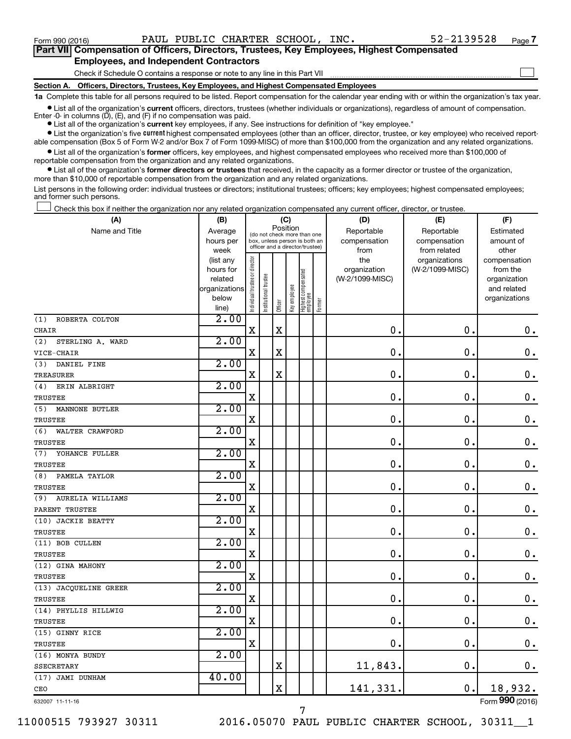$\Box$ 

| Part VII Compensation of Officers, Directors, Trustees, Key Employees, Highest Compensated |  |  |  |
|--------------------------------------------------------------------------------------------|--|--|--|
| <b>Employees, and Independent Contractors</b>                                              |  |  |  |

Check if Schedule O contains a response or note to any line in this Part VII

**Section A. Officers, Directors, Trustees, Key Employees, and Highest Compensated Employees**

**1a**  Complete this table for all persons required to be listed. Report compensation for the calendar year ending with or within the organization's tax year.

**•** List all of the organization's current officers, directors, trustees (whether individuals or organizations), regardless of amount of compensation. Enter -0- in columns  $(D)$ ,  $(E)$ , and  $(F)$  if no compensation was paid.

**•** List all of the organization's **current** key employees, if any. See instructions for definition of "key employee."

**•** List the organization's five current highest compensated employees (other than an officer, director, trustee, or key employee) who received reportable compensation (Box 5 of Form W-2 and/or Box 7 of Form 1099-MISC) of more than \$100,000 from the organization and any related organizations.

**•** List all of the organization's former officers, key employees, and highest compensated employees who received more than \$100,000 of reportable compensation from the organization and any related organizations.

**•** List all of the organization's former directors or trustees that received, in the capacity as a former director or trustee of the organization, more than \$10,000 of reportable compensation from the organization and any related organizations.

List persons in the following order: individual trustees or directors; institutional trustees; officers; key employees; highest compensated employees; and former such persons.

Check this box if neither the organization nor any related organization compensated any current officer, director, or trustee.  $\Box$ 

| (A)                     | (B)                    |                                |                                                                  | (C)                     |              |                                 |        | (D)                             | (E)                              | (F)                      |
|-------------------------|------------------------|--------------------------------|------------------------------------------------------------------|-------------------------|--------------|---------------------------------|--------|---------------------------------|----------------------------------|--------------------------|
| Name and Title          | Average                |                                | (do not check more than one                                      | Position                |              |                                 |        | Reportable                      | Reportable                       | Estimated                |
|                         | hours per              |                                | box, unless person is both an<br>officer and a director/trustee) |                         |              |                                 |        | compensation                    | compensation                     | amount of                |
|                         | week                   |                                |                                                                  |                         |              |                                 |        | from                            | from related                     | other                    |
|                         | (list any<br>hours for |                                |                                                                  |                         |              |                                 |        | the                             | organizations<br>(W-2/1099-MISC) | compensation<br>from the |
|                         | related                |                                |                                                                  |                         |              |                                 |        | organization<br>(W-2/1099-MISC) |                                  | organization             |
|                         | organizations          |                                |                                                                  |                         |              |                                 |        |                                 |                                  | and related              |
|                         | below                  |                                |                                                                  |                         |              |                                 |        |                                 |                                  | organizations            |
|                         | line)                  | Individual trustee or director | Institutional trustee                                            | Officer                 | Key employee | Highest compensated<br>employee | Former |                                 |                                  |                          |
| (1)<br>ROBERTA COLTON   | 2.00                   |                                |                                                                  |                         |              |                                 |        |                                 |                                  |                          |
| <b>CHAIR</b>            |                        | $\mathbf X$                    |                                                                  | $\mathbf X$             |              |                                 |        | 0.                              | 0.                               | $\mathbf 0$ .            |
| (2)<br>STERLING A. WARD | 2.00                   |                                |                                                                  |                         |              |                                 |        |                                 |                                  |                          |
| VICE-CHAIR              |                        | $\mathbf X$                    |                                                                  | $\rm X$                 |              |                                 |        | $\mathbf 0$ .                   | $\mathbf 0$ .                    | $\mathbf 0$ .            |
| DANIEL FINE<br>(3)      | 2.00                   |                                |                                                                  |                         |              |                                 |        |                                 |                                  |                          |
| <b>TREASURER</b>        |                        | X                              |                                                                  | $\mathbf X$             |              |                                 |        | $\mathbf 0$ .                   | $\mathbf 0$ .                    | $\boldsymbol{0}$ .       |
| ERIN ALBRIGHT<br>(4)    | 2.00                   |                                |                                                                  |                         |              |                                 |        |                                 |                                  |                          |
| TRUSTEE                 |                        | $\mathbf X$                    |                                                                  |                         |              |                                 |        | $\mathbf 0$ .                   | $\mathbf 0$ .                    | $\mathbf 0$ .            |
| MANNONE BUTLER<br>(5)   | 2.00                   |                                |                                                                  |                         |              |                                 |        |                                 |                                  |                          |
| <b>TRUSTEE</b>          |                        | X                              |                                                                  |                         |              |                                 |        | $\mathbf 0$                     | $\mathbf 0$ .                    | $\mathbf 0$ .            |
| (6)<br>WALTER CRAWFORD  | 2.00                   |                                |                                                                  |                         |              |                                 |        |                                 |                                  |                          |
| TRUSTEE                 |                        | $\mathbf X$                    |                                                                  |                         |              |                                 |        | $\mathbf 0$                     | $\mathbf 0$ .                    | $0$ .                    |
| YOHANCE FULLER<br>(7)   | 2.00                   |                                |                                                                  |                         |              |                                 |        |                                 |                                  |                          |
| <b>TRUSTEE</b>          |                        | X                              |                                                                  |                         |              |                                 |        | $\mathbf 0$                     | $\mathbf 0$ .                    | $\mathbf 0$ .            |
| (8)<br>PAMELA TAYLOR    | 2.00                   |                                |                                                                  |                         |              |                                 |        |                                 |                                  |                          |
| <b>TRUSTEE</b>          |                        | $\mathbf X$                    |                                                                  |                         |              |                                 |        | $\mathbf 0$                     | $\mathbf 0$ .                    | $\mathbf 0$ .            |
| (9)<br>AURELIA WILLIAMS | 2.00                   |                                |                                                                  |                         |              |                                 |        |                                 |                                  |                          |
| PARENT TRUSTEE          |                        | $\mathbf X$                    |                                                                  |                         |              |                                 |        | $\mathbf 0$                     | $\mathbf 0$ .                    | $\mathbf 0$ .            |
| (10) JACKIE BEATTY      | 2.00                   |                                |                                                                  |                         |              |                                 |        |                                 |                                  |                          |
| <b>TRUSTEE</b>          |                        | $\rm X$                        |                                                                  |                         |              |                                 |        | $\mathbf 0$                     | $\mathbf 0$ .                    | $\mathbf 0$ .            |
| (11) BOB CULLEN         | 2.00                   |                                |                                                                  |                         |              |                                 |        |                                 |                                  |                          |
| <b>TRUSTEE</b>          |                        | X                              |                                                                  |                         |              |                                 |        | 0                               | $\mathbf 0$ .                    | $\mathbf 0$ .            |
| (12) GINA MAHONY        | 2.00                   |                                |                                                                  |                         |              |                                 |        |                                 |                                  |                          |
| <b>TRUSTEE</b>          |                        | $\mathbf X$                    |                                                                  |                         |              |                                 |        | $\mathbf 0$                     | $\mathbf 0$ .                    | $\mathbf 0$ .            |
| (13) JACQUELINE GREER   | 2.00                   |                                |                                                                  |                         |              |                                 |        |                                 |                                  |                          |
| TRUSTEE                 |                        | X                              |                                                                  |                         |              |                                 |        | $\mathbf 0$                     | $\mathbf 0$ .                    | $\boldsymbol{0}$ .       |
| (14) PHYLLIS HILLWIG    | 2.00                   |                                |                                                                  |                         |              |                                 |        |                                 |                                  |                          |
| TRUSTEE                 |                        | $\mathbf X$                    |                                                                  |                         |              |                                 |        | $\mathbf 0$                     | $\mathbf 0$ .                    | 0.                       |
| (15) GINNY RICE         | 2.00                   |                                |                                                                  |                         |              |                                 |        |                                 |                                  |                          |
| <b>TRUSTEE</b>          |                        | $\mathbf X$                    |                                                                  |                         |              |                                 |        | 0.                              | $\mathbf 0$ .                    | 0.                       |
| (16) MONYA BUNDY        | 2.00                   |                                |                                                                  |                         |              |                                 |        |                                 |                                  |                          |
| <b>SSECRETARY</b>       |                        |                                |                                                                  | $\mathbf X$             |              |                                 |        | 11,843.                         | $\mathbf 0$ .                    | 0.                       |
| (17) JAMI DUNHAM        | 40.00                  |                                |                                                                  |                         |              |                                 |        |                                 |                                  |                          |
| CEO                     |                        |                                |                                                                  | $\overline{\mathbf{X}}$ |              |                                 |        | 141,331.                        | 0.                               | 18,932.                  |

632007 11-11-16

7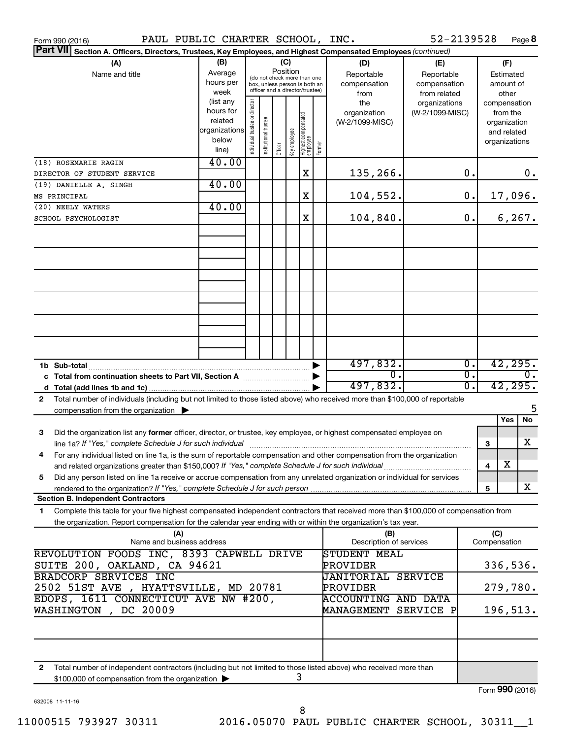| PAUL PUBLIC CHARTER SCHOOL, INC.<br>Form 990 (2016)                                                                                                                                                                                            |                                                                      |                                |                                                                                                                                                                 |         |              |                                 |        |                                                   | 52-2139528                       |                                        |              | Page 8                                                                   |
|------------------------------------------------------------------------------------------------------------------------------------------------------------------------------------------------------------------------------------------------|----------------------------------------------------------------------|--------------------------------|-----------------------------------------------------------------------------------------------------------------------------------------------------------------|---------|--------------|---------------------------------|--------|---------------------------------------------------|----------------------------------|----------------------------------------|--------------|--------------------------------------------------------------------------|
| Part VII Section A. Officers, Directors, Trustees, Key Employees, and Highest Compensated Employees (continued)                                                                                                                                |                                                                      |                                |                                                                                                                                                                 |         |              |                                 |        |                                                   |                                  |                                        |              |                                                                          |
| (A)<br>Name and title                                                                                                                                                                                                                          | (B)<br>Average<br>hours per<br>week                                  |                                | (C)<br>(D)<br>Position<br>Reportable<br>(do not check more than one<br>compensation<br>box, unless person is both an<br>officer and a director/trustee)<br>from |         |              |                                 |        | (E)<br>Reportable<br>compensation<br>from related |                                  | (F)<br>Estimated<br>amount of<br>other |              |                                                                          |
|                                                                                                                                                                                                                                                | (list any<br>hours for<br>related<br>organizations<br>below<br>line) | Individual trustee or director | Institutional trustee                                                                                                                                           | Officer | Key employee | Highest compensated<br>employee | Former | the<br>organization<br>(W-2/1099-MISC)            | organizations<br>(W-2/1099-MISC) |                                        |              | compensation<br>from the<br>organization<br>and related<br>organizations |
| (18) ROSEMARIE RAGIN                                                                                                                                                                                                                           | 40.00                                                                |                                |                                                                                                                                                                 |         |              |                                 |        |                                                   |                                  |                                        |              |                                                                          |
| DIRECTOR OF STUDENT SERVICE                                                                                                                                                                                                                    | 40.00                                                                |                                |                                                                                                                                                                 |         |              | X                               |        | 135,266.                                          |                                  | 0.                                     |              | 0.                                                                       |
| (19) DANIELLE A. SINGH<br>MS PRINCIPAL                                                                                                                                                                                                         |                                                                      |                                |                                                                                                                                                                 |         |              | X                               |        | 104,552.                                          |                                  | 0.                                     |              | 17,096.                                                                  |
| (20) NEELY WATERS                                                                                                                                                                                                                              | 40.00                                                                |                                |                                                                                                                                                                 |         |              |                                 |        |                                                   |                                  |                                        |              |                                                                          |
| SCHOOL PSYCHOLOGIST                                                                                                                                                                                                                            |                                                                      |                                |                                                                                                                                                                 |         |              | X                               |        | 104,840.                                          |                                  | 0.                                     |              | 6, 267.                                                                  |
|                                                                                                                                                                                                                                                |                                                                      |                                |                                                                                                                                                                 |         |              |                                 |        |                                                   |                                  |                                        |              |                                                                          |
|                                                                                                                                                                                                                                                |                                                                      |                                |                                                                                                                                                                 |         |              |                                 |        |                                                   |                                  |                                        |              |                                                                          |
|                                                                                                                                                                                                                                                |                                                                      |                                |                                                                                                                                                                 |         |              |                                 |        |                                                   |                                  |                                        |              |                                                                          |
|                                                                                                                                                                                                                                                |                                                                      |                                |                                                                                                                                                                 |         |              |                                 |        |                                                   |                                  |                                        |              |                                                                          |
|                                                                                                                                                                                                                                                |                                                                      |                                |                                                                                                                                                                 |         |              |                                 |        |                                                   |                                  |                                        |              |                                                                          |
|                                                                                                                                                                                                                                                |                                                                      |                                |                                                                                                                                                                 |         |              |                                 |        |                                                   |                                  |                                        |              |                                                                          |
|                                                                                                                                                                                                                                                | 497,832.                                                             |                                |                                                                                                                                                                 |         |              |                                 |        | $\overline{0}$ .                                  |                                  | 42,295.                                |              |                                                                          |
|                                                                                                                                                                                                                                                |                                                                      |                                |                                                                                                                                                                 |         |              |                                 |        | σ.<br>497,832.                                    |                                  | $\overline{0}$ .<br>σ.                 |              | Ο.<br>42, 295.                                                           |
| Total number of individuals (including but not limited to those listed above) who received more than \$100,000 of reportable<br>$\mathbf{2}$                                                                                                   |                                                                      |                                |                                                                                                                                                                 |         |              |                                 |        |                                                   |                                  |                                        |              |                                                                          |
| compensation from the organization $\blacktriangleright$                                                                                                                                                                                       |                                                                      |                                |                                                                                                                                                                 |         |              |                                 |        |                                                   |                                  |                                        |              | 5<br>No<br>Yes                                                           |
| Did the organization list any former officer, director, or trustee, key employee, or highest compensated employee on<br>З                                                                                                                      |                                                                      |                                |                                                                                                                                                                 |         |              |                                 |        |                                                   |                                  |                                        |              | X                                                                        |
| line 1a? If "Yes," complete Schedule J for such individual manufacture content to the state of the schedule J<br>For any individual listed on line 1a, is the sum of reportable compensation and other compensation from the organization<br>4 |                                                                      |                                |                                                                                                                                                                 |         |              |                                 |        |                                                   |                                  |                                        | 3            |                                                                          |
|                                                                                                                                                                                                                                                |                                                                      |                                |                                                                                                                                                                 |         |              |                                 |        |                                                   |                                  |                                        | 4            | х                                                                        |
| Did any person listed on line 1a receive or accrue compensation from any unrelated organization or individual for services<br>5<br>rendered to the organization? If "Yes," complete Schedule J for such person.                                |                                                                      |                                |                                                                                                                                                                 |         |              |                                 |        |                                                   |                                  |                                        | 5            | X                                                                        |
| <b>Section B. Independent Contractors</b>                                                                                                                                                                                                      |                                                                      |                                |                                                                                                                                                                 |         |              |                                 |        |                                                   |                                  |                                        |              |                                                                          |
| Complete this table for your five highest compensated independent contractors that received more than \$100,000 of compensation from<br>1                                                                                                      |                                                                      |                                |                                                                                                                                                                 |         |              |                                 |        |                                                   |                                  |                                        |              |                                                                          |
| the organization. Report compensation for the calendar year ending with or within the organization's tax year.<br>(A)<br>Name and business address                                                                                             |                                                                      |                                |                                                                                                                                                                 |         |              |                                 |        | (B)<br>Description of services                    |                                  |                                        | (C)          |                                                                          |
| REVOLUTION FOODS INC, 8393 CAPWELL DRIVE                                                                                                                                                                                                       |                                                                      |                                |                                                                                                                                                                 |         |              |                                 |        | <b>STUDENT MEAL</b>                               |                                  |                                        | Compensation |                                                                          |
| SUITE 200, OAKLAND, CA 94621<br>BRADCORP SERVICES INC                                                                                                                                                                                          |                                                                      |                                |                                                                                                                                                                 |         |              |                                 |        | PROVIDER<br><b>JANITORIAL SERVICE</b>             |                                  |                                        |              | 336,536.                                                                 |
| 2502 51ST AVE , HYATTSVILLE, MD 20781                                                                                                                                                                                                          |                                                                      |                                |                                                                                                                                                                 |         |              |                                 |        | PROVIDER                                          |                                  |                                        |              | 279,780.                                                                 |
| EDOPS, 1611 CONNECTICUT AVE NW #200,                                                                                                                                                                                                           |                                                                      |                                |                                                                                                                                                                 |         |              |                                 |        | <b>ACCOUNTING AND DATA</b>                        |                                  |                                        |              |                                                                          |
| WASHINGTON, DC 20009                                                                                                                                                                                                                           |                                                                      |                                |                                                                                                                                                                 |         |              |                                 |        | MANAGEMENT SERVICE P                              |                                  |                                        |              | 196,513.                                                                 |
|                                                                                                                                                                                                                                                |                                                                      |                                |                                                                                                                                                                 |         |              |                                 |        |                                                   |                                  |                                        |              |                                                                          |
| Total number of independent contractors (including but not limited to those listed above) who received more than<br>$\mathbf{2}$<br>\$100,000 of compensation from the organization $\blacktriangleright$                                      |                                                                      |                                |                                                                                                                                                                 |         |              | 3                               |        |                                                   |                                  |                                        |              |                                                                          |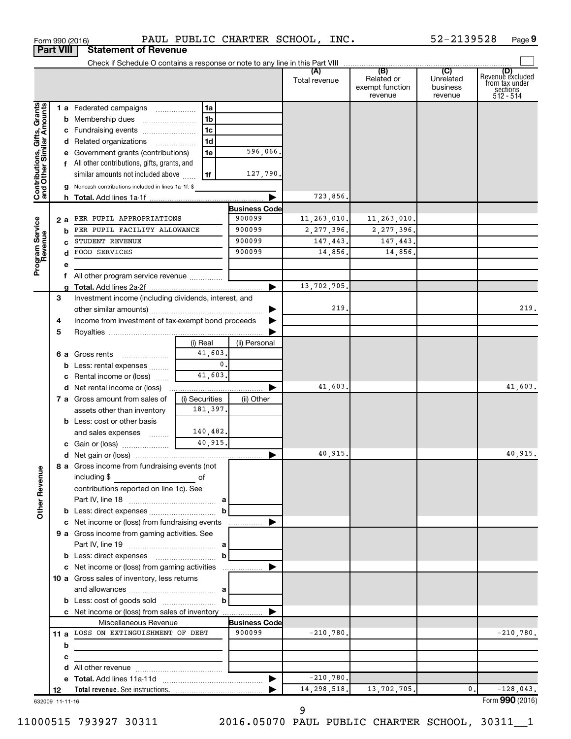|                                                           | <b>Part VIII</b> | <b>Statement of Revenue</b>                                                        |                     |                      |                      |                                                 |                                         |                                                                    |
|-----------------------------------------------------------|------------------|------------------------------------------------------------------------------------|---------------------|----------------------|----------------------|-------------------------------------------------|-----------------------------------------|--------------------------------------------------------------------|
|                                                           |                  |                                                                                    |                     |                      |                      |                                                 |                                         |                                                                    |
|                                                           |                  |                                                                                    |                     |                      | (A)<br>Total revenue | (B)<br>Related or<br>exempt function<br>revenue | (C)<br>Unrelated<br>business<br>revenue | (D)<br>Revenuè excluded<br>trom tax under<br>sections<br>512 - 514 |
|                                                           |                  | 1 a Federated campaigns                                                            | 1a                  |                      |                      |                                                 |                                         |                                                                    |
|                                                           |                  | <b>b</b> Membership dues                                                           | 1 <sub>b</sub>      |                      |                      |                                                 |                                         |                                                                    |
|                                                           |                  | c Fundraising events                                                               | 1 <sub>c</sub>      |                      |                      |                                                 |                                         |                                                                    |
|                                                           |                  | d Related organizations                                                            | 1 <sub>d</sub>      |                      |                      |                                                 |                                         |                                                                    |
|                                                           |                  | e Government grants (contributions)                                                | 1e                  | 596,066.             |                      |                                                 |                                         |                                                                    |
|                                                           |                  | f All other contributions, gifts, grants, and                                      |                     |                      |                      |                                                 |                                         |                                                                    |
|                                                           |                  | similar amounts not included above                                                 | 1f                  | 127,790.             |                      |                                                 |                                         |                                                                    |
| Contributions, Gifts, Grants<br>and Other Similar Amounts |                  | g Noncash contributions included in lines 1a-1f: \$                                |                     |                      |                      |                                                 |                                         |                                                                    |
|                                                           |                  |                                                                                    |                     |                      | 723,856.             |                                                 |                                         |                                                                    |
|                                                           |                  |                                                                                    |                     | <b>Business Code</b> |                      |                                                 |                                         |                                                                    |
|                                                           | 2 a              | PER PUPIL APPROPRIATIONS                                                           |                     | 900099               | 11,263,010.          | 11,263,010.                                     |                                         |                                                                    |
| Program Service<br>Revenue                                |                  | PER PUPIL FACILITY ALLOWANCE                                                       |                     | 900099               | 2, 277, 396.         | 2, 277, 396.                                    |                                         |                                                                    |
|                                                           |                  | STUDENT REVENUE                                                                    |                     | 900099               | 147,443.             | 147,443.                                        |                                         |                                                                    |
|                                                           |                  | FOOD SERVICES                                                                      |                     | 900099               | 14,856.              | 14,856.                                         |                                         |                                                                    |
|                                                           | е                |                                                                                    |                     |                      |                      |                                                 |                                         |                                                                    |
|                                                           |                  | f All other program service revenue <i>mimimini</i>                                |                     |                      |                      |                                                 |                                         |                                                                    |
|                                                           |                  |                                                                                    |                     |                      | 13,702,705.          |                                                 |                                         |                                                                    |
|                                                           | 3                | Investment income (including dividends, interest, and                              |                     |                      | 219.                 |                                                 |                                         |                                                                    |
|                                                           |                  |                                                                                    |                     |                      |                      |                                                 |                                         | 219.                                                               |
|                                                           | 4                | Income from investment of tax-exempt bond proceeds                                 |                     |                      |                      |                                                 |                                         |                                                                    |
|                                                           | 5                |                                                                                    |                     |                      |                      |                                                 |                                         |                                                                    |
|                                                           |                  |                                                                                    | (i) Real<br>41,603. | (ii) Personal        |                      |                                                 |                                         |                                                                    |
|                                                           |                  | 6 a Gross rents<br>$\ldots \ldots \ldots \ldots$<br><b>b</b> Less: rental expenses | $\mathbf{0}$ .      |                      |                      |                                                 |                                         |                                                                    |
|                                                           |                  | c Rental income or (loss)                                                          | 41,603.             |                      |                      |                                                 |                                         |                                                                    |
|                                                           |                  | <b>d</b> Net rental income or (loss)                                               |                     |                      | 41,603.              |                                                 |                                         | 41,603.                                                            |
|                                                           |                  | 7 a Gross amount from sales of                                                     | (i) Securities      | (ii) Other           |                      |                                                 |                                         |                                                                    |
|                                                           |                  | assets other than inventory                                                        | 181,397.            |                      |                      |                                                 |                                         |                                                                    |
|                                                           |                  | <b>b</b> Less: cost or other basis                                                 |                     |                      |                      |                                                 |                                         |                                                                    |
|                                                           |                  | and sales expenses                                                                 | 140,482.            |                      |                      |                                                 |                                         |                                                                    |
|                                                           |                  | c Gain or (loss)                                                                   | 40,915.             |                      |                      |                                                 |                                         |                                                                    |
|                                                           |                  |                                                                                    |                     |                      | 40,915.              |                                                 |                                         | 40,915.                                                            |
|                                                           |                  | 8 a Gross income from fundraising events (not                                      |                     |                      |                      |                                                 |                                         |                                                                    |
| <b>Other Revenue</b>                                      |                  | including $$$<br>and the contract of the contract of                               |                     |                      |                      |                                                 |                                         |                                                                    |
|                                                           |                  | contributions reported on line 1c). See                                            |                     |                      |                      |                                                 |                                         |                                                                    |
|                                                           |                  |                                                                                    |                     |                      |                      |                                                 |                                         |                                                                    |
|                                                           |                  |                                                                                    | b                   |                      |                      |                                                 |                                         |                                                                    |
|                                                           |                  | c Net income or (loss) from fundraising events                                     |                     | .                    |                      |                                                 |                                         |                                                                    |
|                                                           |                  | 9 a Gross income from gaming activities. See                                       |                     |                      |                      |                                                 |                                         |                                                                    |
|                                                           |                  |                                                                                    |                     |                      |                      |                                                 |                                         |                                                                    |
|                                                           |                  | <b>b</b> Less: direct expenses <b>manually b</b>                                   |                     |                      |                      |                                                 |                                         |                                                                    |
|                                                           |                  | c Net income or (loss) from gaming activities                                      |                     | ▶                    |                      |                                                 |                                         |                                                                    |
|                                                           |                  | <b>10 a</b> Gross sales of inventory, less returns                                 |                     |                      |                      |                                                 |                                         |                                                                    |
|                                                           |                  |                                                                                    |                     |                      |                      |                                                 |                                         |                                                                    |
|                                                           |                  |                                                                                    |                     |                      |                      |                                                 |                                         |                                                                    |
|                                                           |                  | c Net income or (loss) from sales of inventory                                     |                     |                      |                      |                                                 |                                         |                                                                    |
|                                                           |                  | Miscellaneous Revenue                                                              |                     | <b>Business Code</b> |                      |                                                 |                                         |                                                                    |
|                                                           |                  | 11 a LOSS ON EXTINGUISHMENT OF DEBT                                                |                     | 900099               | $-210,780.$          |                                                 |                                         | $-210,780.$                                                        |
|                                                           | b                |                                                                                    |                     |                      |                      |                                                 |                                         |                                                                    |
|                                                           | с                |                                                                                    |                     |                      |                      |                                                 |                                         |                                                                    |
|                                                           |                  |                                                                                    |                     |                      |                      |                                                 |                                         |                                                                    |
|                                                           |                  |                                                                                    |                     | ▶                    | $-210,780.$          |                                                 |                                         |                                                                    |
|                                                           | 12               |                                                                                    |                     |                      | 14, 298, 518.        | 13,702,705.                                     | 0.                                      | $-128,043.$                                                        |

632009 11-11-16

9

Form (2016) **990**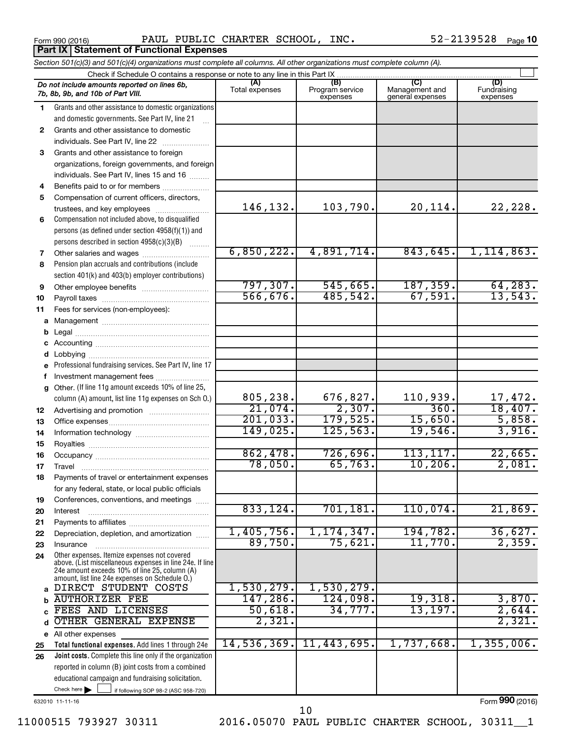**Part IX Statement of Functional Expenses** 

Form 990 (2016) Page PAUL PUBLIC CHARTER SCHOOL, INC. 52-2139528

52-2139528 Page 10

|              | Section 501(c)(3) and 501(c)(4) organizations must complete all columns. All other organizations must complete column (A). |                     |                             |                                    |                         |
|--------------|----------------------------------------------------------------------------------------------------------------------------|---------------------|-----------------------------|------------------------------------|-------------------------|
|              | Check if Schedule O contains a response or note to any line in this Part IX                                                | (A)                 | (B)                         | (C)                                | (D)                     |
|              | Do not include amounts reported on lines 6b,<br>7b, 8b, 9b, and 10b of Part VIII.                                          | Total expenses      | Program service<br>expenses | Management and<br>general expenses | Fundraising<br>expenses |
| 1            | Grants and other assistance to domestic organizations                                                                      |                     |                             |                                    |                         |
|              | and domestic governments. See Part IV, line 21                                                                             |                     |                             |                                    |                         |
| $\mathbf{2}$ | Grants and other assistance to domestic                                                                                    |                     |                             |                                    |                         |
|              | individuals. See Part IV, line 22                                                                                          |                     |                             |                                    |                         |
| 3            | Grants and other assistance to foreign                                                                                     |                     |                             |                                    |                         |
|              | organizations, foreign governments, and foreign                                                                            |                     |                             |                                    |                         |
|              | individuals. See Part IV, lines 15 and 16                                                                                  |                     |                             |                                    |                         |
| 4            |                                                                                                                            |                     |                             |                                    |                         |
| 5            | Compensation of current officers, directors,                                                                               |                     |                             |                                    |                         |
|              | trustees, and key employees                                                                                                | 146,132.            | 103,790.                    | 20,114.                            | 22, 228.                |
| 6            | Compensation not included above, to disqualified                                                                           |                     |                             |                                    |                         |
|              | persons (as defined under section 4958(f)(1)) and                                                                          |                     |                             |                                    |                         |
|              | persons described in section 4958(c)(3)(B)                                                                                 |                     |                             |                                    |                         |
| 7            |                                                                                                                            | 6,850,222.          | 4,891,714.                  | 843,645.                           | 1, 114, 863.            |
| 8            | Pension plan accruals and contributions (include                                                                           |                     |                             |                                    |                         |
|              | section 401(k) and 403(b) employer contributions)                                                                          |                     |                             |                                    |                         |
| 9            |                                                                                                                            | 797, 307.           | 545,665.                    | 187, 359.                          | 64, 283.                |
| 10           |                                                                                                                            | 566, 676.           | 485,542.                    | 67,591.                            | 13,543.                 |
| 11           | Fees for services (non-employees):                                                                                         |                     |                             |                                    |                         |
| а            |                                                                                                                            |                     |                             |                                    |                         |
| b            |                                                                                                                            |                     |                             |                                    |                         |
| с            |                                                                                                                            |                     |                             |                                    |                         |
| d            |                                                                                                                            |                     |                             |                                    |                         |
| е            | Professional fundraising services. See Part IV, line 17                                                                    |                     |                             |                                    |                         |
| f            | Investment management fees                                                                                                 |                     |                             |                                    |                         |
| g            | Other. (If line 11g amount exceeds 10% of line 25,                                                                         |                     |                             |                                    |                         |
|              | column (A) amount, list line 11g expenses on Sch O.)                                                                       | 805,238.            | 676,827.<br>2,307.          | 110,939.<br>360.                   | 17,472.<br>18,407.      |
| 12           |                                                                                                                            | 21,074.<br>201,033. |                             | 15,650.                            |                         |
| 13           |                                                                                                                            | 149,025.            | 179,525 <b>.</b>            | 19,546.                            | 5,858.<br>3,916.        |
| 14           |                                                                                                                            |                     | 125,563.                    |                                    |                         |
| 15           |                                                                                                                            | 862,478.            | 726,696.                    | 113, 117.                          | 22,665.                 |
| 16           |                                                                                                                            | 78,050.             | 65,763.                     | 10, 206.                           | 2,081.                  |
| 17           |                                                                                                                            |                     |                             |                                    |                         |
| 18           | Payments of travel or entertainment expenses                                                                               |                     |                             |                                    |                         |
|              | for any federal, state, or local public officials                                                                          |                     |                             |                                    |                         |
| 19           | Conferences, conventions, and meetings                                                                                     | 833,124.            | 701,181.                    | 110,074.                           | 21,869.                 |
| 20           | Interest                                                                                                                   |                     |                             |                                    |                         |
| 21           | Depreciation, depletion, and amortization                                                                                  | 1,405,756.          | 1, 174, 347.                | 194,782.                           | 36,627.                 |
| 22           | Insurance                                                                                                                  | 89,750.             | 75,621.                     | 11,770.                            | 2,359.                  |
| 23<br>24     | Other expenses. Itemize expenses not covered                                                                               |                     |                             |                                    |                         |
|              | above. (List miscellaneous expenses in line 24e. If line<br>24e amount exceeds 10% of line 25, column (A)                  |                     |                             |                                    |                         |
|              | amount, list line 24e expenses on Schedule O.)<br>DIRECT STUDENT COSTS                                                     | 1,530,279.          | 1,530,279.                  |                                    |                         |
| a            |                                                                                                                            | 147,286.            | 124,098.                    |                                    | 3,870.                  |
| b            | <b>AUTHORIZER FEE</b><br>FEES AND LICENSES                                                                                 | 50,618.             | 34,777.                     | 19,318.<br>13, 197.                | 2,644.                  |
|              | OTHER GENERAL EXPENSE                                                                                                      | 2,321.              |                             |                                    | 2,321.                  |
| d            |                                                                                                                            |                     |                             |                                    |                         |
|              | e All other expenses                                                                                                       | 14,536,369.         | 11,443,695.                 | 1,737,668.                         | 1,355,006.              |
| 25           | Total functional expenses. Add lines 1 through 24e<br>Joint costs. Complete this line only if the organization             |                     |                             |                                    |                         |
| 26           |                                                                                                                            |                     |                             |                                    |                         |
|              | reported in column (B) joint costs from a combined                                                                         |                     |                             |                                    |                         |
|              | educational campaign and fundraising solicitation.<br>Check here<br>if following SOP 98-2 (ASC 958-720)                    |                     |                             |                                    |                         |
|              |                                                                                                                            |                     |                             |                                    |                         |

632010 11-11-16

Form (2016) **990**

10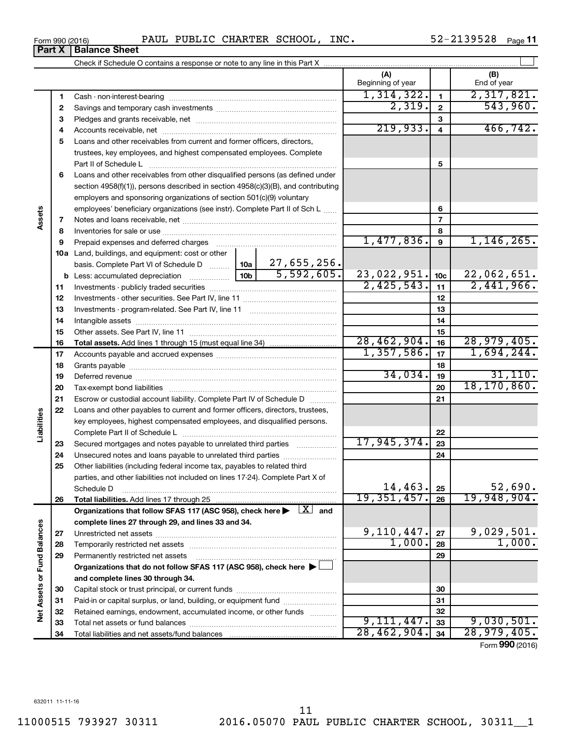**34**

Total liabilities and net assets/fund balances

**34**

28,462,904. 28,979,405.

Form (2016) **990**

| Form 990 (2016) |                               |  | PAUL PUBLIC CHARTER SCHOOL, | INC. | 52-2139528 | Page 1 <sup>+</sup> |
|-----------------|-------------------------------|--|-----------------------------|------|------------|---------------------|
|                 | <b>Part X   Balance Sheet</b> |  |                             |      |            |                     |

Check if Schedule O contains a response or note to any line in this Part X

|                             |              |                                                                                                                                                                                                                               |  | (A)<br>Beginning of year |                 | (B)<br>End of year |
|-----------------------------|--------------|-------------------------------------------------------------------------------------------------------------------------------------------------------------------------------------------------------------------------------|--|--------------------------|-----------------|--------------------|
|                             | 1            |                                                                                                                                                                                                                               |  | 1,314,322.               | $\mathbf{1}$    | 2,317,821.         |
|                             | $\mathbf{2}$ |                                                                                                                                                                                                                               |  | 2,319.                   | $\mathbf{2}$    | 543,960.           |
|                             | 3            |                                                                                                                                                                                                                               |  |                          | 3               |                    |
|                             | 4            |                                                                                                                                                                                                                               |  | 219,933.                 | $\overline{4}$  | 466, 742.          |
|                             | 5            | Loans and other receivables from current and former officers, directors,                                                                                                                                                      |  |                          |                 |                    |
|                             |              | trustees, key employees, and highest compensated employees. Complete                                                                                                                                                          |  |                          |                 |                    |
|                             |              |                                                                                                                                                                                                                               |  |                          | 5               |                    |
|                             | 6            | Loans and other receivables from other disqualified persons (as defined under                                                                                                                                                 |  |                          |                 |                    |
|                             |              | section 4958(f)(1)), persons described in section 4958(c)(3)(B), and contributing                                                                                                                                             |  |                          |                 |                    |
|                             |              | employers and sponsoring organizations of section 501(c)(9) voluntary                                                                                                                                                         |  |                          |                 |                    |
|                             |              | employees' beneficiary organizations (see instr). Complete Part II of Sch L                                                                                                                                                   |  |                          | 6               |                    |
| Assets                      | 7            |                                                                                                                                                                                                                               |  |                          | $\overline{7}$  |                    |
|                             | 8            |                                                                                                                                                                                                                               |  |                          | 8               |                    |
|                             | 9            | Prepaid expenses and deferred charges [11] [11] Prepaid expenses and deferred charges [11] [11] Martin Marian Marian Marian Marian Marian Marian Marian Marian Marian Marian Marian Marian Marian Marian Marian Marian Marian |  | 1,477,836.               | 9               | 1, 146, 265.       |
|                             |              | <b>10a</b> Land, buildings, and equipment: cost or other                                                                                                                                                                      |  |                          |                 |                    |
|                             |              | basis. Complete Part VI of Schedule D    10a   27, 655, 256.                                                                                                                                                                  |  |                          |                 |                    |
|                             |              | $\overline{5,592,605.}$<br>10 <sub>b</sub><br><b>b</b> Less: accumulated depreciation <i>mimimimini</i>                                                                                                                       |  | 23,022,951.              | 10 <sub>c</sub> | 22,062,651.        |
|                             | 11           |                                                                                                                                                                                                                               |  | 2,425,543.               | 11              | 2,441,966.         |
|                             | 12           |                                                                                                                                                                                                                               |  |                          | 12              |                    |
|                             | 13           |                                                                                                                                                                                                                               |  |                          | 13              |                    |
|                             | 14           |                                                                                                                                                                                                                               |  |                          | 14              |                    |
|                             | 15           |                                                                                                                                                                                                                               |  |                          | 15              |                    |
|                             | 16           |                                                                                                                                                                                                                               |  | 28,462,904.              | 16              | 28,979,405.        |
|                             | 17           |                                                                                                                                                                                                                               |  | 1,357,586.               | 17              | 1,694,244.         |
|                             | 18           |                                                                                                                                                                                                                               |  |                          | 18              |                    |
|                             | 19           |                                                                                                                                                                                                                               |  | 34,034.                  | 19              | 31,110.            |
|                             | 20           |                                                                                                                                                                                                                               |  |                          | 20              | 18, 170, 860.      |
|                             | 21           | Escrow or custodial account liability. Complete Part IV of Schedule D                                                                                                                                                         |  |                          | 21              |                    |
| Liabilities                 | 22           | Loans and other payables to current and former officers, directors, trustees,                                                                                                                                                 |  |                          |                 |                    |
|                             |              | key employees, highest compensated employees, and disqualified persons.                                                                                                                                                       |  |                          |                 |                    |
|                             |              |                                                                                                                                                                                                                               |  | 17,945,374.              | 22              |                    |
|                             | 23           | Secured mortgages and notes payable to unrelated third parties                                                                                                                                                                |  |                          | 23              |                    |
|                             | 24           |                                                                                                                                                                                                                               |  |                          | 24              |                    |
|                             | 25           | Other liabilities (including federal income tax, payables to related third<br>parties, and other liabilities not included on lines 17-24). Complete Part X of                                                                 |  |                          |                 |                    |
|                             |              | Schedule D                                                                                                                                                                                                                    |  | $14, 463$ . 25           |                 | 52,690.            |
|                             | 26           |                                                                                                                                                                                                                               |  | 19, 351, 457.            | 26              | 19,948,904.        |
|                             |              | Organizations that follow SFAS 117 (ASC 958), check here $\blacktriangleright \begin{array}{c} \boxed{X} \\ \end{array}$ and                                                                                                  |  |                          |                 |                    |
|                             |              | complete lines 27 through 29, and lines 33 and 34.                                                                                                                                                                            |  |                          |                 |                    |
|                             | 27           |                                                                                                                                                                                                                               |  | 9,110,447.               | 27              | 9,029,501.         |
|                             | 28           |                                                                                                                                                                                                                               |  | 1,000.                   | 28              | 1,000.             |
| Net Assets or Fund Balances | 29           | Permanently restricted net assets                                                                                                                                                                                             |  |                          | 29              |                    |
|                             |              | Organizations that do not follow SFAS 117 (ASC 958), check here ▶ □                                                                                                                                                           |  |                          |                 |                    |
|                             |              | and complete lines 30 through 34.                                                                                                                                                                                             |  |                          |                 |                    |
|                             | 30           |                                                                                                                                                                                                                               |  |                          | 30              |                    |
|                             | 31           | Paid-in or capital surplus, or land, building, or equipment fund                                                                                                                                                              |  |                          | 31              |                    |
|                             | 32           | Retained earnings, endowment, accumulated income, or other funds                                                                                                                                                              |  |                          | 32              |                    |
|                             | 33           |                                                                                                                                                                                                                               |  | 9,111,447.               | 33              | 9,030,501.         |

 $\perp$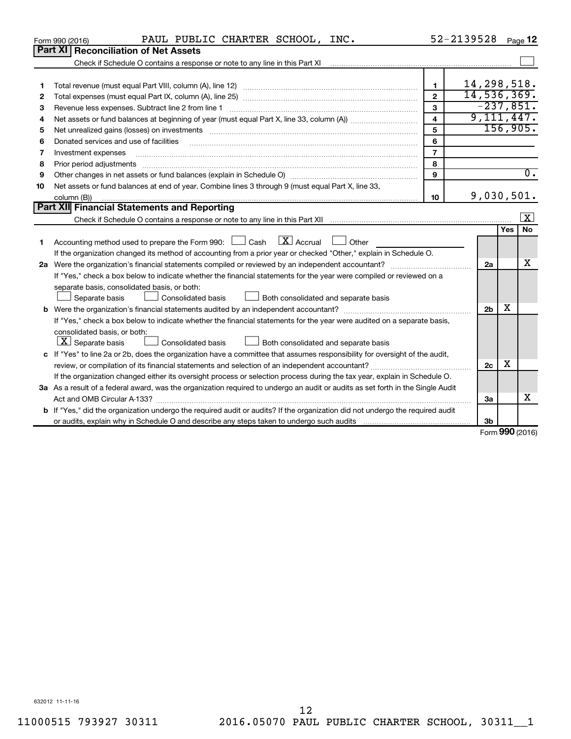|    | PAUL PUBLIC CHARTER SCHOOL, INC.<br>Form 990 (2016)                                                                                                                                                                            |                         | 52-2139528                 |     | Page 12                     |  |  |
|----|--------------------------------------------------------------------------------------------------------------------------------------------------------------------------------------------------------------------------------|-------------------------|----------------------------|-----|-----------------------------|--|--|
|    | <b>Part XI Reconciliation of Net Assets</b>                                                                                                                                                                                    |                         |                            |     |                             |  |  |
|    | Check if Schedule O contains a response or note to any line in this Part XI [11] [12] Check if Schedule O contains a response or note to any line in this Part XI                                                              |                         |                            |     |                             |  |  |
|    |                                                                                                                                                                                                                                |                         |                            |     |                             |  |  |
| 1  |                                                                                                                                                                                                                                | $\mathbf{1}$            | 14,298,518.                |     |                             |  |  |
| 2  |                                                                                                                                                                                                                                | $\mathbf{2}$            | 14,536,369.<br>$-237,851.$ |     |                             |  |  |
| з  | 3                                                                                                                                                                                                                              |                         |                            |     |                             |  |  |
| 4  |                                                                                                                                                                                                                                | $\overline{\mathbf{A}}$ | 9,111,447.                 |     |                             |  |  |
| 5  | Net unrealized gains (losses) on investments [111] matter in the contract of the contract of the contract of the contract of the contract of the contract of the contract of the contract of the contract of the contract of t | 5                       |                            |     | 156,905.                    |  |  |
| 6  | Donated services and use of facilities                                                                                                                                                                                         | 6                       |                            |     |                             |  |  |
| 7  | Investment expenses                                                                                                                                                                                                            | $\overline{7}$          |                            |     |                             |  |  |
| 8  | Prior period adjustments material contents and content and content and content and content and content and content and content and content and content and content and content and content and content and content and content | 8                       |                            |     |                             |  |  |
| 9  |                                                                                                                                                                                                                                | 9                       |                            |     | $\overline{0}$ .            |  |  |
| 10 | Net assets or fund balances at end of year. Combine lines 3 through 9 (must equal Part X, line 33,                                                                                                                             |                         |                            |     |                             |  |  |
|    | column (B))                                                                                                                                                                                                                    | 10                      | 9,030,501.                 |     |                             |  |  |
|    | Part XII Financial Statements and Reporting                                                                                                                                                                                    |                         |                            |     |                             |  |  |
|    |                                                                                                                                                                                                                                |                         |                            |     | X                           |  |  |
|    |                                                                                                                                                                                                                                |                         |                            | Yes | <b>No</b>                   |  |  |
| 1  | $\mathbf{X}$ Accrual<br>Accounting method used to prepare the Form 990: [130] Cash<br>Other                                                                                                                                    |                         |                            |     |                             |  |  |
|    | If the organization changed its method of accounting from a prior year or checked "Other," explain in Schedule O.                                                                                                              |                         |                            |     |                             |  |  |
|    |                                                                                                                                                                                                                                |                         | 2a                         |     | х                           |  |  |
|    | If "Yes," check a box below to indicate whether the financial statements for the year were compiled or reviewed on a                                                                                                           |                         |                            |     |                             |  |  |
|    | separate basis, consolidated basis, or both:                                                                                                                                                                                   |                         |                            |     |                             |  |  |
|    | Consolidated basis<br>Both consolidated and separate basis<br>Separate basis                                                                                                                                                   |                         |                            |     |                             |  |  |
|    |                                                                                                                                                                                                                                |                         | 2 <sub>b</sub>             | х   |                             |  |  |
|    | If "Yes," check a box below to indicate whether the financial statements for the year were audited on a separate basis,                                                                                                        |                         |                            |     |                             |  |  |
|    | consolidated basis, or both:                                                                                                                                                                                                   |                         |                            |     |                             |  |  |
|    | $ \mathbf{X} $ Separate basis<br><b>Consolidated basis</b><br>Both consolidated and separate basis                                                                                                                             |                         |                            |     |                             |  |  |
|    | c If "Yes" to line 2a or 2b, does the organization have a committee that assumes responsibility for oversight of the audit,                                                                                                    |                         |                            | х   |                             |  |  |
|    |                                                                                                                                                                                                                                |                         | 2c                         |     |                             |  |  |
|    | If the organization changed either its oversight process or selection process during the tax year, explain in Schedule O.                                                                                                      |                         |                            |     |                             |  |  |
|    | 3a As a result of a federal award, was the organization required to undergo an audit or audits as set forth in the Single Audit                                                                                                |                         |                            |     |                             |  |  |
|    |                                                                                                                                                                                                                                |                         | 3a                         |     | x                           |  |  |
|    | <b>b</b> If "Yes," did the organization undergo the required audit or audits? If the organization did not undergo the required audit                                                                                           |                         |                            |     |                             |  |  |
|    |                                                                                                                                                                                                                                |                         | 3 <sub>b</sub>             |     | $F_{\text{orm}}$ 990 (2016) |  |  |
|    |                                                                                                                                                                                                                                |                         |                            |     |                             |  |  |

Form (2016) **990**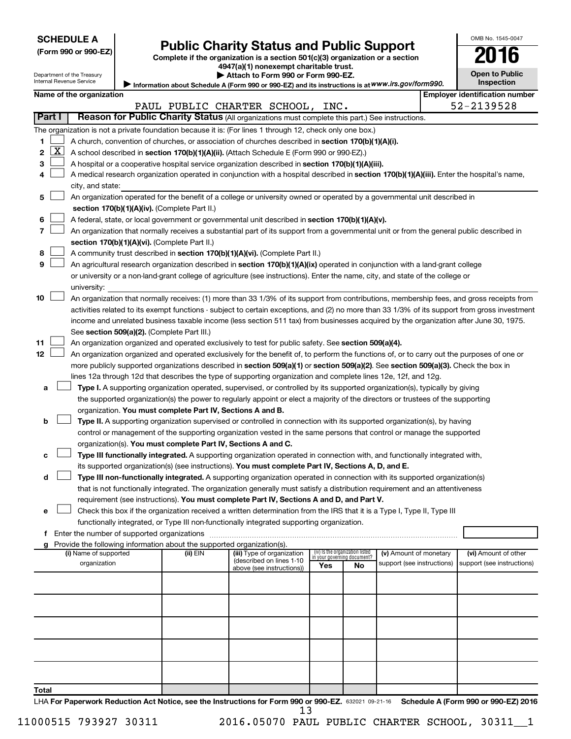Department of the Treasury Internal Revenue Service

|  |  | (Form 990 or 990-EZ |
|--|--|---------------------|
|--|--|---------------------|

# Form 990 or 990-EZ) **Public Charity Status and Public Support**<br>
Complete if the organization is a section 501(c)(3) organization or a section<br> **2016**

**4947(a)(1) nonexempt charitable trust. | Attach to Form 990 or Form 990-EZ.** 

| Open to Public<br>Inspection |  |
|------------------------------|--|

OMB No. 1545-0047

Information about Schedule A (Form 990 or 990-EZ) and its instructions is at WWW.irs.gov/form990.

|              |          | Name of the organization                                                                                                                                                                                             |          |                                                       |                                 |                             |                            |  | <b>Employer identification number</b> |  |  |
|--------------|----------|----------------------------------------------------------------------------------------------------------------------------------------------------------------------------------------------------------------------|----------|-------------------------------------------------------|---------------------------------|-----------------------------|----------------------------|--|---------------------------------------|--|--|
|              |          |                                                                                                                                                                                                                      |          | PAUL PUBLIC CHARTER SCHOOL, INC.                      |                                 |                             |                            |  | 52-2139528                            |  |  |
| Part I       |          | Reason for Public Charity Status (All organizations must complete this part.) See instructions.                                                                                                                      |          |                                                       |                                 |                             |                            |  |                                       |  |  |
|              |          | The organization is not a private foundation because it is: (For lines 1 through 12, check only one box.)                                                                                                            |          |                                                       |                                 |                             |                            |  |                                       |  |  |
| 1            |          | A church, convention of churches, or association of churches described in section 170(b)(1)(A)(i).                                                                                                                   |          |                                                       |                                 |                             |                            |  |                                       |  |  |
| $\mathbf{2}$ | <u>x</u> | A school described in section 170(b)(1)(A)(ii). (Attach Schedule E (Form 990 or 990-EZ).)                                                                                                                            |          |                                                       |                                 |                             |                            |  |                                       |  |  |
| з            |          | A hospital or a cooperative hospital service organization described in section 170(b)(1)(A)(iii).                                                                                                                    |          |                                                       |                                 |                             |                            |  |                                       |  |  |
|              |          | A medical research organization operated in conjunction with a hospital described in section 170(b)(1)(A)(iii). Enter the hospital's name,                                                                           |          |                                                       |                                 |                             |                            |  |                                       |  |  |
|              |          | city, and state:                                                                                                                                                                                                     |          |                                                       |                                 |                             |                            |  |                                       |  |  |
| 5            |          | An organization operated for the benefit of a college or university owned or operated by a governmental unit described in                                                                                            |          |                                                       |                                 |                             |                            |  |                                       |  |  |
|              |          | section 170(b)(1)(A)(iv). (Complete Part II.)                                                                                                                                                                        |          |                                                       |                                 |                             |                            |  |                                       |  |  |
| 6            |          | A federal, state, or local government or governmental unit described in section 170(b)(1)(A)(v).                                                                                                                     |          |                                                       |                                 |                             |                            |  |                                       |  |  |
|              |          | An organization that normally receives a substantial part of its support from a governmental unit or from the general public described in                                                                            |          |                                                       |                                 |                             |                            |  |                                       |  |  |
|              |          | section 170(b)(1)(A)(vi). (Complete Part II.)                                                                                                                                                                        |          |                                                       |                                 |                             |                            |  |                                       |  |  |
| 8            |          | A community trust described in section 170(b)(1)(A)(vi). (Complete Part II.)                                                                                                                                         |          |                                                       |                                 |                             |                            |  |                                       |  |  |
| 9            |          | An agricultural research organization described in section 170(b)(1)(A)(ix) operated in conjunction with a land-grant college                                                                                        |          |                                                       |                                 |                             |                            |  |                                       |  |  |
|              |          | or university or a non-land-grant college of agriculture (see instructions). Enter the name, city, and state of the college or                                                                                       |          |                                                       |                                 |                             |                            |  |                                       |  |  |
|              |          | university:                                                                                                                                                                                                          |          |                                                       |                                 |                             |                            |  |                                       |  |  |
| 10           |          | An organization that normally receives: (1) more than 33 1/3% of its support from contributions, membership fees, and gross receipts from                                                                            |          |                                                       |                                 |                             |                            |  |                                       |  |  |
|              |          | activities related to its exempt functions - subject to certain exceptions, and (2) no more than 33 1/3% of its support from gross investment                                                                        |          |                                                       |                                 |                             |                            |  |                                       |  |  |
|              |          | income and unrelated business taxable income (less section 511 tax) from businesses acquired by the organization after June 30, 1975.                                                                                |          |                                                       |                                 |                             |                            |  |                                       |  |  |
|              |          | See section 509(a)(2). (Complete Part III.)                                                                                                                                                                          |          |                                                       |                                 |                             |                            |  |                                       |  |  |
| 11           |          | An organization organized and operated exclusively to test for public safety. See section 509(a)(4).                                                                                                                 |          |                                                       |                                 |                             |                            |  |                                       |  |  |
| 12           |          | An organization organized and operated exclusively for the benefit of, to perform the functions of, or to carry out the purposes of one or                                                                           |          |                                                       |                                 |                             |                            |  |                                       |  |  |
|              |          | more publicly supported organizations described in section 509(a)(1) or section 509(a)(2). See section 509(a)(3). Check the box in                                                                                   |          |                                                       |                                 |                             |                            |  |                                       |  |  |
|              |          | lines 12a through 12d that describes the type of supporting organization and complete lines 12e, 12f, and 12g.                                                                                                       |          |                                                       |                                 |                             |                            |  |                                       |  |  |
| а            |          | Type I. A supporting organization operated, supervised, or controlled by its supported organization(s), typically by giving                                                                                          |          |                                                       |                                 |                             |                            |  |                                       |  |  |
|              |          | the supported organization(s) the power to regularly appoint or elect a majority of the directors or trustees of the supporting                                                                                      |          |                                                       |                                 |                             |                            |  |                                       |  |  |
|              |          | organization. You must complete Part IV, Sections A and B.                                                                                                                                                           |          |                                                       |                                 |                             |                            |  |                                       |  |  |
| b            |          | Type II. A supporting organization supervised or controlled in connection with its supported organization(s), by having                                                                                              |          |                                                       |                                 |                             |                            |  |                                       |  |  |
|              |          | control or management of the supporting organization vested in the same persons that control or manage the supported                                                                                                 |          |                                                       |                                 |                             |                            |  |                                       |  |  |
|              |          | organization(s). You must complete Part IV, Sections A and C.                                                                                                                                                        |          |                                                       |                                 |                             |                            |  |                                       |  |  |
| с            |          | Type III functionally integrated. A supporting organization operated in connection with, and functionally integrated with,                                                                                           |          |                                                       |                                 |                             |                            |  |                                       |  |  |
|              |          | its supported organization(s) (see instructions). You must complete Part IV, Sections A, D, and E.                                                                                                                   |          |                                                       |                                 |                             |                            |  |                                       |  |  |
| d            |          | Type III non-functionally integrated. A supporting organization operated in connection with its supported organization(s)                                                                                            |          |                                                       |                                 |                             |                            |  |                                       |  |  |
|              |          | that is not functionally integrated. The organization generally must satisfy a distribution requirement and an attentiveness                                                                                         |          |                                                       |                                 |                             |                            |  |                                       |  |  |
|              |          | requirement (see instructions). You must complete Part IV, Sections A and D, and Part V.                                                                                                                             |          |                                                       |                                 |                             |                            |  |                                       |  |  |
| е            |          | Check this box if the organization received a written determination from the IRS that it is a Type I, Type II, Type III<br>functionally integrated, or Type III non-functionally integrated supporting organization. |          |                                                       |                                 |                             |                            |  |                                       |  |  |
| f            |          |                                                                                                                                                                                                                      |          |                                                       |                                 |                             |                            |  |                                       |  |  |
|              |          | g Provide the following information about the supported organization(s).                                                                                                                                             |          |                                                       |                                 |                             |                            |  |                                       |  |  |
|              |          | (i) Name of supported                                                                                                                                                                                                | (ii) EIN | (iii) Type of organization                            | (iv) Is the organization listed | in your governing document? | (v) Amount of monetary     |  | (vi) Amount of other                  |  |  |
|              |          | organization                                                                                                                                                                                                         |          | (described on lines 1-10<br>above (see instructions)) | Yes                             | No                          | support (see instructions) |  | support (see instructions)            |  |  |
|              |          |                                                                                                                                                                                                                      |          |                                                       |                                 |                             |                            |  |                                       |  |  |
|              |          |                                                                                                                                                                                                                      |          |                                                       |                                 |                             |                            |  |                                       |  |  |
|              |          |                                                                                                                                                                                                                      |          |                                                       |                                 |                             |                            |  |                                       |  |  |
|              |          |                                                                                                                                                                                                                      |          |                                                       |                                 |                             |                            |  |                                       |  |  |
|              |          |                                                                                                                                                                                                                      |          |                                                       |                                 |                             |                            |  |                                       |  |  |
|              |          |                                                                                                                                                                                                                      |          |                                                       |                                 |                             |                            |  |                                       |  |  |
|              |          |                                                                                                                                                                                                                      |          |                                                       |                                 |                             |                            |  |                                       |  |  |
|              |          |                                                                                                                                                                                                                      |          |                                                       |                                 |                             |                            |  |                                       |  |  |
|              |          |                                                                                                                                                                                                                      |          |                                                       |                                 |                             |                            |  |                                       |  |  |
|              |          |                                                                                                                                                                                                                      |          |                                                       |                                 |                             |                            |  |                                       |  |  |
| Total        |          |                                                                                                                                                                                                                      |          |                                                       |                                 |                             |                            |  |                                       |  |  |

LHA For Paperwork Reduction Act Notice, see the Instructions for Form 990 or 990-EZ. 632021 09-21-16 Schedule A (Form 990 or 990-EZ) 2016 13

11000515 793927 30311 2016.05070 PAUL PUBLIC CHARTER SCHOOL, 30311\_\_1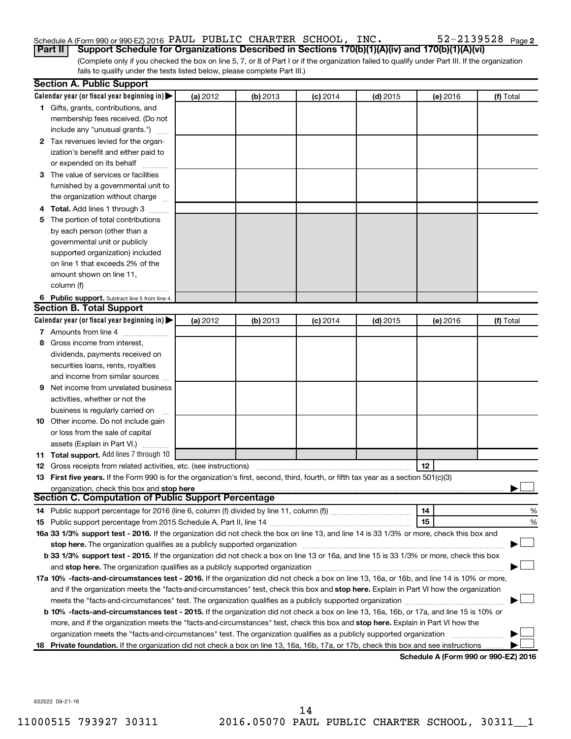# Schedule A (Form 990 or 990-EZ) 2016 PAUL PUBLIC CHARTER SCHOOL, INC.  $52-2139528$   $_{\rm Page}$

(Complete only if you checked the box on line 5, 7, or 8 of Part I or if the organization failed to qualify under Part III. If the organization **Part II Support Schedule for Organizations Described in Sections 170(b)(1)(A)(iv) and 170(b)(1)(A)(vi)**

fails to qualify under the tests listed below, please complete Part III.)

|     | <b>Section A. Public Support</b>                                                                                                                                                                                              |          |          |            |            |          |                                      |
|-----|-------------------------------------------------------------------------------------------------------------------------------------------------------------------------------------------------------------------------------|----------|----------|------------|------------|----------|--------------------------------------|
|     | Calendar year (or fiscal year beginning in)                                                                                                                                                                                   | (a) 2012 | (b) 2013 | $(c)$ 2014 | $(d)$ 2015 | (e) 2016 | (f) Total                            |
|     | 1 Gifts, grants, contributions, and                                                                                                                                                                                           |          |          |            |            |          |                                      |
|     | membership fees received. (Do not                                                                                                                                                                                             |          |          |            |            |          |                                      |
|     | include any "unusual grants.")                                                                                                                                                                                                |          |          |            |            |          |                                      |
|     | 2 Tax revenues levied for the organ-                                                                                                                                                                                          |          |          |            |            |          |                                      |
|     | ization's benefit and either paid to                                                                                                                                                                                          |          |          |            |            |          |                                      |
|     | or expended on its behalf                                                                                                                                                                                                     |          |          |            |            |          |                                      |
|     | 3 The value of services or facilities                                                                                                                                                                                         |          |          |            |            |          |                                      |
|     | furnished by a governmental unit to                                                                                                                                                                                           |          |          |            |            |          |                                      |
|     | the organization without charge                                                                                                                                                                                               |          |          |            |            |          |                                      |
| 4   | Total. Add lines 1 through 3                                                                                                                                                                                                  |          |          |            |            |          |                                      |
| 5   | The portion of total contributions                                                                                                                                                                                            |          |          |            |            |          |                                      |
|     | by each person (other than a                                                                                                                                                                                                  |          |          |            |            |          |                                      |
|     | governmental unit or publicly                                                                                                                                                                                                 |          |          |            |            |          |                                      |
|     | supported organization) included                                                                                                                                                                                              |          |          |            |            |          |                                      |
|     | on line 1 that exceeds 2% of the                                                                                                                                                                                              |          |          |            |            |          |                                      |
|     | amount shown on line 11,                                                                                                                                                                                                      |          |          |            |            |          |                                      |
|     | column (f)                                                                                                                                                                                                                    |          |          |            |            |          |                                      |
|     | 6 Public support. Subtract line 5 from line 4.                                                                                                                                                                                |          |          |            |            |          |                                      |
|     | <b>Section B. Total Support</b>                                                                                                                                                                                               |          |          |            |            |          |                                      |
|     | Calendar year (or fiscal year beginning in)                                                                                                                                                                                   | (a) 2012 | (b) 2013 | $(c)$ 2014 | $(d)$ 2015 | (e) 2016 | (f) Total                            |
|     | 7 Amounts from line 4                                                                                                                                                                                                         |          |          |            |            |          |                                      |
| 8   | Gross income from interest,                                                                                                                                                                                                   |          |          |            |            |          |                                      |
|     | dividends, payments received on                                                                                                                                                                                               |          |          |            |            |          |                                      |
|     | securities loans, rents, royalties                                                                                                                                                                                            |          |          |            |            |          |                                      |
|     | and income from similar sources                                                                                                                                                                                               |          |          |            |            |          |                                      |
| 9   | Net income from unrelated business                                                                                                                                                                                            |          |          |            |            |          |                                      |
|     | activities, whether or not the                                                                                                                                                                                                |          |          |            |            |          |                                      |
|     | business is regularly carried on                                                                                                                                                                                              |          |          |            |            |          |                                      |
| 10  | Other income. Do not include gain                                                                                                                                                                                             |          |          |            |            |          |                                      |
|     | or loss from the sale of capital                                                                                                                                                                                              |          |          |            |            |          |                                      |
|     | assets (Explain in Part VI.)                                                                                                                                                                                                  |          |          |            |            |          |                                      |
|     | <b>11 Total support.</b> Add lines 7 through 10                                                                                                                                                                               |          |          |            |            |          |                                      |
|     | <b>12</b> Gross receipts from related activities, etc. (see instructions)                                                                                                                                                     |          |          |            |            | 12       |                                      |
|     | 13 First five years. If the Form 990 is for the organization's first, second, third, fourth, or fifth tax year as a section 501(c)(3)                                                                                         |          |          |            |            |          |                                      |
|     | <b>Section C. Computation of Public Support Percentage</b>                                                                                                                                                                    |          |          |            |            |          |                                      |
|     |                                                                                                                                                                                                                               |          |          |            |            |          |                                      |
|     |                                                                                                                                                                                                                               |          |          |            |            | 14<br>15 | %<br>%                               |
|     | 16a 33 1/3% support test - 2016. If the organization did not check the box on line 13, and line 14 is 33 1/3% or more, check this box and                                                                                     |          |          |            |            |          |                                      |
|     | stop here. The organization qualifies as a publicly supported organization manufaction manufacture or manufacture manufacture manufacture manufacture manufacture manufacture manufacture manufacture manufacture manufacture |          |          |            |            |          |                                      |
|     | b 33 1/3% support test - 2015. If the organization did not check a box on line 13 or 16a, and line 15 is 33 1/3% or more, check this box                                                                                      |          |          |            |            |          |                                      |
|     |                                                                                                                                                                                                                               |          |          |            |            |          |                                      |
|     | 17a 10% -facts-and-circumstances test - 2016. If the organization did not check a box on line 13, 16a, or 16b, and line 14 is 10% or more,                                                                                    |          |          |            |            |          |                                      |
|     | and if the organization meets the "facts-and-circumstances" test, check this box and stop here. Explain in Part VI how the organization                                                                                       |          |          |            |            |          |                                      |
|     |                                                                                                                                                                                                                               |          |          |            |            |          |                                      |
|     | b 10% -facts-and-circumstances test - 2015. If the organization did not check a box on line 13, 16a, 16b, or 17a, and line 15 is 10% or                                                                                       |          |          |            |            |          |                                      |
|     | more, and if the organization meets the "facts-and-circumstances" test, check this box and stop here. Explain in Part VI how the                                                                                              |          |          |            |            |          |                                      |
|     | organization meets the "facts-and-circumstances" test. The organization qualifies as a publicly supported organization                                                                                                        |          |          |            |            |          |                                      |
| 18. | Private foundation. If the organization did not check a box on line 13, 16a, 16b, 17a, or 17b, check this box and see instructions.                                                                                           |          |          |            |            |          |                                      |
|     |                                                                                                                                                                                                                               |          |          |            |            |          | Schedule A (Form 990 or 990-EZ) 2016 |

**Schedule A (Form 990 or 990-EZ) 2016**

632022 09-21-16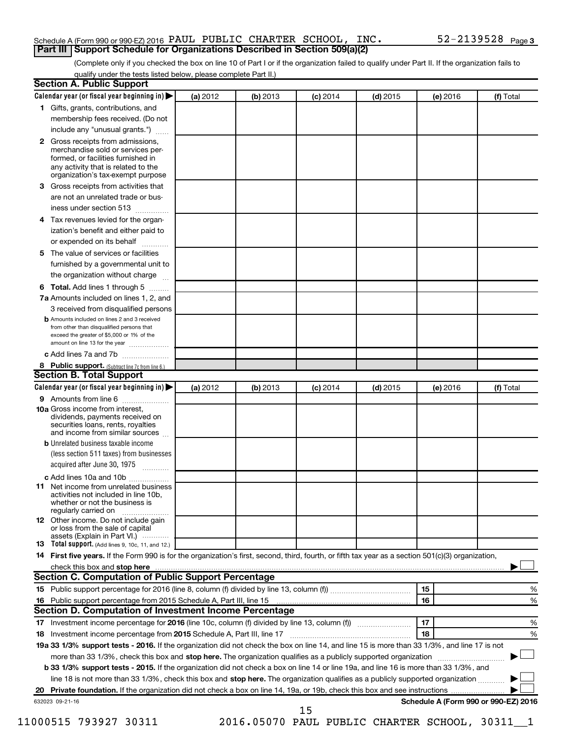### Schedule A (Form 990 or 990-EZ) 2016 PAUL PUBLIC CHARTER SCHOOL, INC.  $52-2139528$   $_{\rm Page}$ **Part III Support Schedule for Organizations Described in Section 509(a)(2)**

(Complete only if you checked the box on line 10 of Part I or if the organization failed to qualify under Part II. If the organization fails to qualify under the tests listed below, please complete Part II.)

|                                                                                                                                                                                                                                                                                                                                                                                                                                                                                                                                                          | Calendar year (or fiscal year beginning in)<br>(a) 2012 | (b) 2013 | $(c)$ 2014 | $(d)$ 2015 | (e) 2016 | (f) Total                            |
|----------------------------------------------------------------------------------------------------------------------------------------------------------------------------------------------------------------------------------------------------------------------------------------------------------------------------------------------------------------------------------------------------------------------------------------------------------------------------------------------------------------------------------------------------------|---------------------------------------------------------|----------|------------|------------|----------|--------------------------------------|
| 1 Gifts, grants, contributions, and                                                                                                                                                                                                                                                                                                                                                                                                                                                                                                                      |                                                         |          |            |            |          |                                      |
| membership fees received. (Do not                                                                                                                                                                                                                                                                                                                                                                                                                                                                                                                        |                                                         |          |            |            |          |                                      |
| include any "unusual grants.")                                                                                                                                                                                                                                                                                                                                                                                                                                                                                                                           |                                                         |          |            |            |          |                                      |
| Gross receipts from admissions,<br>$\mathbf{2}$<br>merchandise sold or services per-<br>formed, or facilities furnished in<br>any activity that is related to the<br>organization's tax-exempt purpose                                                                                                                                                                                                                                                                                                                                                   |                                                         |          |            |            |          |                                      |
| Gross receipts from activities that<br>3.                                                                                                                                                                                                                                                                                                                                                                                                                                                                                                                |                                                         |          |            |            |          |                                      |
| are not an unrelated trade or bus-                                                                                                                                                                                                                                                                                                                                                                                                                                                                                                                       |                                                         |          |            |            |          |                                      |
| iness under section 513                                                                                                                                                                                                                                                                                                                                                                                                                                                                                                                                  |                                                         |          |            |            |          |                                      |
| Tax revenues levied for the organ-<br>4                                                                                                                                                                                                                                                                                                                                                                                                                                                                                                                  |                                                         |          |            |            |          |                                      |
| ization's benefit and either paid to<br>or expended on its behalf<br>.                                                                                                                                                                                                                                                                                                                                                                                                                                                                                   |                                                         |          |            |            |          |                                      |
| The value of services or facilities<br>5                                                                                                                                                                                                                                                                                                                                                                                                                                                                                                                 |                                                         |          |            |            |          |                                      |
| furnished by a governmental unit to<br>the organization without charge                                                                                                                                                                                                                                                                                                                                                                                                                                                                                   |                                                         |          |            |            |          |                                      |
|                                                                                                                                                                                                                                                                                                                                                                                                                                                                                                                                                          |                                                         |          |            |            |          |                                      |
| Total. Add lines 1 through 5<br>6<br>7a Amounts included on lines 1, 2, and                                                                                                                                                                                                                                                                                                                                                                                                                                                                              |                                                         |          |            |            |          |                                      |
| 3 received from disqualified persons                                                                                                                                                                                                                                                                                                                                                                                                                                                                                                                     |                                                         |          |            |            |          |                                      |
| <b>b</b> Amounts included on lines 2 and 3 received                                                                                                                                                                                                                                                                                                                                                                                                                                                                                                      |                                                         |          |            |            |          |                                      |
| from other than disqualified persons that<br>exceed the greater of \$5,000 or 1% of the<br>amount on line 13 for the year                                                                                                                                                                                                                                                                                                                                                                                                                                |                                                         |          |            |            |          |                                      |
| c Add lines 7a and 7b                                                                                                                                                                                                                                                                                                                                                                                                                                                                                                                                    |                                                         |          |            |            |          |                                      |
| 8 Public support. (Subtract line 7c from line 6.)                                                                                                                                                                                                                                                                                                                                                                                                                                                                                                        |                                                         |          |            |            |          |                                      |
| <b>Section B. Total Support</b>                                                                                                                                                                                                                                                                                                                                                                                                                                                                                                                          |                                                         |          |            |            |          |                                      |
| Calendar year (or fiscal year beginning in)                                                                                                                                                                                                                                                                                                                                                                                                                                                                                                              | (a) 2012                                                | (b) 2013 | $(c)$ 2014 | $(d)$ 2015 | (e) 2016 | (f) Total                            |
| 9 Amounts from line 6                                                                                                                                                                                                                                                                                                                                                                                                                                                                                                                                    |                                                         |          |            |            |          |                                      |
| <b>10a</b> Gross income from interest,<br>dividends, payments received on<br>securities loans, rents, royalties<br>and income from similar sources                                                                                                                                                                                                                                                                                                                                                                                                       |                                                         |          |            |            |          |                                      |
| <b>b</b> Unrelated business taxable income                                                                                                                                                                                                                                                                                                                                                                                                                                                                                                               |                                                         |          |            |            |          |                                      |
| (less section 511 taxes) from businesses<br>acquired after June 30, 1975                                                                                                                                                                                                                                                                                                                                                                                                                                                                                 |                                                         |          |            |            |          |                                      |
|                                                                                                                                                                                                                                                                                                                                                                                                                                                                                                                                                          |                                                         |          |            |            |          |                                      |
|                                                                                                                                                                                                                                                                                                                                                                                                                                                                                                                                                          |                                                         |          |            |            |          |                                      |
| c Add lines 10a and 10b<br>Net income from unrelated business<br>activities not included in line 10b.<br>whether or not the business is                                                                                                                                                                                                                                                                                                                                                                                                                  |                                                         |          |            |            |          |                                      |
| regularly carried on<br>or loss from the sale of capital                                                                                                                                                                                                                                                                                                                                                                                                                                                                                                 |                                                         |          |            |            |          |                                      |
| assets (Explain in Part VI.)                                                                                                                                                                                                                                                                                                                                                                                                                                                                                                                             |                                                         |          |            |            |          |                                      |
|                                                                                                                                                                                                                                                                                                                                                                                                                                                                                                                                                          |                                                         |          |            |            |          |                                      |
|                                                                                                                                                                                                                                                                                                                                                                                                                                                                                                                                                          |                                                         |          |            |            |          |                                      |
|                                                                                                                                                                                                                                                                                                                                                                                                                                                                                                                                                          |                                                         |          |            |            |          |                                      |
|                                                                                                                                                                                                                                                                                                                                                                                                                                                                                                                                                          |                                                         |          |            |            | 15       |                                      |
|                                                                                                                                                                                                                                                                                                                                                                                                                                                                                                                                                          |                                                         |          |            |            | 16       |                                      |
|                                                                                                                                                                                                                                                                                                                                                                                                                                                                                                                                                          |                                                         |          |            |            |          |                                      |
|                                                                                                                                                                                                                                                                                                                                                                                                                                                                                                                                                          |                                                         |          |            |            |          |                                      |
|                                                                                                                                                                                                                                                                                                                                                                                                                                                                                                                                                          |                                                         |          |            |            | 17<br>18 |                                      |
|                                                                                                                                                                                                                                                                                                                                                                                                                                                                                                                                                          |                                                         |          |            |            |          |                                      |
|                                                                                                                                                                                                                                                                                                                                                                                                                                                                                                                                                          |                                                         |          |            |            |          |                                      |
| more than 33 1/3%, check this box and stop here. The organization qualifies as a publicly supported organization<br>b 33 1/3% support tests - 2015. If the organization did not check a box on line 14 or line 19a, and line 16 is more than 33 1/3%, and                                                                                                                                                                                                                                                                                                |                                                         |          |            |            |          |                                      |
| line 18 is not more than 33 1/3%, check this box and stop here. The organization qualifies as a publicly supported organization                                                                                                                                                                                                                                                                                                                                                                                                                          |                                                         |          |            |            |          | %<br>%<br>%<br>%                     |
|                                                                                                                                                                                                                                                                                                                                                                                                                                                                                                                                                          |                                                         |          |            |            |          |                                      |
| 11<br><b>12</b> Other income. Do not include gain<br><b>13</b> Total support. (Add lines 9, 10c, 11, and 12.)<br>14 First five years. If the Form 990 is for the organization's first, second, third, fourth, or fifth tax year as a section 501(c)(3) organization,<br>Section C. Computation of Public Support Percentage<br>Section D. Computation of Investment Income Percentage<br>19a 33 1/3% support tests - 2016. If the organization did not check the box on line 14, and line 15 is more than 33 1/3%, and line 17 is not<br>632023 09-21-16 |                                                         |          | 15         |            |          | Schedule A (Form 990 or 990-EZ) 2016 |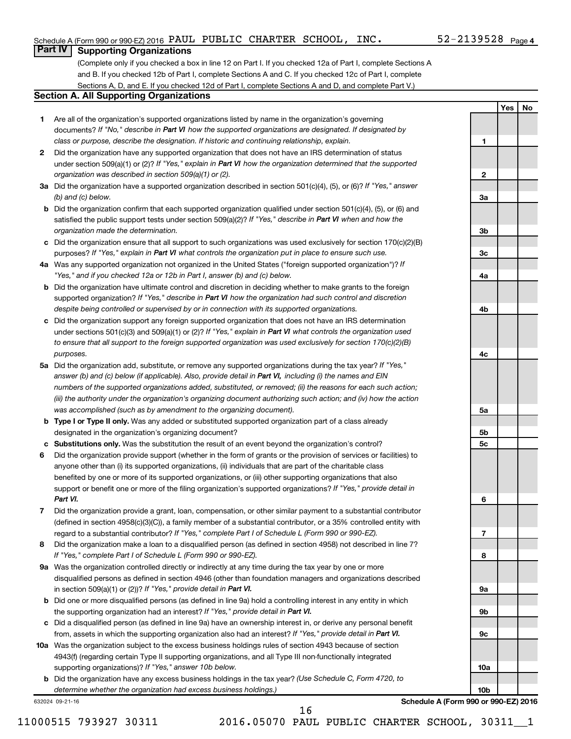**1**

**2**

**3a**

**Yes No**

# **Part IV Supporting Organizations**

(Complete only if you checked a box in line 12 on Part I. If you checked 12a of Part I, complete Sections A and B. If you checked 12b of Part I, complete Sections A and C. If you checked 12c of Part I, complete Sections A, D, and E. If you checked 12d of Part I, complete Sections A and D, and complete Part V.)

# **Section A. All Supporting Organizations**

- **1** Are all of the organization's supported organizations listed by name in the organization's governing documents? If "No," describe in Part VI how the supported organizations are designated. If designated by *class or purpose, describe the designation. If historic and continuing relationship, explain.*
- **2** Did the organization have any supported organization that does not have an IRS determination of status under section 509(a)(1) or (2)? If "Yes," explain in Part VI how the organization determined that the supported *organization was described in section 509(a)(1) or (2).*
- **3a** Did the organization have a supported organization described in section 501(c)(4), (5), or (6)? If "Yes," answer *(b) and (c) below.*
- **b** Did the organization confirm that each supported organization qualified under section 501(c)(4), (5), or (6) and satisfied the public support tests under section 509(a)(2)? If "Yes," describe in Part VI when and how the *organization made the determination.*
- **c** Did the organization ensure that all support to such organizations was used exclusively for section 170(c)(2)(B) purposes? If "Yes," explain in Part VI what controls the organization put in place to ensure such use.
- **4 a** *If* Was any supported organization not organized in the United States ("foreign supported organization")? *"Yes," and if you checked 12a or 12b in Part I, answer (b) and (c) below.*
- **b** Did the organization have ultimate control and discretion in deciding whether to make grants to the foreign supported organization? If "Yes," describe in Part VI how the organization had such control and discretion *despite being controlled or supervised by or in connection with its supported organizations.*
- **c** Did the organization support any foreign supported organization that does not have an IRS determination under sections 501(c)(3) and 509(a)(1) or (2)? If "Yes," explain in Part VI what controls the organization used *to ensure that all support to the foreign supported organization was used exclusively for section 170(c)(2)(B) purposes.*
- **5a** Did the organization add, substitute, or remove any supported organizations during the tax year? If "Yes," answer (b) and (c) below (if applicable). Also, provide detail in Part VI, including (i) the names and EIN *numbers of the supported organizations added, substituted, or removed; (ii) the reasons for each such action; (iii) the authority under the organization's organizing document authorizing such action; and (iv) how the action was accomplished (such as by amendment to the organizing document).*
- **b Type I or Type II only.** Was any added or substituted supported organization part of a class already designated in the organization's organizing document?
- **c Substitutions only.**  Was the substitution the result of an event beyond the organization's control?
- **6** Did the organization provide support (whether in the form of grants or the provision of services or facilities) to support or benefit one or more of the filing organization's supported organizations? If "Yes," provide detail in anyone other than (i) its supported organizations, (ii) individuals that are part of the charitable class benefited by one or more of its supported organizations, or (iii) other supporting organizations that also *Part VI.*
- **7** Did the organization provide a grant, loan, compensation, or other similar payment to a substantial contributor regard to a substantial contributor? If "Yes," complete Part I of Schedule L (Form 990 or 990-EZ). (defined in section 4958(c)(3)(C)), a family member of a substantial contributor, or a 35% controlled entity with
- **8** Did the organization make a loan to a disqualified person (as defined in section 4958) not described in line 7? *If "Yes," complete Part I of Schedule L (Form 990 or 990-EZ).*
- **9 a** Was the organization controlled directly or indirectly at any time during the tax year by one or more in section 509(a)(1) or (2))? If "Yes," provide detail in Part VI. disqualified persons as defined in section 4946 (other than foundation managers and organizations described
- **b** Did one or more disqualified persons (as defined in line 9a) hold a controlling interest in any entity in which the supporting organization had an interest? If "Yes," provide detail in Part VI.
- **c** Did a disqualified person (as defined in line 9a) have an ownership interest in, or derive any personal benefit from, assets in which the supporting organization also had an interest? If "Yes," provide detail in Part VI.
- **10 a** Was the organization subject to the excess business holdings rules of section 4943 because of section supporting organizations)? If "Yes," answer 10b below. 4943(f) (regarding certain Type II supporting organizations, and all Type III non-functionally integrated
	- **b** Did the organization have any excess business holdings in the tax year? (Use Schedule C, Form 4720, to *determine whether the organization had excess business holdings.)*

632024 09-21-16

**Schedule A (Form 990 or 990-EZ) 2016**

16

**3b 3c 4a 4b 4c 5a 5b 5c 6 7 8 9a 9b 9c 10a 10b**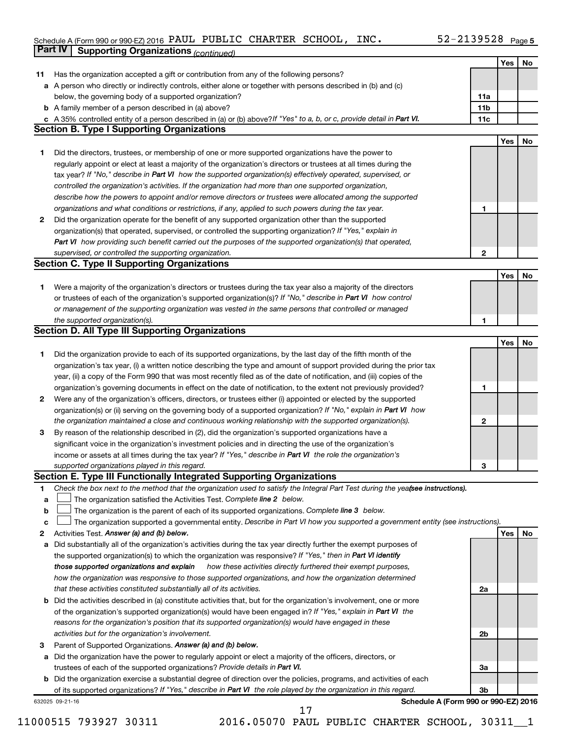#### Schedule A (Form 990 or 990-EZ) 2016 PAUL PUBLIC CHARTER SCHOOL,  $\sf INC\bullet$   $\sf I\!N\!C\bullet$   $\sf I\!N\!C\bullet$ **Part IV Supporting Organizations** *(continued)* PAUL PUBLIC CHARTER SCHOOL, INC. 52-2139528

|    | - - - - - ອ                                                                                                                                                               |                |            |    |
|----|---------------------------------------------------------------------------------------------------------------------------------------------------------------------------|----------------|------------|----|
|    |                                                                                                                                                                           |                | Yes        | No |
| 11 | Has the organization accepted a gift or contribution from any of the following persons?                                                                                   |                |            |    |
|    | a A person who directly or indirectly controls, either alone or together with persons described in (b) and (c)                                                            |                |            |    |
|    | below, the governing body of a supported organization?                                                                                                                    | 11a            |            |    |
|    | <b>b</b> A family member of a person described in (a) above?                                                                                                              | 11b            |            |    |
|    | A 35% controlled entity of a person described in (a) or (b) above?If "Yes" to a, b, or c, provide detail in Part VI.<br><b>Section B. Type I Supporting Organizations</b> | 11c            |            |    |
|    |                                                                                                                                                                           |                |            |    |
|    |                                                                                                                                                                           |                | <b>Yes</b> | No |
| 1  | Did the directors, trustees, or membership of one or more supported organizations have the power to                                                                       |                |            |    |
|    | regularly appoint or elect at least a majority of the organization's directors or trustees at all times during the                                                        |                |            |    |
|    | tax year? If "No," describe in Part VI how the supported organization(s) effectively operated, supervised, or                                                             |                |            |    |
|    | controlled the organization's activities. If the organization had more than one supported organization,                                                                   |                |            |    |
|    | describe how the powers to appoint and/or remove directors or trustees were allocated among the supported                                                                 |                |            |    |
|    | organizations and what conditions or restrictions, if any, applied to such powers during the tax year.                                                                    | 1              |            |    |
| 2  | Did the organization operate for the benefit of any supported organization other than the supported                                                                       |                |            |    |
|    | organization(s) that operated, supervised, or controlled the supporting organization? If "Yes," explain in                                                                |                |            |    |
|    | Part VI how providing such benefit carried out the purposes of the supported organization(s) that operated,                                                               |                |            |    |
|    | supervised, or controlled the supporting organization.                                                                                                                    | $\mathbf{2}$   |            |    |
|    | <b>Section C. Type II Supporting Organizations</b>                                                                                                                        |                |            |    |
|    |                                                                                                                                                                           |                | Yes        | No |
| 1. | Were a majority of the organization's directors or trustees during the tax year also a majority of the directors                                                          |                |            |    |
|    | or trustees of each of the organization's supported organization(s)? If "No," describe in Part VI how control                                                             |                |            |    |
|    | or management of the supporting organization was vested in the same persons that controlled or managed                                                                    |                |            |    |
|    | the supported organization(s).                                                                                                                                            | 1              |            |    |
|    | <b>Section D. All Type III Supporting Organizations</b>                                                                                                                   |                |            |    |
|    |                                                                                                                                                                           |                | Yes        | No |
| 1  | Did the organization provide to each of its supported organizations, by the last day of the fifth month of the                                                            |                |            |    |
|    | organization's tax year, (i) a written notice describing the type and amount of support provided during the prior tax                                                     |                |            |    |
|    | year, (ii) a copy of the Form 990 that was most recently filed as of the date of notification, and (iii) copies of the                                                    |                |            |    |
|    | organization's governing documents in effect on the date of notification, to the extent not previously provided?                                                          | 1              |            |    |
| 2  | Were any of the organization's officers, directors, or trustees either (i) appointed or elected by the supported                                                          |                |            |    |
|    | organization(s) or (ii) serving on the governing body of a supported organization? If "No," explain in Part VI how                                                        |                |            |    |
|    | the organization maintained a close and continuous working relationship with the supported organization(s).                                                               | 2              |            |    |
| 3  | By reason of the relationship described in (2), did the organization's supported organizations have a                                                                     |                |            |    |
|    | significant voice in the organization's investment policies and in directing the use of the organization's                                                                |                |            |    |
|    | income or assets at all times during the tax year? If "Yes," describe in Part VI the role the organization's                                                              |                |            |    |
|    | supported organizations played in this regard.                                                                                                                            | З              |            |    |
|    | Section E. Type III Functionally Integrated Supporting Organizations                                                                                                      |                |            |    |
| 1  | Check the box next to the method that the organization used to satisfy the Integral Part Test during the yeafsee instructions).                                           |                |            |    |
| а  | The organization satisfied the Activities Test. Complete line 2 below.                                                                                                    |                |            |    |
| b  | The organization is the parent of each of its supported organizations. Complete line 3 below.                                                                             |                |            |    |
| с  | The organization supported a governmental entity. Describe in Part VI how you supported a government entity (see instructions).                                           |                |            |    |
| 2  | Activities Test. Answer (a) and (b) below.                                                                                                                                |                | Yes        | No |
| а  | Did substantially all of the organization's activities during the tax year directly further the exempt purposes of                                                        |                |            |    |
|    | the supported organization(s) to which the organization was responsive? If "Yes," then in Part VI identify                                                                |                |            |    |
|    | those supported organizations and explain<br>how these activities directly furthered their exempt purposes,                                                               |                |            |    |
|    | how the organization was responsive to those supported organizations, and how the organization determined                                                                 |                |            |    |
|    | that these activities constituted substantially all of its activities.                                                                                                    | 2a             |            |    |
| b  | Did the activities described in (a) constitute activities that, but for the organization's involvement, one or more                                                       |                |            |    |
|    | of the organization's supported organization(s) would have been engaged in? If "Yes," explain in Part VI the                                                              |                |            |    |
|    | reasons for the organization's position that its supported organization(s) would have engaged in these                                                                    |                |            |    |
|    | activities but for the organization's involvement.                                                                                                                        | 2 <sub>b</sub> |            |    |
| 3  | Parent of Supported Organizations. Answer (a) and (b) below.                                                                                                              |                |            |    |
| а  | Did the organization have the power to regularly appoint or elect a majority of the officers, directors, or                                                               |                |            |    |
|    | trustees of each of the supported organizations? Provide details in Part VI.                                                                                              | 3a             |            |    |
|    | <b>b</b> Did the organization exercise a substantial degree of direction over the policies, programs, and activities of each                                              |                |            |    |
|    | of its supported organizations? If "Yes," describe in Part VI the role played by the organization in this regard.                                                         | 3 <sub>b</sub> |            |    |
|    | Schedule A (Form 990 or 990-EZ) 2016<br>632025 09-21-16                                                                                                                   |                |            |    |
|    |                                                                                                                                                                           |                |            |    |

11000515 793927 30311 2016.05070 PAUL PUBLIC CHARTER SCHOOL, 30311\_\_1 17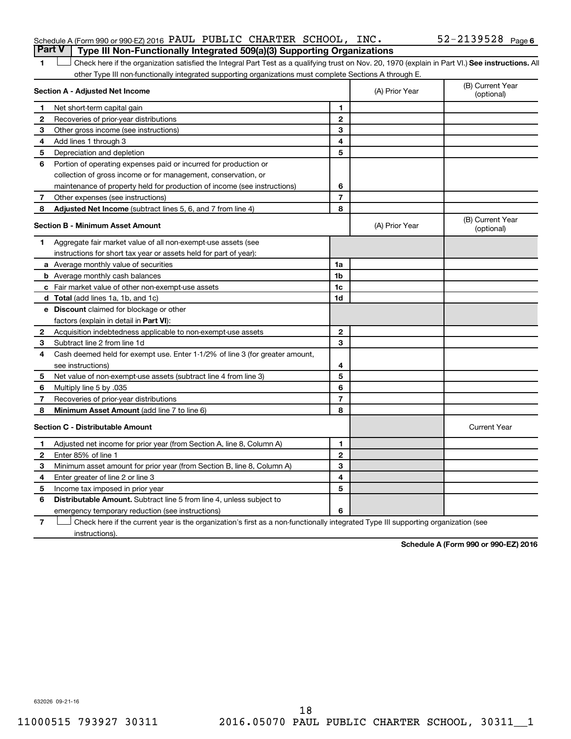|  | Schedule A (Form 990 or 990-EZ) 2016 PAUL PUBLIC CHARTER SCHOOL, INC.<br><b>Part V</b> Type III Non-Functionally Integrated 509(a)(3) Supporting Organizations |  |  | 52-2139528 <sub>Page 6</sub> |  |
|--|----------------------------------------------------------------------------------------------------------------------------------------------------------------|--|--|------------------------------|--|
|  |                                                                                                                                                                |  |  |                              |  |

1 **Letter See instructions.** All Check here if the organization satisfied the Integral Part Test as a qualifying trust on Nov. 20, 1970 (explain in Part VI.) See instructions. All other Type III non-functionally integrated supporting organizations must complete Sections A through E.

| Section A - Adjusted Net Income |                                                                                                                                   |                | (A) Prior Year | (B) Current Year<br>(optional) |
|---------------------------------|-----------------------------------------------------------------------------------------------------------------------------------|----------------|----------------|--------------------------------|
| 1                               | Net short-term capital gain                                                                                                       | 1              |                |                                |
| 2                               | Recoveries of prior-year distributions                                                                                            | $\mathbf{2}$   |                |                                |
| З                               | Other gross income (see instructions)                                                                                             | 3              |                |                                |
| 4                               | Add lines 1 through 3                                                                                                             | 4              |                |                                |
| 5                               | Depreciation and depletion                                                                                                        | 5              |                |                                |
| 6                               | Portion of operating expenses paid or incurred for production or                                                                  |                |                |                                |
|                                 | collection of gross income or for management, conservation, or                                                                    |                |                |                                |
|                                 | maintenance of property held for production of income (see instructions)                                                          | 6              |                |                                |
| 7                               | Other expenses (see instructions)                                                                                                 | $\overline{7}$ |                |                                |
| 8                               | Adjusted Net Income (subtract lines 5, 6, and 7 from line 4)                                                                      | 8              |                |                                |
|                                 | <b>Section B - Minimum Asset Amount</b>                                                                                           |                | (A) Prior Year | (B) Current Year<br>(optional) |
| 1.                              | Aggregate fair market value of all non-exempt-use assets (see                                                                     |                |                |                                |
|                                 | instructions for short tax year or assets held for part of year):                                                                 |                |                |                                |
|                                 | a Average monthly value of securities                                                                                             | 1a             |                |                                |
|                                 | <b>b</b> Average monthly cash balances                                                                                            | 1 <sub>b</sub> |                |                                |
|                                 | c Fair market value of other non-exempt-use assets                                                                                | 1c             |                |                                |
|                                 | d Total (add lines 1a, 1b, and 1c)                                                                                                | 1 <sub>d</sub> |                |                                |
|                                 | e Discount claimed for blockage or other                                                                                          |                |                |                                |
|                                 | factors (explain in detail in Part VI):                                                                                           |                |                |                                |
| 2                               | Acquisition indebtedness applicable to non-exempt-use assets                                                                      | 2              |                |                                |
| 3                               | Subtract line 2 from line 1d                                                                                                      | 3              |                |                                |
| 4                               | Cash deemed held for exempt use. Enter 1-1/2% of line 3 (for greater amount,                                                      |                |                |                                |
|                                 | see instructions)                                                                                                                 | 4              |                |                                |
| 5                               | Net value of non-exempt-use assets (subtract line 4 from line 3)                                                                  | 5              |                |                                |
| 6                               | Multiply line 5 by .035                                                                                                           | 6              |                |                                |
| 7                               | Recoveries of prior-year distributions                                                                                            | $\overline{7}$ |                |                                |
| 8                               | Minimum Asset Amount (add line 7 to line 6)                                                                                       | 8              |                |                                |
|                                 | <b>Section C - Distributable Amount</b>                                                                                           |                |                | <b>Current Year</b>            |
| 1                               | Adjusted net income for prior year (from Section A, line 8, Column A)                                                             | 1              |                |                                |
| 2                               | Enter 85% of line 1                                                                                                               | $\overline{2}$ |                |                                |
| з                               | Minimum asset amount for prior year (from Section B, line 8, Column A)                                                            | 3              |                |                                |
| 4                               | Enter greater of line 2 or line 3                                                                                                 | 4              |                |                                |
| 5                               | Income tax imposed in prior year                                                                                                  | 5              |                |                                |
| 6                               | <b>Distributable Amount.</b> Subtract line 5 from line 4, unless subject to                                                       |                |                |                                |
|                                 | emergency temporary reduction (see instructions)                                                                                  | 6              |                |                                |
| 7                               | Check here if the current year is the organization's first as a non-functionally integrated Type III supporting organization (see |                |                |                                |

instructions).

**Schedule A (Form 990 or 990-EZ) 2016**

632026 09-21-16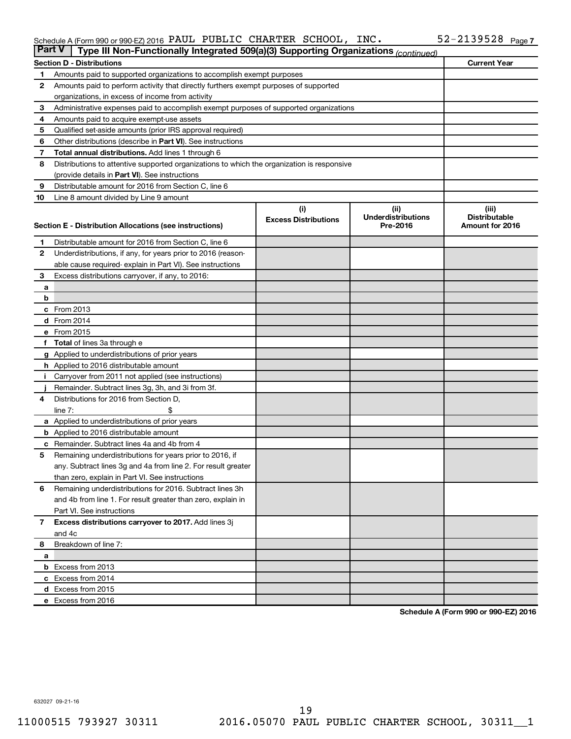#### Schedule A (Form 990 or 990-EZ) 2016 PAUL PUBLIC CHARTER SCHOOL,  $\sf INC\bullet$   $\sf I\!N\!C\bullet$   $\sf I\!N\!C\bullet$ PAUL PUBLIC CHARTER SCHOOL, INC. 52-2139528

| <b>Part V</b><br>Type III Non-Functionally Integrated 509(a)(3) Supporting Organizations (continued) |                                                                                            |                             |                                       |                                         |  |  |  |  |
|------------------------------------------------------------------------------------------------------|--------------------------------------------------------------------------------------------|-----------------------------|---------------------------------------|-----------------------------------------|--|--|--|--|
|                                                                                                      | <b>Section D - Distributions</b>                                                           |                             |                                       | <b>Current Year</b>                     |  |  |  |  |
| 1                                                                                                    | Amounts paid to supported organizations to accomplish exempt purposes                      |                             |                                       |                                         |  |  |  |  |
| $\mathbf{2}$                                                                                         | Amounts paid to perform activity that directly furthers exempt purposes of supported       |                             |                                       |                                         |  |  |  |  |
|                                                                                                      | organizations, in excess of income from activity                                           |                             |                                       |                                         |  |  |  |  |
| 3                                                                                                    | Administrative expenses paid to accomplish exempt purposes of supported organizations      |                             |                                       |                                         |  |  |  |  |
| 4                                                                                                    | Amounts paid to acquire exempt-use assets                                                  |                             |                                       |                                         |  |  |  |  |
| 5                                                                                                    | Qualified set-aside amounts (prior IRS approval required)                                  |                             |                                       |                                         |  |  |  |  |
| 6                                                                                                    | Other distributions (describe in <b>Part VI</b> ). See instructions                        |                             |                                       |                                         |  |  |  |  |
| 7                                                                                                    | <b>Total annual distributions.</b> Add lines 1 through 6                                   |                             |                                       |                                         |  |  |  |  |
| 8                                                                                                    | Distributions to attentive supported organizations to which the organization is responsive |                             |                                       |                                         |  |  |  |  |
|                                                                                                      | (provide details in Part VI). See instructions                                             |                             |                                       |                                         |  |  |  |  |
| 9                                                                                                    | Distributable amount for 2016 from Section C, line 6                                       |                             |                                       |                                         |  |  |  |  |
| 10                                                                                                   | Line 8 amount divided by Line 9 amount                                                     |                             |                                       |                                         |  |  |  |  |
|                                                                                                      |                                                                                            | (i)                         | (ii)                                  | (iii)                                   |  |  |  |  |
|                                                                                                      |                                                                                            | <b>Excess Distributions</b> | <b>Underdistributions</b><br>Pre-2016 | <b>Distributable</b><br>Amount for 2016 |  |  |  |  |
|                                                                                                      | Section E - Distribution Allocations (see instructions)                                    |                             |                                       |                                         |  |  |  |  |
| 1                                                                                                    | Distributable amount for 2016 from Section C, line 6                                       |                             |                                       |                                         |  |  |  |  |
| $\mathbf{2}$                                                                                         | Underdistributions, if any, for years prior to 2016 (reason-                               |                             |                                       |                                         |  |  |  |  |
|                                                                                                      | able cause required-explain in Part VI). See instructions                                  |                             |                                       |                                         |  |  |  |  |
| 3                                                                                                    | Excess distributions carryover, if any, to 2016:                                           |                             |                                       |                                         |  |  |  |  |
| а                                                                                                    |                                                                                            |                             |                                       |                                         |  |  |  |  |
| b                                                                                                    |                                                                                            |                             |                                       |                                         |  |  |  |  |
|                                                                                                      | c From 2013                                                                                |                             |                                       |                                         |  |  |  |  |
|                                                                                                      | <b>d</b> From 2014                                                                         |                             |                                       |                                         |  |  |  |  |
|                                                                                                      | e From 2015                                                                                |                             |                                       |                                         |  |  |  |  |
|                                                                                                      | f Total of lines 3a through e                                                              |                             |                                       |                                         |  |  |  |  |
|                                                                                                      | g Applied to underdistributions of prior years                                             |                             |                                       |                                         |  |  |  |  |
|                                                                                                      | h Applied to 2016 distributable amount                                                     |                             |                                       |                                         |  |  |  |  |
| Ť.                                                                                                   | Carryover from 2011 not applied (see instructions)                                         |                             |                                       |                                         |  |  |  |  |
|                                                                                                      | Remainder. Subtract lines 3g, 3h, and 3i from 3f.                                          |                             |                                       |                                         |  |  |  |  |
| 4                                                                                                    | Distributions for 2016 from Section D,                                                     |                             |                                       |                                         |  |  |  |  |
|                                                                                                      | line $7:$                                                                                  |                             |                                       |                                         |  |  |  |  |
|                                                                                                      | a Applied to underdistributions of prior years                                             |                             |                                       |                                         |  |  |  |  |
|                                                                                                      | <b>b</b> Applied to 2016 distributable amount                                              |                             |                                       |                                         |  |  |  |  |
| c                                                                                                    | Remainder. Subtract lines 4a and 4b from 4                                                 |                             |                                       |                                         |  |  |  |  |
| 5                                                                                                    | Remaining underdistributions for years prior to 2016, if                                   |                             |                                       |                                         |  |  |  |  |
|                                                                                                      | any. Subtract lines 3g and 4a from line 2. For result greater                              |                             |                                       |                                         |  |  |  |  |
|                                                                                                      | than zero, explain in Part VI. See instructions                                            |                             |                                       |                                         |  |  |  |  |
| 6                                                                                                    | Remaining underdistributions for 2016. Subtract lines 3h                                   |                             |                                       |                                         |  |  |  |  |
|                                                                                                      | and 4b from line 1. For result greater than zero, explain in                               |                             |                                       |                                         |  |  |  |  |
|                                                                                                      | Part VI. See instructions                                                                  |                             |                                       |                                         |  |  |  |  |
| $\overline{7}$                                                                                       | Excess distributions carryover to 2017. Add lines 3j                                       |                             |                                       |                                         |  |  |  |  |
|                                                                                                      | and 4c                                                                                     |                             |                                       |                                         |  |  |  |  |
| 8                                                                                                    | Breakdown of line 7:                                                                       |                             |                                       |                                         |  |  |  |  |
| а                                                                                                    |                                                                                            |                             |                                       |                                         |  |  |  |  |
|                                                                                                      | <b>b</b> Excess from 2013                                                                  |                             |                                       |                                         |  |  |  |  |
|                                                                                                      | c Excess from 2014                                                                         |                             |                                       |                                         |  |  |  |  |
|                                                                                                      | d Excess from 2015                                                                         |                             |                                       |                                         |  |  |  |  |
|                                                                                                      | e Excess from 2016                                                                         |                             |                                       |                                         |  |  |  |  |

**Schedule A (Form 990 or 990-EZ) 2016**

632027 09-21-16

11000515 793927 30311 2016.05070 PAUL PUBLIC CHARTER SCHOOL, 30311\_\_1 19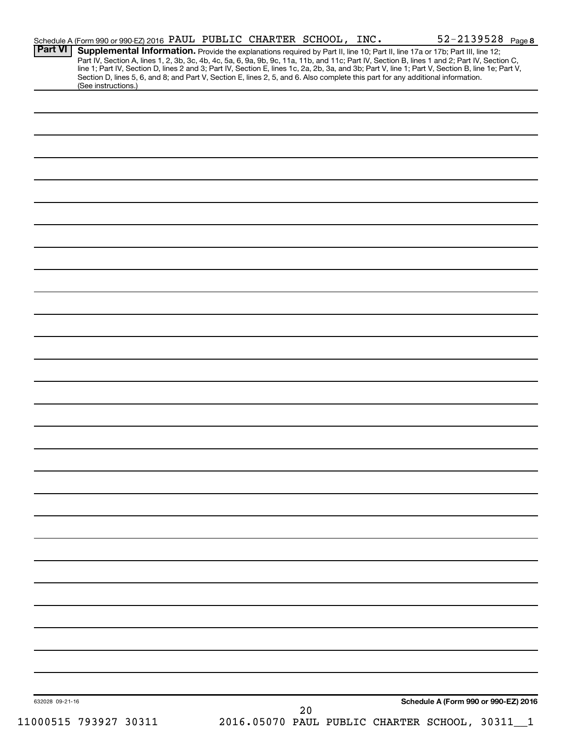| <b>Part VI</b>                                                                                                                  |  | Schedule A (Form 990 or 990-EZ) 2016 PAUL PUBLIC CHARTER SCHOOL, INC. | Supplemental Information. Provide the explanations required by Part II, line 10; Part II, line 17a or 17b; Part III, line 12;                                                                                                                                                                    |
|---------------------------------------------------------------------------------------------------------------------------------|--|-----------------------------------------------------------------------|--------------------------------------------------------------------------------------------------------------------------------------------------------------------------------------------------------------------------------------------------------------------------------------------------|
| Section D, lines 5, 6, and 8; and Part V, Section E, lines 2, 5, and 6. Also complete this part for any additional information. |  |                                                                       | Part IV, Section A, lines 1, 2, 3b, 3c, 4b, 4c, 5a, 6, 9a, 9b, 9c, 11a, 11b, and 11c; Part IV, Section B, lines 1 and 2; Part IV, Section C,<br>line 1; Part IV, Section D, lines 2 and 3; Part IV, Section E, lines 1c, 2a, 2b, 3a, and 3b; Part V, line 1; Part V, Section B, line 1e; Part V, |
| (See instructions.)                                                                                                             |  |                                                                       |                                                                                                                                                                                                                                                                                                  |
|                                                                                                                                 |  |                                                                       |                                                                                                                                                                                                                                                                                                  |
|                                                                                                                                 |  |                                                                       |                                                                                                                                                                                                                                                                                                  |
|                                                                                                                                 |  |                                                                       |                                                                                                                                                                                                                                                                                                  |
|                                                                                                                                 |  |                                                                       |                                                                                                                                                                                                                                                                                                  |
|                                                                                                                                 |  |                                                                       |                                                                                                                                                                                                                                                                                                  |
|                                                                                                                                 |  |                                                                       |                                                                                                                                                                                                                                                                                                  |
|                                                                                                                                 |  |                                                                       |                                                                                                                                                                                                                                                                                                  |
|                                                                                                                                 |  |                                                                       |                                                                                                                                                                                                                                                                                                  |
|                                                                                                                                 |  |                                                                       |                                                                                                                                                                                                                                                                                                  |
|                                                                                                                                 |  |                                                                       |                                                                                                                                                                                                                                                                                                  |
|                                                                                                                                 |  |                                                                       |                                                                                                                                                                                                                                                                                                  |
|                                                                                                                                 |  |                                                                       |                                                                                                                                                                                                                                                                                                  |
|                                                                                                                                 |  |                                                                       |                                                                                                                                                                                                                                                                                                  |
|                                                                                                                                 |  |                                                                       |                                                                                                                                                                                                                                                                                                  |
|                                                                                                                                 |  |                                                                       |                                                                                                                                                                                                                                                                                                  |
|                                                                                                                                 |  |                                                                       |                                                                                                                                                                                                                                                                                                  |
|                                                                                                                                 |  |                                                                       |                                                                                                                                                                                                                                                                                                  |
|                                                                                                                                 |  |                                                                       |                                                                                                                                                                                                                                                                                                  |
|                                                                                                                                 |  |                                                                       |                                                                                                                                                                                                                                                                                                  |
|                                                                                                                                 |  |                                                                       |                                                                                                                                                                                                                                                                                                  |
|                                                                                                                                 |  |                                                                       |                                                                                                                                                                                                                                                                                                  |
|                                                                                                                                 |  |                                                                       |                                                                                                                                                                                                                                                                                                  |
|                                                                                                                                 |  |                                                                       |                                                                                                                                                                                                                                                                                                  |
|                                                                                                                                 |  |                                                                       |                                                                                                                                                                                                                                                                                                  |
|                                                                                                                                 |  |                                                                       |                                                                                                                                                                                                                                                                                                  |
|                                                                                                                                 |  |                                                                       |                                                                                                                                                                                                                                                                                                  |
|                                                                                                                                 |  |                                                                       |                                                                                                                                                                                                                                                                                                  |
|                                                                                                                                 |  |                                                                       |                                                                                                                                                                                                                                                                                                  |
|                                                                                                                                 |  |                                                                       |                                                                                                                                                                                                                                                                                                  |
|                                                                                                                                 |  |                                                                       |                                                                                                                                                                                                                                                                                                  |
|                                                                                                                                 |  |                                                                       |                                                                                                                                                                                                                                                                                                  |
|                                                                                                                                 |  |                                                                       |                                                                                                                                                                                                                                                                                                  |
|                                                                                                                                 |  |                                                                       |                                                                                                                                                                                                                                                                                                  |
|                                                                                                                                 |  |                                                                       |                                                                                                                                                                                                                                                                                                  |
|                                                                                                                                 |  |                                                                       |                                                                                                                                                                                                                                                                                                  |
|                                                                                                                                 |  |                                                                       |                                                                                                                                                                                                                                                                                                  |
|                                                                                                                                 |  |                                                                       |                                                                                                                                                                                                                                                                                                  |
|                                                                                                                                 |  |                                                                       |                                                                                                                                                                                                                                                                                                  |
|                                                                                                                                 |  |                                                                       |                                                                                                                                                                                                                                                                                                  |
|                                                                                                                                 |  |                                                                       |                                                                                                                                                                                                                                                                                                  |
|                                                                                                                                 |  |                                                                       |                                                                                                                                                                                                                                                                                                  |
|                                                                                                                                 |  |                                                                       |                                                                                                                                                                                                                                                                                                  |
|                                                                                                                                 |  |                                                                       |                                                                                                                                                                                                                                                                                                  |
|                                                                                                                                 |  |                                                                       |                                                                                                                                                                                                                                                                                                  |
|                                                                                                                                 |  |                                                                       |                                                                                                                                                                                                                                                                                                  |
| 632028 09-21-16                                                                                                                 |  |                                                                       | Schedule A (Form 990 or 990-EZ) 2016                                                                                                                                                                                                                                                             |
|                                                                                                                                 |  | 20                                                                    |                                                                                                                                                                                                                                                                                                  |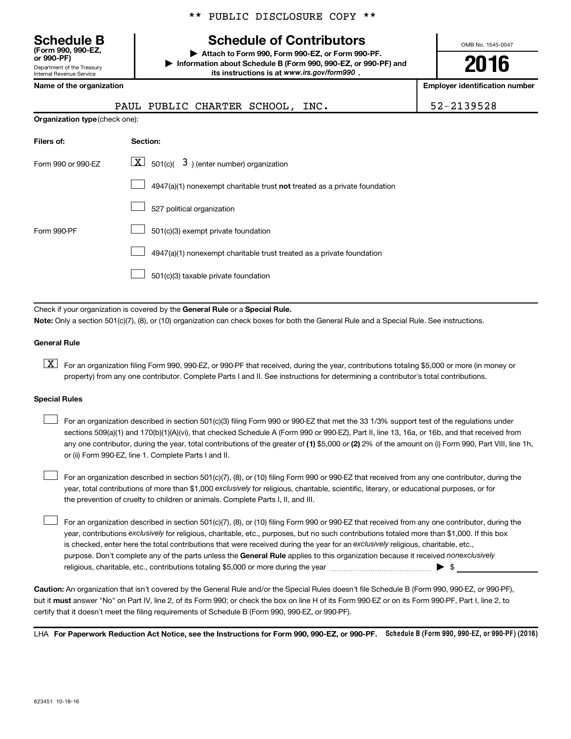\*\* PUBLIC DISCLOSURE COPY \*\*

# **Schedule B Schedule of Contributors**

OMB No. 1545-0047

**or 990-PF) | Attach to Form 990, Form 990-EZ, or Form 990-PF. | Information about Schedule B (Form 990, 990-EZ, or 990-PF) and** its instructions is at www.irs.gov/form990.

**(Form 990, 990-EZ,**

| or 990-PF)<br>Department of the Treasury<br>Internal Revenue Service | $\blacktriangleright$ Attach to Form 990, Form 990-EZ, or Form 990-PF.<br>Information about Schedule B (Form 990, 990-EZ, or 990-PF) and<br>its instructions is at www.irs.gov/form990, | 2016                                  |
|----------------------------------------------------------------------|-----------------------------------------------------------------------------------------------------------------------------------------------------------------------------------------|---------------------------------------|
| Name of the organization                                             |                                                                                                                                                                                         | <b>Employer identification number</b> |
|                                                                      | PAUL PUBLIC CHARTER SCHOOL, INC.                                                                                                                                                        | 52-2139528                            |
| <b>Organization type</b> (check one):                                |                                                                                                                                                                                         |                                       |
| Filers of:                                                           | Section:                                                                                                                                                                                |                                       |
| Form 990 or 990-EZ                                                   | $\underline{\mathbf{X}}$ 501(c)( 3) (enter number) organization                                                                                                                         |                                       |
|                                                                      | $4947(a)(1)$ nonexempt charitable trust not treated as a private foundation                                                                                                             |                                       |
|                                                                      | 527 political organization                                                                                                                                                              |                                       |
| Form 990-PF                                                          | 501(c)(3) exempt private foundation                                                                                                                                                     |                                       |
|                                                                      | 4947(a)(1) nonexempt charitable trust treated as a private foundation                                                                                                                   |                                       |
|                                                                      |                                                                                                                                                                                         |                                       |

Check if your organization is covered by the General Rule or a Special Rule.

†

 $\Box$  501(c)(3) taxable private foundation

**Note:**  Only a section 501(c)(7), (8), or (10) organization can check boxes for both the General Rule and a Special Rule. See instructions.

#### **General Rule**

**K** For an organization filing Form 990, 990-EZ, or 990-PF that received, during the year, contributions totaling \$5,000 or more (in money or property) from any one contributor. Complete Parts I and II. See instructions for determining a contributor's total contributions.

#### **Special Rules**

 $\Box$ 

any one contributor, during the year, total contributions of the greater of **(1)** \$5,000 or **(2)** 2% of the amount on (i) Form 990, Part VIII, line 1h, For an organization described in section 501(c)(3) filing Form 990 or 990-EZ that met the 33 1/3% support test of the regulations under sections 509(a)(1) and 170(b)(1)(A)(vi), that checked Schedule A (Form 990 or 990-EZ), Part II, line 13, 16a, or 16b, and that received from or (ii) Form 990-EZ, line 1. Complete Parts I and II.  $\Box$ 

year, total contributions of more than \$1,000 *exclusively* for religious, charitable, scientific, literary, or educational purposes, or for For an organization described in section 501(c)(7), (8), or (10) filing Form 990 or 990-EZ that received from any one contributor, during the the prevention of cruelty to children or animals. Complete Parts I, II, and III.  $\Box$ 

purpose. Don't complete any of the parts unless the General Rule applies to this organization because it received nonexclusively year, contributions exclusively for religious, charitable, etc., purposes, but no such contributions totaled more than \$1,000. If this box is checked, enter here the total contributions that were received during the year for an exclusively religious, charitable, etc., For an organization described in section 501(c)(7), (8), or (10) filing Form 990 or 990-EZ that received from any one contributor, during the religious, charitable, etc., contributions totaling \$5,000 or more during the year  $\ldots$  $\ldots$  $\ldots$  $\ldots$  $\ldots$  $\ldots$ 

**Caution:**  An organization that isn't covered by the General Rule and/or the Special Rules doesn't file Schedule B (Form 990, 990-EZ, or 990-PF),  **must** but it answer "No" on Part IV, line 2, of its Form 990; or check the box on line H of its Form 990-EZ or on its Form 990-PF, Part I, line 2, to certify that it doesn't meet the filing requirements of Schedule B (Form 990, 990-EZ, or 990-PF).

LHA For Paperwork Reduction Act Notice, see the Instructions for Form 990, 990-EZ, or 990-PF. Schedule B (Form 990, 990-EZ, or 990-PF) (2016)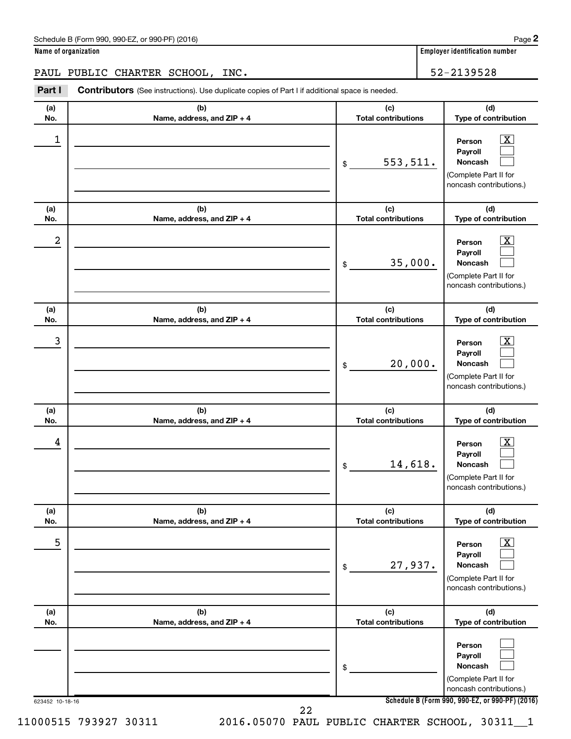| Schedule B (Form 990, 990-EZ, or 990-PF) (2016) | Page |
|-------------------------------------------------|------|
|-------------------------------------------------|------|

**Name of organization Employer identification number**

PAUL PUBLIC CHARTER SCHOOL, INC. 52-2139528

**Part I** Contributors (See instructions). Use duplicate copies of Part I if additional space is needed.

| (a) | (b)                        | (c)                        | (d)                                                                                                         |
|-----|----------------------------|----------------------------|-------------------------------------------------------------------------------------------------------------|
| No. | Name, address, and ZIP + 4 | <b>Total contributions</b> | Type of contribution                                                                                        |
| 1   |                            | 553,511.<br>\$             | <u>x</u><br>Person<br>Payroll<br>Noncash<br>(Complete Part II for<br>noncash contributions.)                |
| (a) | (b)                        | (c)                        | (d)                                                                                                         |
| No. | Name, address, and ZIP + 4 | <b>Total contributions</b> | Type of contribution                                                                                        |
| 2   |                            | 35,000.<br>\$              | x<br>Person<br>Payroll<br>Noncash<br>(Complete Part II for<br>noncash contributions.)                       |
| (a) | (b)                        | (c)                        | (d)                                                                                                         |
| No. | Name, address, and ZIP + 4 | <b>Total contributions</b> | Type of contribution                                                                                        |
| 3   |                            | 20,000.<br>\$              | x<br>Person<br>Payroll<br>Noncash<br>(Complete Part II for<br>noncash contributions.)                       |
| (a) | (b)                        | (c)                        | (d)                                                                                                         |
| No. | Name, address, and ZIP + 4 | <b>Total contributions</b> | Type of contribution                                                                                        |
| 4   |                            | 14,618.<br>\$              | x<br>Person<br>Payroll<br><b>Noncash</b><br>(Complete Part II for<br>noncash contributions.)                |
| (a) | (b)                        | (c)                        | (d)                                                                                                         |
| No. | Name, address, and ZIP + 4 | <b>Total contributions</b> | Type of contribution                                                                                        |
| 5   |                            | 27,937.<br>\$              | $\overline{\mathbf{X}}$<br>Person<br>Payroll<br>Noncash<br>(Complete Part II for<br>noncash contributions.) |
| (a) | (b)                        | (c)                        | (d)                                                                                                         |
| No. | Name, address, and ZIP + 4 | <b>Total contributions</b> | Type of contribution                                                                                        |
|     |                            | \$                         | Person<br>Payroll<br>Noncash<br>(Complete Part II for<br>noncash contributions.)                            |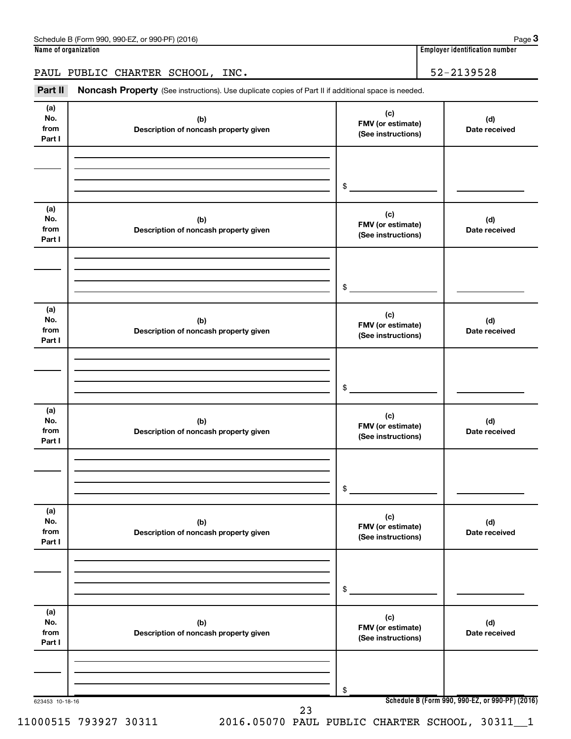**3**

PAUL PUBLIC CHARTER SCHOOL, INC. | 52-2139528

Part II Noncash Property (See instructions). Use duplicate copies of Part II if additional space is needed.

| (a)<br>No.<br>from<br>Part I | (b)<br>Description of noncash property given | (c)<br>FMV (or estimate)<br>(See instructions) | (d)<br>Date received                            |
|------------------------------|----------------------------------------------|------------------------------------------------|-------------------------------------------------|
|                              |                                              | \$                                             |                                                 |
| (a)<br>No.<br>from<br>Part I | (b)<br>Description of noncash property given | (c)<br>FMV (or estimate)<br>(See instructions) | (d)<br>Date received                            |
|                              |                                              | $\$$                                           |                                                 |
| (a)<br>No.<br>from<br>Part I | (b)<br>Description of noncash property given | (c)<br>FMV (or estimate)<br>(See instructions) | (d)<br>Date received                            |
|                              |                                              | $\$$                                           |                                                 |
| (a)<br>No.<br>from<br>Part I | (b)<br>Description of noncash property given | (c)<br>FMV (or estimate)<br>(See instructions) | (d)<br>Date received                            |
|                              |                                              | \$                                             |                                                 |
| (a)<br>No.<br>from<br>Part I | (b)<br>Description of noncash property given | (c)<br>FMV (or estimate)<br>(See instructions) | (d)<br>Date received                            |
|                              |                                              | \$                                             |                                                 |
| (a)<br>No.<br>from<br>Part I | (b)<br>Description of noncash property given | (c)<br>FMV (or estimate)<br>(See instructions) | (d)<br>Date received                            |
|                              |                                              | \$                                             |                                                 |
| 623453 10-18-16              | 23                                           |                                                | Schedule B (Form 990, 990-EZ, or 990-PF) (2016) |

11000515 793927 30311 2016.05070 PAUL PUBLIC CHARTER SCHOOL, 30311\_\_1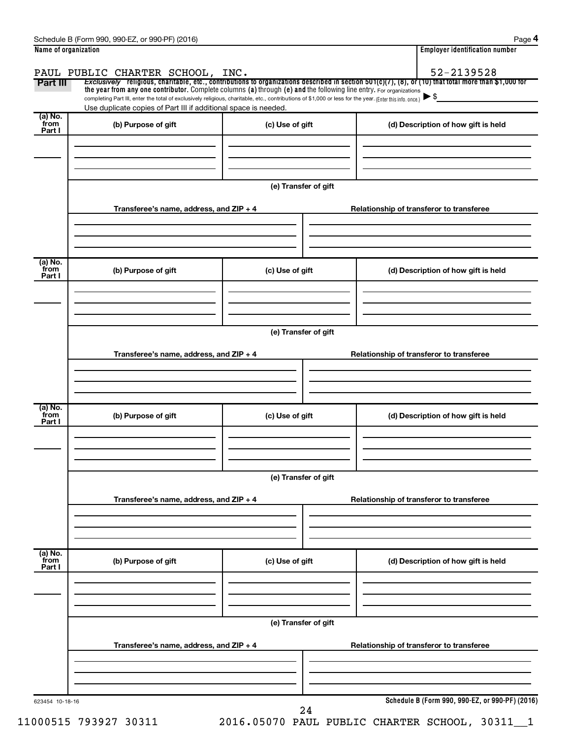| Name of organization        |                                                                                                                                                          |                      |  | <b>Employer identification number</b>                                                                                                                 |  |  |  |  |
|-----------------------------|----------------------------------------------------------------------------------------------------------------------------------------------------------|----------------------|--|-------------------------------------------------------------------------------------------------------------------------------------------------------|--|--|--|--|
|                             | PAUL PUBLIC CHARTER SCHOOL, INC.                                                                                                                         |                      |  | 52-2139528                                                                                                                                            |  |  |  |  |
| Part III                    | the year from any one contributor. Complete columns (a) through (e) and the following line entry. For organizations                                      |                      |  | Exclusively religious, charitable, etc., contributions to organizations described in section 501(c)(7), (8), or (10) that total more than \$1,000 for |  |  |  |  |
|                             | completing Part III, enter the total of exclusively religious, charitable, etc., contributions of \$1,000 or less for the year. (Enter this info. once.) |                      |  |                                                                                                                                                       |  |  |  |  |
|                             | Use duplicate copies of Part III if additional space is needed.                                                                                          |                      |  |                                                                                                                                                       |  |  |  |  |
| (a) No.<br>from             | (b) Purpose of gift                                                                                                                                      | (c) Use of gift      |  | (d) Description of how gift is held                                                                                                                   |  |  |  |  |
| Part I                      |                                                                                                                                                          |                      |  |                                                                                                                                                       |  |  |  |  |
|                             |                                                                                                                                                          |                      |  |                                                                                                                                                       |  |  |  |  |
|                             |                                                                                                                                                          |                      |  |                                                                                                                                                       |  |  |  |  |
|                             |                                                                                                                                                          | (e) Transfer of gift |  |                                                                                                                                                       |  |  |  |  |
|                             |                                                                                                                                                          |                      |  |                                                                                                                                                       |  |  |  |  |
|                             | Transferee's name, address, and $ZIP + 4$                                                                                                                |                      |  | Relationship of transferor to transferee                                                                                                              |  |  |  |  |
|                             |                                                                                                                                                          |                      |  |                                                                                                                                                       |  |  |  |  |
|                             |                                                                                                                                                          |                      |  |                                                                                                                                                       |  |  |  |  |
| (a) No.<br>from             |                                                                                                                                                          |                      |  |                                                                                                                                                       |  |  |  |  |
| Part I                      | (b) Purpose of gift                                                                                                                                      | (c) Use of gift      |  | (d) Description of how gift is held                                                                                                                   |  |  |  |  |
|                             |                                                                                                                                                          |                      |  |                                                                                                                                                       |  |  |  |  |
|                             |                                                                                                                                                          |                      |  |                                                                                                                                                       |  |  |  |  |
|                             |                                                                                                                                                          |                      |  |                                                                                                                                                       |  |  |  |  |
|                             | (e) Transfer of gift                                                                                                                                     |                      |  |                                                                                                                                                       |  |  |  |  |
|                             | Transferee's name, address, and ZIP + 4                                                                                                                  |                      |  | Relationship of transferor to transferee                                                                                                              |  |  |  |  |
|                             |                                                                                                                                                          |                      |  |                                                                                                                                                       |  |  |  |  |
|                             |                                                                                                                                                          |                      |  |                                                                                                                                                       |  |  |  |  |
|                             |                                                                                                                                                          |                      |  |                                                                                                                                                       |  |  |  |  |
| (a) No.<br>from<br>Part I   | (b) Purpose of gift                                                                                                                                      | (c) Use of gift      |  | (d) Description of how gift is held                                                                                                                   |  |  |  |  |
|                             |                                                                                                                                                          |                      |  |                                                                                                                                                       |  |  |  |  |
|                             |                                                                                                                                                          |                      |  |                                                                                                                                                       |  |  |  |  |
|                             |                                                                                                                                                          |                      |  |                                                                                                                                                       |  |  |  |  |
|                             | (e) Transfer of gift                                                                                                                                     |                      |  |                                                                                                                                                       |  |  |  |  |
|                             | Transferee's name, address, and ZIP + 4                                                                                                                  |                      |  | Relationship of transferor to transferee                                                                                                              |  |  |  |  |
|                             |                                                                                                                                                          |                      |  |                                                                                                                                                       |  |  |  |  |
|                             |                                                                                                                                                          |                      |  |                                                                                                                                                       |  |  |  |  |
|                             |                                                                                                                                                          |                      |  |                                                                                                                                                       |  |  |  |  |
| $(a)$ No.<br>from<br>Part I | (b) Purpose of gift                                                                                                                                      | (c) Use of gift      |  | (d) Description of how gift is held                                                                                                                   |  |  |  |  |
|                             |                                                                                                                                                          |                      |  |                                                                                                                                                       |  |  |  |  |
|                             |                                                                                                                                                          |                      |  |                                                                                                                                                       |  |  |  |  |
|                             |                                                                                                                                                          | (e) Transfer of gift |  |                                                                                                                                                       |  |  |  |  |
|                             | Transferee's name, address, and ZIP + 4                                                                                                                  |                      |  | Relationship of transferor to transferee                                                                                                              |  |  |  |  |
|                             |                                                                                                                                                          |                      |  |                                                                                                                                                       |  |  |  |  |
|                             |                                                                                                                                                          |                      |  |                                                                                                                                                       |  |  |  |  |
| 623454 10-18-16             |                                                                                                                                                          |                      |  | Schedule B (Form 990, 990-EZ, or 990-PF) (2016)                                                                                                       |  |  |  |  |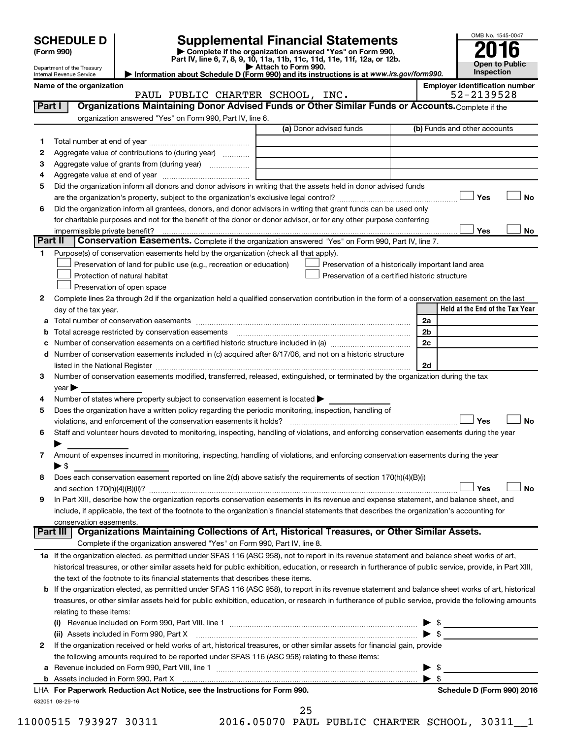|                                                                          |                                                        |                                                                                                                                                              |                                                                                                                |                         | OMB No. 1545-0047                     |  |
|--------------------------------------------------------------------------|--------------------------------------------------------|--------------------------------------------------------------------------------------------------------------------------------------------------------------|----------------------------------------------------------------------------------------------------------------|-------------------------|---------------------------------------|--|
|                                                                          | <b>SCHEDULE D</b><br>(Form 990)                        |                                                                                                                                                              | <b>Supplemental Financial Statements</b><br>Complete if the organization answered "Yes" on Form 990,           |                         |                                       |  |
| Part IV, line 6, 7, 8, 9, 10, 11a, 11b, 11c, 11d, 11e, 11f, 12a, or 12b. |                                                        |                                                                                                                                                              |                                                                                                                |                         | <b>Open to Public</b>                 |  |
|                                                                          | Department of the Treasury<br>Internal Revenue Service |                                                                                                                                                              | Attach to Form 990.<br>Information about Schedule D (Form 990) and its instructions is at www.irs.gov/form990. |                         | <b>Inspection</b>                     |  |
|                                                                          | Name of the organization                               |                                                                                                                                                              |                                                                                                                |                         | <b>Employer identification number</b> |  |
|                                                                          |                                                        | PAUL PUBLIC CHARTER SCHOOL, INC.                                                                                                                             |                                                                                                                |                         | 52-2139528                            |  |
| Part I                                                                   |                                                        | Organizations Maintaining Donor Advised Funds or Other Similar Funds or Accounts. Complete if the                                                            |                                                                                                                |                         |                                       |  |
|                                                                          |                                                        | organization answered "Yes" on Form 990, Part IV, line 6.                                                                                                    | (a) Donor advised funds                                                                                        |                         | (b) Funds and other accounts          |  |
|                                                                          |                                                        |                                                                                                                                                              |                                                                                                                |                         |                                       |  |
| 1.<br>2                                                                  |                                                        | Aggregate value of contributions to (during year)                                                                                                            |                                                                                                                |                         |                                       |  |
| З                                                                        |                                                        | Aggregate value of grants from (during year)                                                                                                                 |                                                                                                                |                         |                                       |  |
| 4                                                                        |                                                        |                                                                                                                                                              |                                                                                                                |                         |                                       |  |
| 5                                                                        |                                                        | Did the organization inform all donors and donor advisors in writing that the assets held in donor advised funds                                             |                                                                                                                |                         |                                       |  |
|                                                                          |                                                        |                                                                                                                                                              |                                                                                                                |                         | <b>No</b><br>Yes                      |  |
| 6                                                                        |                                                        | Did the organization inform all grantees, donors, and donor advisors in writing that grant funds can be used only                                            |                                                                                                                |                         |                                       |  |
|                                                                          |                                                        | for charitable purposes and not for the benefit of the donor or donor advisor, or for any other purpose conferring                                           |                                                                                                                |                         |                                       |  |
|                                                                          | impermissible private benefit?                         |                                                                                                                                                              |                                                                                                                |                         | Yes<br>No                             |  |
| Part II                                                                  |                                                        | Conservation Easements. Complete if the organization answered "Yes" on Form 990, Part IV, line 7.                                                            |                                                                                                                |                         |                                       |  |
| 1                                                                        |                                                        | Purpose(s) of conservation easements held by the organization (check all that apply).<br>Preservation of land for public use (e.g., recreation or education) |                                                                                                                |                         |                                       |  |
|                                                                          |                                                        | Protection of natural habitat                                                                                                                                | Preservation of a historically important land area<br>Preservation of a certified historic structure           |                         |                                       |  |
|                                                                          |                                                        | Preservation of open space                                                                                                                                   |                                                                                                                |                         |                                       |  |
| $\mathbf{2}$                                                             |                                                        | Complete lines 2a through 2d if the organization held a qualified conservation contribution in the form of a conservation easement on the last               |                                                                                                                |                         |                                       |  |
|                                                                          | day of the tax year.                                   |                                                                                                                                                              |                                                                                                                |                         | Held at the End of the Tax Year       |  |
| а                                                                        |                                                        |                                                                                                                                                              |                                                                                                                | 2a                      |                                       |  |
| b                                                                        |                                                        | Total acreage restricted by conservation easements                                                                                                           |                                                                                                                | 2 <sub>b</sub>          |                                       |  |
| c                                                                        |                                                        |                                                                                                                                                              |                                                                                                                | 2c                      |                                       |  |
| d                                                                        |                                                        | Number of conservation easements included in (c) acquired after 8/17/06, and not on a historic structure                                                     |                                                                                                                |                         |                                       |  |
|                                                                          |                                                        |                                                                                                                                                              |                                                                                                                | 2d                      |                                       |  |
| 3                                                                        |                                                        | Number of conservation easements modified, transferred, released, extinguished, or terminated by the organization during the tax                             |                                                                                                                |                         |                                       |  |
|                                                                          | year                                                   | Number of states where property subject to conservation easement is located $\blacktriangleright$                                                            |                                                                                                                |                         |                                       |  |
| 4<br>5                                                                   |                                                        | Does the organization have a written policy regarding the periodic monitoring, inspection, handling of                                                       |                                                                                                                |                         |                                       |  |
|                                                                          |                                                        | violations, and enforcement of the conservation easements it holds?                                                                                          |                                                                                                                |                         | Yes<br><b>No</b>                      |  |
| 6                                                                        |                                                        | Staff and volunteer hours devoted to monitoring, inspecting, handling of violations, and enforcing conservation easements during the year                    |                                                                                                                |                         |                                       |  |
|                                                                          |                                                        |                                                                                                                                                              |                                                                                                                |                         |                                       |  |
| 7                                                                        |                                                        | Amount of expenses incurred in monitoring, inspecting, handling of violations, and enforcing conservation easements during the year                          |                                                                                                                |                         |                                       |  |
|                                                                          | $\blacktriangleright$ \$                               |                                                                                                                                                              |                                                                                                                |                         |                                       |  |
| 8                                                                        |                                                        | Does each conservation easement reported on line 2(d) above satisfy the requirements of section 170(h)(4)(B)(i)                                              |                                                                                                                |                         |                                       |  |
|                                                                          |                                                        |                                                                                                                                                              |                                                                                                                |                         | <b>No</b><br>Yes                      |  |
| 9                                                                        |                                                        | In Part XIII, describe how the organization reports conservation easements in its revenue and expense statement, and balance sheet, and                      |                                                                                                                |                         |                                       |  |
|                                                                          |                                                        | include, if applicable, the text of the footnote to the organization's financial statements that describes the organization's accounting for                 |                                                                                                                |                         |                                       |  |
|                                                                          | conservation easements.<br>Part III                    | Organizations Maintaining Collections of Art, Historical Treasures, or Other Similar Assets.                                                                 |                                                                                                                |                         |                                       |  |
|                                                                          |                                                        | Complete if the organization answered "Yes" on Form 990, Part IV, line 8.                                                                                    |                                                                                                                |                         |                                       |  |
|                                                                          |                                                        | 1a If the organization elected, as permitted under SFAS 116 (ASC 958), not to report in its revenue statement and balance sheet works of art,                |                                                                                                                |                         |                                       |  |
|                                                                          |                                                        | historical treasures, or other similar assets held for public exhibition, education, or research in furtherance of public service, provide, in Part XIII,    |                                                                                                                |                         |                                       |  |
|                                                                          |                                                        | the text of the footnote to its financial statements that describes these items.                                                                             |                                                                                                                |                         |                                       |  |
| b                                                                        |                                                        | If the organization elected, as permitted under SFAS 116 (ASC 958), to report in its revenue statement and balance sheet works of art, historical            |                                                                                                                |                         |                                       |  |
|                                                                          |                                                        | treasures, or other similar assets held for public exhibition, education, or research in furtherance of public service, provide the following amounts        |                                                                                                                |                         |                                       |  |
|                                                                          | relating to these items:                               |                                                                                                                                                              |                                                                                                                |                         |                                       |  |
|                                                                          |                                                        |                                                                                                                                                              |                                                                                                                |                         | $\triangleright$ \$                   |  |
|                                                                          |                                                        | (ii) Assets included in Form 990, Part X                                                                                                                     |                                                                                                                |                         |                                       |  |
| 2                                                                        |                                                        | If the organization received or held works of art, historical treasures, or other similar assets for financial gain, provide                                 |                                                                                                                |                         |                                       |  |
|                                                                          |                                                        | the following amounts required to be reported under SFAS 116 (ASC 958) relating to these items:                                                              |                                                                                                                | - \$                    |                                       |  |
| а                                                                        |                                                        |                                                                                                                                                              |                                                                                                                | $\blacktriangleright$ s |                                       |  |
|                                                                          |                                                        | LHA For Paperwork Reduction Act Notice, see the Instructions for Form 990.                                                                                   |                                                                                                                |                         | Schedule D (Form 990) 2016            |  |

| LHA For Paperwork Reduction Act Notice, see the Instructions for Forr |  |
|-----------------------------------------------------------------------|--|
| 632051 08-29-16                                                       |  |

11000515 793927 30311 2016.05070 PAUL PUBLIC CHARTER SCHOOL, 30311\_\_1

25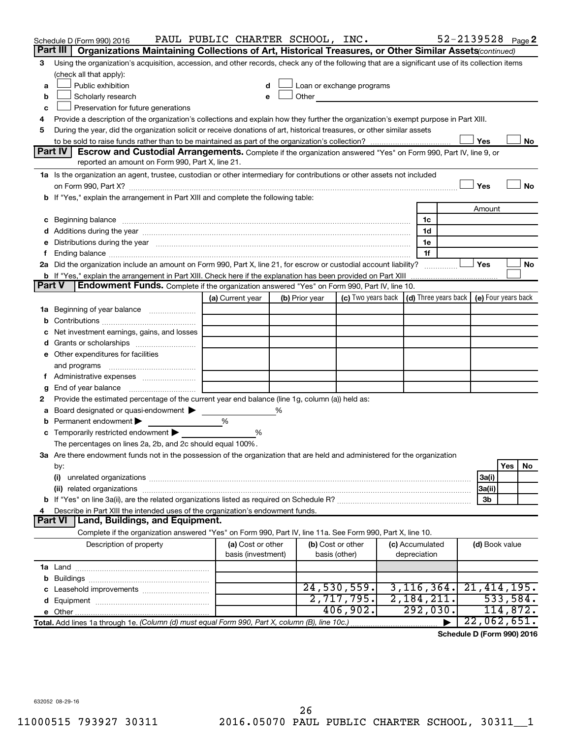|               | Schedule D (Form 990) 2016                                                                                                                                                                                                     | PAUL PUBLIC CHARTER SCHOOL, INC.        |   |                                                                                                                                                                                                                               |                                    |                                 |                | 52-2139528 Page 2                          |
|---------------|--------------------------------------------------------------------------------------------------------------------------------------------------------------------------------------------------------------------------------|-----------------------------------------|---|-------------------------------------------------------------------------------------------------------------------------------------------------------------------------------------------------------------------------------|------------------------------------|---------------------------------|----------------|--------------------------------------------|
|               | Organizations Maintaining Collections of Art, Historical Treasures, or Other Similar Assets(continued)<br>Part III                                                                                                             |                                         |   |                                                                                                                                                                                                                               |                                    |                                 |                |                                            |
| 3             | Using the organization's acquisition, accession, and other records, check any of the following that are a significant use of its collection items                                                                              |                                         |   |                                                                                                                                                                                                                               |                                    |                                 |                |                                            |
|               | (check all that apply):                                                                                                                                                                                                        |                                         |   |                                                                                                                                                                                                                               |                                    |                                 |                |                                            |
| a             | Public exhibition                                                                                                                                                                                                              |                                         |   | Loan or exchange programs                                                                                                                                                                                                     |                                    |                                 |                |                                            |
| b             | Scholarly research                                                                                                                                                                                                             | e                                       |   | Other and the contract of the contract of the contract of the contract of the contract of the contract of the contract of the contract of the contract of the contract of the contract of the contract of the contract of the |                                    |                                 |                |                                            |
| с             | Preservation for future generations                                                                                                                                                                                            |                                         |   |                                                                                                                                                                                                                               |                                    |                                 |                |                                            |
| 4             | Provide a description of the organization's collections and explain how they further the organization's exempt purpose in Part XIII.                                                                                           |                                         |   |                                                                                                                                                                                                                               |                                    |                                 |                |                                            |
| 5             | During the year, did the organization solicit or receive donations of art, historical treasures, or other similar assets                                                                                                       |                                         |   |                                                                                                                                                                                                                               |                                    |                                 |                |                                            |
|               | Part IV                                                                                                                                                                                                                        |                                         |   |                                                                                                                                                                                                                               |                                    |                                 | Yes            | No                                         |
|               | <b>Escrow and Custodial Arrangements.</b> Complete if the organization answered "Yes" on Form 990, Part IV, line 9, or<br>reported an amount on Form 990, Part X, line 21.                                                     |                                         |   |                                                                                                                                                                                                                               |                                    |                                 |                |                                            |
|               | 1a Is the organization an agent, trustee, custodian or other intermediary for contributions or other assets not included                                                                                                       |                                         |   |                                                                                                                                                                                                                               |                                    |                                 |                |                                            |
|               |                                                                                                                                                                                                                                |                                         |   |                                                                                                                                                                                                                               |                                    |                                 | Yes            | No                                         |
|               | <b>b</b> If "Yes," explain the arrangement in Part XIII and complete the following table:                                                                                                                                      |                                         |   |                                                                                                                                                                                                                               |                                    |                                 |                |                                            |
|               |                                                                                                                                                                                                                                |                                         |   |                                                                                                                                                                                                                               |                                    |                                 | Amount         |                                            |
| с             | Beginning balance manufactured and contact the contract of contact the contact of the contact of the contact of                                                                                                                |                                         |   |                                                                                                                                                                                                                               |                                    | 1c                              |                |                                            |
|               |                                                                                                                                                                                                                                |                                         |   |                                                                                                                                                                                                                               |                                    | 1d                              |                |                                            |
| е             | Distributions during the year manufactured and an account of the state of the state of the state of the state of the state of the state of the state of the state of the state of the state of the state of the state of the s |                                         |   |                                                                                                                                                                                                                               |                                    | 1e                              |                |                                            |
| f.            |                                                                                                                                                                                                                                |                                         |   |                                                                                                                                                                                                                               |                                    | 1f                              |                |                                            |
|               | 2a Did the organization include an amount on Form 990, Part X, line 21, for escrow or custodial account liability?                                                                                                             |                                         |   |                                                                                                                                                                                                                               |                                    |                                 | Yes            | No                                         |
|               | <b>b</b> If "Yes," explain the arrangement in Part XIII. Check here if the explanation has been provided on Part XIII                                                                                                          |                                         |   |                                                                                                                                                                                                                               |                                    |                                 |                |                                            |
| <b>Part V</b> | <b>Endowment Funds.</b> Complete if the organization answered "Yes" on Form 990, Part IV, line 10.                                                                                                                             |                                         |   |                                                                                                                                                                                                                               |                                    |                                 |                |                                            |
|               |                                                                                                                                                                                                                                | (a) Current year                        |   | (b) Prior year                                                                                                                                                                                                                | (c) Two years back                 |                                 |                | (d) Three years back   (e) Four years back |
| 1a            | Beginning of year balance                                                                                                                                                                                                      |                                         |   |                                                                                                                                                                                                                               |                                    |                                 |                |                                            |
| b             |                                                                                                                                                                                                                                |                                         |   |                                                                                                                                                                                                                               |                                    |                                 |                |                                            |
| с             | Net investment earnings, gains, and losses                                                                                                                                                                                     |                                         |   |                                                                                                                                                                                                                               |                                    |                                 |                |                                            |
| d             |                                                                                                                                                                                                                                |                                         |   |                                                                                                                                                                                                                               |                                    |                                 |                |                                            |
|               | e Other expenditures for facilities                                                                                                                                                                                            |                                         |   |                                                                                                                                                                                                                               |                                    |                                 |                |                                            |
|               | and programs                                                                                                                                                                                                                   |                                         |   |                                                                                                                                                                                                                               |                                    |                                 |                |                                            |
|               | f Administrative expenses                                                                                                                                                                                                      |                                         |   |                                                                                                                                                                                                                               |                                    |                                 |                |                                            |
| g<br>2        | Provide the estimated percentage of the current year end balance (line 1g, column (a)) held as:                                                                                                                                |                                         |   |                                                                                                                                                                                                                               |                                    |                                 |                |                                            |
| а             | Board designated or quasi-endowment                                                                                                                                                                                            |                                         | % |                                                                                                                                                                                                                               |                                    |                                 |                |                                            |
| b             | Permanent endowment                                                                                                                                                                                                            | %                                       |   |                                                                                                                                                                                                                               |                                    |                                 |                |                                            |
| с             | Temporarily restricted endowment                                                                                                                                                                                               | %                                       |   |                                                                                                                                                                                                                               |                                    |                                 |                |                                            |
|               | The percentages on lines 2a, 2b, and 2c should equal 100%.                                                                                                                                                                     |                                         |   |                                                                                                                                                                                                                               |                                    |                                 |                |                                            |
|               | 3a Are there endowment funds not in the possession of the organization that are held and administered for the organization                                                                                                     |                                         |   |                                                                                                                                                                                                                               |                                    |                                 |                |                                            |
|               | by:                                                                                                                                                                                                                            |                                         |   |                                                                                                                                                                                                                               |                                    |                                 |                | Yes<br>No                                  |
|               | (i)                                                                                                                                                                                                                            |                                         |   |                                                                                                                                                                                                                               |                                    |                                 | 3a(i)          |                                            |
|               |                                                                                                                                                                                                                                |                                         |   |                                                                                                                                                                                                                               |                                    |                                 | 3a(ii)         |                                            |
| b             |                                                                                                                                                                                                                                |                                         |   |                                                                                                                                                                                                                               |                                    |                                 | 3b             |                                            |
|               | Describe in Part XIII the intended uses of the organization's endowment funds.                                                                                                                                                 |                                         |   |                                                                                                                                                                                                                               |                                    |                                 |                |                                            |
|               | Part VI   Land, Buildings, and Equipment.                                                                                                                                                                                      |                                         |   |                                                                                                                                                                                                                               |                                    |                                 |                |                                            |
|               | Complete if the organization answered "Yes" on Form 990, Part IV, line 11a. See Form 990, Part X, line 10.                                                                                                                     |                                         |   |                                                                                                                                                                                                                               |                                    |                                 |                |                                            |
|               | Description of property                                                                                                                                                                                                        | (a) Cost or other<br>basis (investment) |   |                                                                                                                                                                                                                               | (b) Cost or other<br>basis (other) | (c) Accumulated<br>depreciation | (d) Book value |                                            |
|               |                                                                                                                                                                                                                                |                                         |   |                                                                                                                                                                                                                               |                                    |                                 |                |                                            |
| b             |                                                                                                                                                                                                                                |                                         |   |                                                                                                                                                                                                                               |                                    |                                 |                |                                            |
| c             | Leasehold improvements                                                                                                                                                                                                         |                                         |   |                                                                                                                                                                                                                               | 24,530,559.                        | 3, 116, 364.                    |                | 21,414,195.                                |
| d             |                                                                                                                                                                                                                                |                                         |   |                                                                                                                                                                                                                               | 2,717,795.                         | 2,184,211.                      |                | 533,584.                                   |
|               |                                                                                                                                                                                                                                |                                         |   |                                                                                                                                                                                                                               | 406,902.                           | 292,030.                        |                | 114,872.                                   |
|               | Total. Add lines 1a through 1e. (Column (d) must equal Form 990, Part X, column (B), line 10c.)                                                                                                                                |                                         |   |                                                                                                                                                                                                                               |                                    |                                 |                | 22,062,651.                                |

**Schedule D (Form 990) 2016**

632052 08-29-16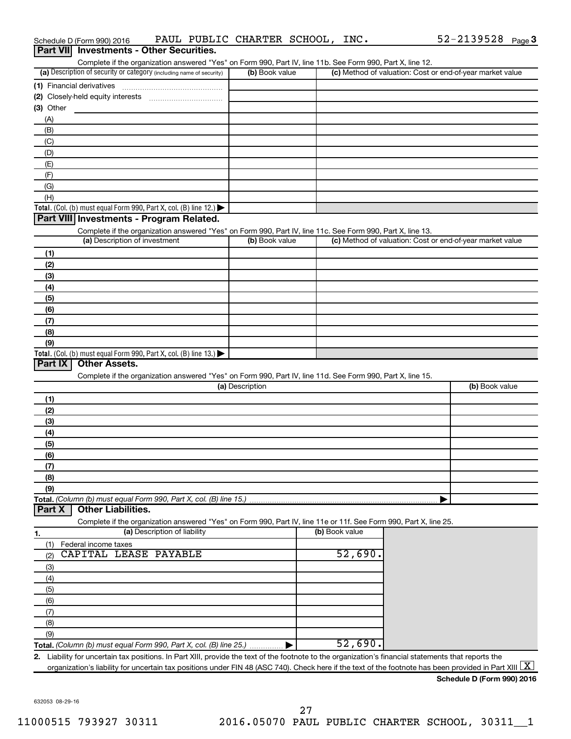| Part VII Investments - Other Securities.                                                                                                                                           |                 |                |                                                           |
|------------------------------------------------------------------------------------------------------------------------------------------------------------------------------------|-----------------|----------------|-----------------------------------------------------------|
| Complete if the organization answered "Yes" on Form 990, Part IV, line 11b. See Form 990, Part X, line 12.<br>(a) Description of security or category (including name of security) | (b) Book value  |                | (c) Method of valuation: Cost or end-of-year market value |
|                                                                                                                                                                                    |                 |                |                                                           |
| (1) Financial derivatives                                                                                                                                                          |                 |                |                                                           |
| $(3)$ Other                                                                                                                                                                        |                 |                |                                                           |
| (A)                                                                                                                                                                                |                 |                |                                                           |
| (B)                                                                                                                                                                                |                 |                |                                                           |
| (C)                                                                                                                                                                                |                 |                |                                                           |
| (D)                                                                                                                                                                                |                 |                |                                                           |
| (E)                                                                                                                                                                                |                 |                |                                                           |
| (F)                                                                                                                                                                                |                 |                |                                                           |
| (G)                                                                                                                                                                                |                 |                |                                                           |
| (H)                                                                                                                                                                                |                 |                |                                                           |
| Total. (Col. (b) must equal Form 990, Part X, col. (B) line 12.)                                                                                                                   |                 |                |                                                           |
| Part VIII Investments - Program Related.                                                                                                                                           |                 |                |                                                           |
| Complete if the organization answered "Yes" on Form 990, Part IV, line 11c. See Form 990, Part X, line 13.                                                                         |                 |                |                                                           |
| (a) Description of investment                                                                                                                                                      | (b) Book value  |                | (c) Method of valuation: Cost or end-of-year market value |
| (1)                                                                                                                                                                                |                 |                |                                                           |
| (2)                                                                                                                                                                                |                 |                |                                                           |
| (3)                                                                                                                                                                                |                 |                |                                                           |
| (4)                                                                                                                                                                                |                 |                |                                                           |
| (5)                                                                                                                                                                                |                 |                |                                                           |
| (6)                                                                                                                                                                                |                 |                |                                                           |
| (7)                                                                                                                                                                                |                 |                |                                                           |
| (8)                                                                                                                                                                                |                 |                |                                                           |
| (9)<br>Total. (Col. (b) must equal Form 990, Part X, col. (B) line 13.) $\blacktriangleright$                                                                                      |                 |                |                                                           |
| Part IX<br><b>Other Assets.</b>                                                                                                                                                    |                 |                |                                                           |
| Complete if the organization answered "Yes" on Form 990, Part IV, line 11d. See Form 990, Part X, line 15.                                                                         |                 |                |                                                           |
|                                                                                                                                                                                    | (a) Description |                | (b) Book value                                            |
| (1)                                                                                                                                                                                |                 |                |                                                           |
| (2)                                                                                                                                                                                |                 |                |                                                           |
| (3)                                                                                                                                                                                |                 |                |                                                           |
| (4)                                                                                                                                                                                |                 |                |                                                           |
| (5)                                                                                                                                                                                |                 |                |                                                           |
| (6)                                                                                                                                                                                |                 |                |                                                           |
| (7)                                                                                                                                                                                |                 |                |                                                           |
| (8)                                                                                                                                                                                |                 |                |                                                           |
| (9)                                                                                                                                                                                |                 |                |                                                           |
| Total. (Column (b) must equal Form 990, Part X, col. (B) line 15.)                                                                                                                 |                 |                |                                                           |
| <b>Other Liabilities.</b><br>Part X                                                                                                                                                |                 |                |                                                           |
| Complete if the organization answered "Yes" on Form 990, Part IV, line 11e or 11f. See Form 990, Part X, line 25.<br>(a) Description of liability                                  |                 | (b) Book value |                                                           |
| 1.                                                                                                                                                                                 |                 |                |                                                           |
| Federal income taxes<br>(1)<br>CAPITAL LEASE PAYABLE<br>(2)                                                                                                                        |                 | 52,690.        |                                                           |
| (3)                                                                                                                                                                                |                 |                |                                                           |
| (4)                                                                                                                                                                                |                 |                |                                                           |
| (5)                                                                                                                                                                                |                 |                |                                                           |
| (6)                                                                                                                                                                                |                 |                |                                                           |
| (7)                                                                                                                                                                                |                 |                |                                                           |
| (8)                                                                                                                                                                                |                 |                |                                                           |
| (9)                                                                                                                                                                                |                 |                |                                                           |
| Total. (Column (b) must equal Form 990, Part X, col. (B) line 25.)                                                                                                                 |                 | 52,690.        |                                                           |
| 2. Liability for uncertain tax positions. In Part XIII, provide the text of the footnote to the organization's financial statements that reports the                               |                 |                |                                                           |
| organization's liability for uncertain tax positions under FIN 48 (ASC 740). Check here if the text of the footnote has been provided in Part XIII $\lfloor \texttt{X} \rfloor$    |                 |                |                                                           |

Schedule D (Form 990) 2016 PAUL PUBLIC CHARTER SCHOOL, INC.  $52-2139528$  Page

**Schedule D (Form 990) 2016**

52-2139528 Page 3

632053 08-29-16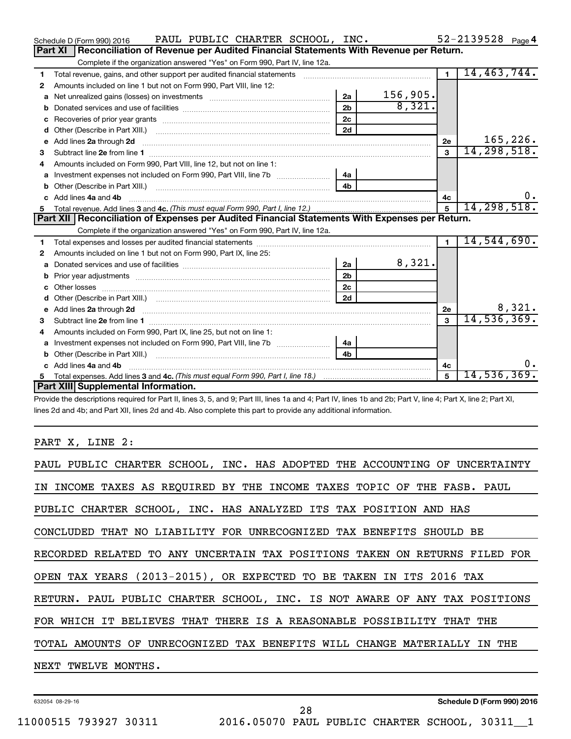|    | PAUL PUBLIC CHARTER SCHOOL, INC.<br>Schedule D (Form 990) 2016                                                                                                                                                                      |                |          |                | $52 - 2139528$ Page 4 |
|----|-------------------------------------------------------------------------------------------------------------------------------------------------------------------------------------------------------------------------------------|----------------|----------|----------------|-----------------------|
|    | Reconciliation of Revenue per Audited Financial Statements With Revenue per Return.<br>Part XI                                                                                                                                      |                |          |                |                       |
|    | Complete if the organization answered "Yes" on Form 990, Part IV, line 12a.                                                                                                                                                         |                |          |                |                       |
| 1  | Total revenue, gains, and other support per audited financial statements                                                                                                                                                            |                |          | $\overline{1}$ | 14,463,744.           |
| 2  | Amounts included on line 1 but not on Form 990, Part VIII, line 12:                                                                                                                                                                 |                |          |                |                       |
| a  |                                                                                                                                                                                                                                     | 2a             | 156,905. |                |                       |
| b  |                                                                                                                                                                                                                                     | 2 <sub>b</sub> | 8,321.   |                |                       |
| с  |                                                                                                                                                                                                                                     | 2 <sub>c</sub> |          |                |                       |
| d  |                                                                                                                                                                                                                                     | 2d             |          |                |                       |
| e  | Add lines 2a through 2d <b>contained a contained a contained a contained a</b> contained a contained a contained a contained a contained a contained a contained a contained a contained a contained a contained a contained a cont |                |          | 2е             | 165,226.              |
| 3  |                                                                                                                                                                                                                                     |                |          | 3              | 14, 298, 518.         |
| 4  | Amounts included on Form 990, Part VIII, line 12, but not on line 1:                                                                                                                                                                |                |          |                |                       |
|    |                                                                                                                                                                                                                                     | 4a             |          |                |                       |
| b  |                                                                                                                                                                                                                                     | 4 <sub>b</sub> |          |                |                       |
| c. | Add lines 4a and 4b                                                                                                                                                                                                                 |                |          | 4c             | $0$ .                 |
|    |                                                                                                                                                                                                                                     |                |          | 5              | 14, 298, 518.         |
|    |                                                                                                                                                                                                                                     |                |          |                |                       |
|    | Part XII   Reconciliation of Expenses per Audited Financial Statements With Expenses per Return.                                                                                                                                    |                |          |                |                       |
|    | Complete if the organization answered "Yes" on Form 990, Part IV, line 12a.                                                                                                                                                         |                |          |                |                       |
| 1  |                                                                                                                                                                                                                                     |                |          | $\blacksquare$ | 14,544,690.           |
| 2  | Amounts included on line 1 but not on Form 990, Part IX, line 25:                                                                                                                                                                   |                |          |                |                       |
| a  |                                                                                                                                                                                                                                     | 2a             | 8,321.   |                |                       |
| b  |                                                                                                                                                                                                                                     | 2 <sub>b</sub> |          |                |                       |
|    |                                                                                                                                                                                                                                     | 2 <sub>c</sub> |          |                |                       |
| d  |                                                                                                                                                                                                                                     | 2d             |          |                |                       |
| е  | Add lines 2a through 2d <b>contained a contained a contained a contained a</b> contained a contained a contained a contained a contact a contact a contact a contact a contact a contact a contact a contact a contact a contact a  |                |          | 2e             | 8,321.                |
| З  |                                                                                                                                                                                                                                     |                |          | 3              | 14, 536, 369.         |
| 4  | Amounts included on Form 990, Part IX, line 25, but not on line 1:                                                                                                                                                                  |                |          |                |                       |
| a  |                                                                                                                                                                                                                                     | 4a             |          |                |                       |
| b  |                                                                                                                                                                                                                                     | 4 <sub>b</sub> |          |                |                       |
| c. | Add lines 4a and 4b                                                                                                                                                                                                                 |                |          | 4c             | $0$ .                 |
|    | Part XIII Supplemental Information.                                                                                                                                                                                                 |                |          | 5              | 14,536,369.           |

Provide the descriptions required for Part II, lines 3, 5, and 9; Part III, lines 1a and 4; Part IV, lines 1b and 2b; Part V, line 4; Part X, line 2; Part XI, lines 2d and 4b; and Part XII, lines 2d and 4b. Also complete this part to provide any additional information.

# PART X, LINE 2:

| PAUL PUBLIC CHARTER SCHOOL, INC. HAS ADOPTED THE ACCOUNTING OF UNCERTAINTY |
|----------------------------------------------------------------------------|
| IN INCOME TAXES AS REQUIRED BY THE INCOME TAXES TOPIC OF THE FASB. PAUL    |
| PUBLIC CHARTER SCHOOL, INC. HAS ANALYZED ITS TAX POSITION AND HAS          |
| CONCLUDED THAT NO LIABILITY FOR UNRECOGNIZED TAX BENEFITS SHOULD BE        |
| RECORDED RELATED TO ANY UNCERTAIN TAX POSITIONS TAKEN ON RETURNS FILED FOR |
| OPEN TAX YEARS (2013-2015), OR EXPECTED TO BE TAKEN IN ITS 2016 TAX        |
| RETURN. PAUL PUBLIC CHARTER SCHOOL, INC. IS NOT AWARE OF ANY TAX POSITIONS |
| FOR WHICH IT BELIEVES THAT THERE IS A REASONABLE POSSIBILITY THAT THE      |
| TOTAL AMOUNTS OF UNRECOGNIZED TAX BENEFITS WILL CHANGE MATERIALLY IN THE   |
| NEXT TWELVE MONTHS.                                                        |
|                                                                            |

28

632054 08-29-16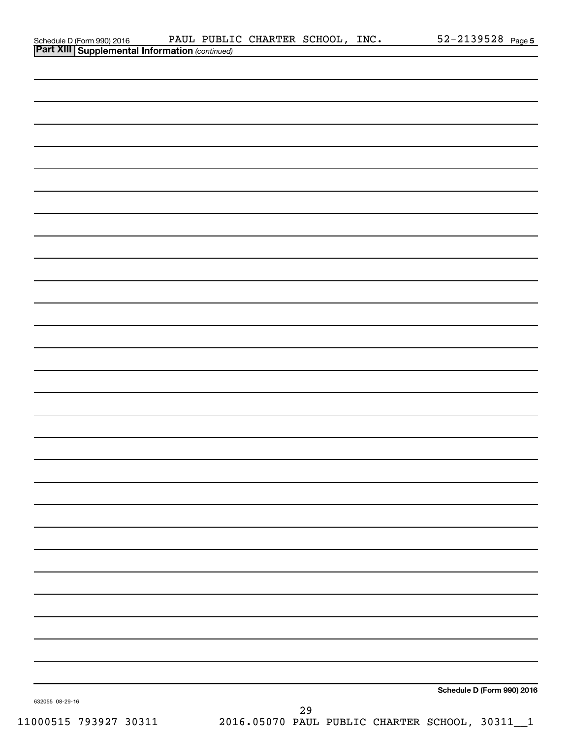|                 |                                       |  | PAUL PUBLIC CHARTER SCHOOL, INC. |    | $52 - 2139528$ Page 5      |
|-----------------|---------------------------------------|--|----------------------------------|----|----------------------------|
|                 | Schedule D (Form 990) 2016 PAUL PUBLI |  |                                  |    |                            |
|                 |                                       |  |                                  |    |                            |
|                 |                                       |  |                                  |    |                            |
|                 |                                       |  |                                  |    |                            |
|                 |                                       |  |                                  |    |                            |
|                 |                                       |  |                                  |    |                            |
|                 |                                       |  |                                  |    |                            |
|                 |                                       |  |                                  |    |                            |
|                 |                                       |  |                                  |    |                            |
|                 |                                       |  |                                  |    |                            |
|                 |                                       |  |                                  |    |                            |
|                 |                                       |  |                                  |    |                            |
|                 |                                       |  |                                  |    |                            |
|                 |                                       |  |                                  |    |                            |
|                 |                                       |  |                                  |    |                            |
|                 |                                       |  |                                  |    |                            |
|                 |                                       |  |                                  |    |                            |
|                 |                                       |  |                                  |    |                            |
|                 |                                       |  |                                  |    |                            |
|                 |                                       |  |                                  |    |                            |
|                 |                                       |  |                                  |    |                            |
|                 |                                       |  |                                  |    |                            |
|                 |                                       |  |                                  |    |                            |
|                 |                                       |  |                                  |    |                            |
|                 |                                       |  |                                  |    |                            |
|                 |                                       |  |                                  |    |                            |
|                 |                                       |  |                                  |    |                            |
|                 |                                       |  |                                  |    |                            |
|                 |                                       |  |                                  |    |                            |
|                 |                                       |  |                                  |    |                            |
|                 |                                       |  |                                  |    |                            |
|                 |                                       |  |                                  |    |                            |
|                 |                                       |  |                                  |    |                            |
|                 |                                       |  |                                  |    |                            |
|                 |                                       |  |                                  |    |                            |
|                 |                                       |  |                                  |    |                            |
|                 |                                       |  |                                  |    |                            |
|                 |                                       |  |                                  |    |                            |
|                 |                                       |  |                                  |    |                            |
|                 |                                       |  |                                  |    |                            |
|                 |                                       |  |                                  |    |                            |
|                 |                                       |  |                                  |    |                            |
|                 |                                       |  |                                  |    |                            |
|                 |                                       |  |                                  |    |                            |
|                 |                                       |  |                                  |    |                            |
|                 |                                       |  |                                  |    |                            |
|                 |                                       |  |                                  |    |                            |
|                 |                                       |  |                                  |    |                            |
|                 |                                       |  |                                  |    |                            |
|                 |                                       |  |                                  |    |                            |
|                 |                                       |  |                                  |    | Schedule D (Form 990) 2016 |
| 632055 08-29-16 |                                       |  |                                  |    |                            |
|                 |                                       |  |                                  | 29 |                            |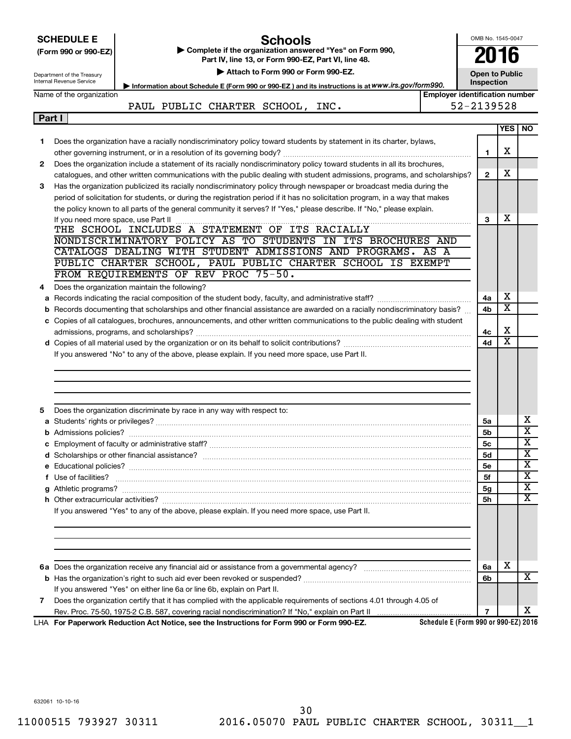|   | OMB No. 1545-0047<br><b>SCHEDULE E</b><br>Schools<br>Complete if the organization answered "Yes" on Form 990,<br>2016<br>(Form 990 or 990-EZ)<br>Part IV, line 13, or Form 990-EZ, Part VI, line 48.<br>Attach to Form 990 or Form 990-EZ.<br><b>Open to Public</b><br>Department of the Treasury<br>Internal Revenue Service |                                                                                                                                                                                                                                    |                                       |                |                         |                         |  |  |
|---|-------------------------------------------------------------------------------------------------------------------------------------------------------------------------------------------------------------------------------------------------------------------------------------------------------------------------------|------------------------------------------------------------------------------------------------------------------------------------------------------------------------------------------------------------------------------------|---------------------------------------|----------------|-------------------------|-------------------------|--|--|
|   |                                                                                                                                                                                                                                                                                                                               | Information about Schedule E (Form 990 or 990-EZ) and its instructions is at WWW.irs.gov/form990.                                                                                                                                  |                                       | Inspection     |                         |                         |  |  |
|   | Name of the organization                                                                                                                                                                                                                                                                                                      | PAUL PUBLIC CHARTER SCHOOL, INC.                                                                                                                                                                                                   | <b>Employer identification number</b> | 52-2139528     |                         |                         |  |  |
|   | Part I                                                                                                                                                                                                                                                                                                                        |                                                                                                                                                                                                                                    |                                       |                |                         |                         |  |  |
|   |                                                                                                                                                                                                                                                                                                                               |                                                                                                                                                                                                                                    |                                       |                | <b>YES</b>              | <b>NO</b>               |  |  |
| 1 |                                                                                                                                                                                                                                                                                                                               | Does the organization have a racially nondiscriminatory policy toward students by statement in its charter, bylaws,                                                                                                                |                                       |                |                         |                         |  |  |
|   |                                                                                                                                                                                                                                                                                                                               |                                                                                                                                                                                                                                    |                                       | 1              | х                       |                         |  |  |
| 2 |                                                                                                                                                                                                                                                                                                                               | Does the organization include a statement of its racially nondiscriminatory policy toward students in all its brochures,                                                                                                           |                                       |                |                         |                         |  |  |
|   |                                                                                                                                                                                                                                                                                                                               | catalogues, and other written communications with the public dealing with student admissions, programs, and scholarships?                                                                                                          |                                       | $\mathbf{2}$   | х                       |                         |  |  |
| 3 |                                                                                                                                                                                                                                                                                                                               | Has the organization publicized its racially nondiscriminatory policy through newspaper or broadcast media during the                                                                                                              |                                       |                |                         |                         |  |  |
|   |                                                                                                                                                                                                                                                                                                                               | period of solicitation for students, or during the registration period if it has no solicitation program, in a way that makes                                                                                                      |                                       |                |                         |                         |  |  |
|   |                                                                                                                                                                                                                                                                                                                               | the policy known to all parts of the general community it serves? If "Yes," please describe. If "No," please explain.                                                                                                              |                                       |                |                         |                         |  |  |
|   |                                                                                                                                                                                                                                                                                                                               |                                                                                                                                                                                                                                    |                                       | 3              | х                       |                         |  |  |
|   |                                                                                                                                                                                                                                                                                                                               | THE SCHOOL INCLUDES A STATEMENT OF ITS RACIALLY                                                                                                                                                                                    |                                       |                |                         |                         |  |  |
|   |                                                                                                                                                                                                                                                                                                                               | NONDISCRIMINATORY POLICY AS TO STUDENTS IN ITS BROCHURES AND<br>CATALOGS DEALING WITH STUDENT ADMISSIONS AND PROGRAMS. AS A                                                                                                        |                                       |                |                         |                         |  |  |
|   |                                                                                                                                                                                                                                                                                                                               | PUBLIC CHARTER SCHOOL, PAUL PUBLIC CHARTER SCHOOL IS EXEMPT                                                                                                                                                                        |                                       |                |                         |                         |  |  |
|   |                                                                                                                                                                                                                                                                                                                               | FROM REQUIREMENTS OF REV PROC 75-50.                                                                                                                                                                                               |                                       |                |                         |                         |  |  |
| 4 |                                                                                                                                                                                                                                                                                                                               | Does the organization maintain the following?                                                                                                                                                                                      |                                       |                |                         |                         |  |  |
|   |                                                                                                                                                                                                                                                                                                                               |                                                                                                                                                                                                                                    |                                       | 4a             | х                       |                         |  |  |
|   |                                                                                                                                                                                                                                                                                                                               | b Records documenting that scholarships and other financial assistance are awarded on a racially nondiscriminatory basis?                                                                                                          |                                       | 4b             | х                       |                         |  |  |
|   |                                                                                                                                                                                                                                                                                                                               | c Copies of all catalogues, brochures, announcements, and other written communications to the public dealing with student                                                                                                          |                                       |                |                         |                         |  |  |
|   |                                                                                                                                                                                                                                                                                                                               |                                                                                                                                                                                                                                    |                                       | 4с             | х                       |                         |  |  |
|   |                                                                                                                                                                                                                                                                                                                               |                                                                                                                                                                                                                                    |                                       | 4d             | $\overline{\textbf{x}}$ |                         |  |  |
|   |                                                                                                                                                                                                                                                                                                                               | If you answered "No" to any of the above, please explain. If you need more space, use Part II.                                                                                                                                     |                                       |                |                         |                         |  |  |
| 5 |                                                                                                                                                                                                                                                                                                                               | Does the organization discriminate by race in any way with respect to:                                                                                                                                                             |                                       |                |                         | х                       |  |  |
|   |                                                                                                                                                                                                                                                                                                                               |                                                                                                                                                                                                                                    |                                       | 5a<br>5b       |                         | $\overline{\text{x}}$   |  |  |
|   |                                                                                                                                                                                                                                                                                                                               |                                                                                                                                                                                                                                    |                                       | 5c             |                         | Δ,                      |  |  |
|   |                                                                                                                                                                                                                                                                                                                               |                                                                                                                                                                                                                                    |                                       | <b>5d</b>      |                         | $\overline{\textbf{x}}$ |  |  |
|   |                                                                                                                                                                                                                                                                                                                               |                                                                                                                                                                                                                                    |                                       | <b>5e</b>      |                         | X                       |  |  |
|   |                                                                                                                                                                                                                                                                                                                               | f Use of facilities? <b>www.communities.</b> We can be a series of the contract of the contract of the contract of the contract of the contract of the contract of the contract of the contract of the contract of the contract of |                                       | 5f             |                         | X                       |  |  |
|   |                                                                                                                                                                                                                                                                                                                               |                                                                                                                                                                                                                                    |                                       | 5g             |                         | $\overline{\textbf{x}}$ |  |  |
|   |                                                                                                                                                                                                                                                                                                                               |                                                                                                                                                                                                                                    |                                       | 5h             |                         | $\overline{\text{X}}$   |  |  |
|   |                                                                                                                                                                                                                                                                                                                               | If you answered "Yes" to any of the above, please explain. If you need more space, use Part II.                                                                                                                                    |                                       |                |                         |                         |  |  |
|   |                                                                                                                                                                                                                                                                                                                               |                                                                                                                                                                                                                                    |                                       |                |                         |                         |  |  |
|   |                                                                                                                                                                                                                                                                                                                               |                                                                                                                                                                                                                                    |                                       |                |                         |                         |  |  |
|   |                                                                                                                                                                                                                                                                                                                               |                                                                                                                                                                                                                                    |                                       | 6a             | х                       | x                       |  |  |
|   |                                                                                                                                                                                                                                                                                                                               |                                                                                                                                                                                                                                    |                                       | 6b             |                         |                         |  |  |
|   |                                                                                                                                                                                                                                                                                                                               | If you answered "Yes" on either line 6a or line 6b, explain on Part II.                                                                                                                                                            |                                       |                |                         |                         |  |  |
| 7 |                                                                                                                                                                                                                                                                                                                               | Does the organization certify that it has complied with the applicable requirements of sections 4.01 through 4.05 of                                                                                                               |                                       | $\overline{7}$ |                         | x                       |  |  |
|   |                                                                                                                                                                                                                                                                                                                               | LHA For Paperwork Reduction Act Notice, see the Instructions for Form 990 or Form 990-EZ.                                                                                                                                          | Schedule E (Form 990 or 990-EZ) 2016  |                |                         |                         |  |  |

632061 10-10-16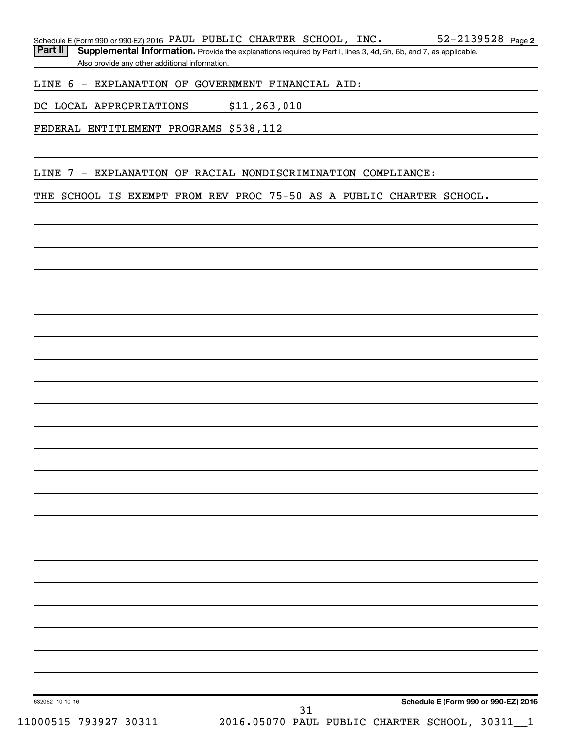Part II | Supplemental Information. Provide the explanations required by Part I, lines 3, 4d, 5h, 6b, and 7, as applicable. Also provide any other additional information.

LINE 6 - EXPLANATION OF GOVERNMENT FINANCIAL AID:

DC LOCAL APPROPRIATIONS \$11,263,010

FEDERAL ENTITLEMENT PROGRAMS \$538,112

LINE 7 - EXPLANATION OF RACIAL NONDISCRIMINATION COMPLIANCE:

THE SCHOOL IS EXEMPT FROM REV PROC 75-50 AS A PUBLIC CHARTER SCHOOL.

31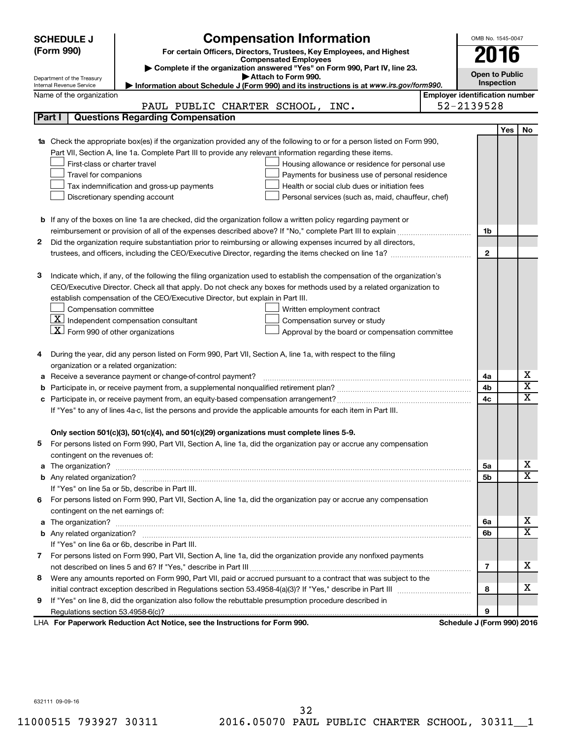|   | <b>SCHEDULE J</b>                                      | <b>Compensation Information</b>                                                                                                                                                                               |                                       | OMB No. 1545-0047          |     |                              |  |
|---|--------------------------------------------------------|---------------------------------------------------------------------------------------------------------------------------------------------------------------------------------------------------------------|---------------------------------------|----------------------------|-----|------------------------------|--|
|   | (Form 990)                                             | For certain Officers, Directors, Trustees, Key Employees, and Highest                                                                                                                                         |                                       |                            |     |                              |  |
|   |                                                        | <b>Compensated Employees</b>                                                                                                                                                                                  |                                       | 2016                       |     |                              |  |
|   |                                                        | Complete if the organization answered "Yes" on Form 990, Part IV, line 23.<br>Attach to Form 990.                                                                                                             |                                       | <b>Open to Public</b>      |     |                              |  |
|   | Department of the Treasury<br>Internal Revenue Service | Information about Schedule J (Form 990) and its instructions is at www.irs.gov/form990.                                                                                                                       |                                       | Inspection                 |     |                              |  |
|   | Name of the organization                               |                                                                                                                                                                                                               | <b>Employer identification number</b> |                            |     |                              |  |
|   |                                                        | PAUL PUBLIC CHARTER SCHOOL, INC.                                                                                                                                                                              |                                       | 52-2139528                 |     |                              |  |
|   | Part I                                                 | <b>Questions Regarding Compensation</b>                                                                                                                                                                       |                                       |                            |     |                              |  |
|   |                                                        |                                                                                                                                                                                                               |                                       |                            | Yes | No                           |  |
|   |                                                        | Check the appropriate box(es) if the organization provided any of the following to or for a person listed on Form 990,                                                                                        |                                       |                            |     |                              |  |
|   |                                                        | Part VII, Section A, line 1a. Complete Part III to provide any relevant information regarding these items.                                                                                                    |                                       |                            |     |                              |  |
|   | First-class or charter travel                          | Housing allowance or residence for personal use                                                                                                                                                               |                                       |                            |     |                              |  |
|   | Travel for companions                                  | Payments for business use of personal residence                                                                                                                                                               |                                       |                            |     |                              |  |
|   |                                                        | Health or social club dues or initiation fees<br>Tax indemnification and gross-up payments                                                                                                                    |                                       |                            |     |                              |  |
|   |                                                        | Discretionary spending account<br>Personal services (such as, maid, chauffeur, chef)                                                                                                                          |                                       |                            |     |                              |  |
|   |                                                        |                                                                                                                                                                                                               |                                       |                            |     |                              |  |
|   |                                                        | <b>b</b> If any of the boxes on line 1a are checked, did the organization follow a written policy regarding payment or                                                                                        |                                       |                            |     |                              |  |
|   |                                                        |                                                                                                                                                                                                               |                                       |                            |     |                              |  |
| 2 |                                                        | Did the organization require substantiation prior to reimbursing or allowing expenses incurred by all directors,                                                                                              |                                       |                            |     |                              |  |
|   |                                                        |                                                                                                                                                                                                               |                                       | $\mathbf{2}$               |     |                              |  |
|   |                                                        |                                                                                                                                                                                                               |                                       |                            |     |                              |  |
| з |                                                        | Indicate which, if any, of the following the filing organization used to establish the compensation of the organization's                                                                                     |                                       |                            |     |                              |  |
|   |                                                        | CEO/Executive Director. Check all that apply. Do not check any boxes for methods used by a related organization to                                                                                            |                                       |                            |     |                              |  |
|   |                                                        | establish compensation of the CEO/Executive Director, but explain in Part III.                                                                                                                                |                                       |                            |     |                              |  |
|   | Compensation committee                                 | Written employment contract                                                                                                                                                                                   |                                       |                            |     |                              |  |
|   |                                                        | $ \underline{\mathbf{X}} $ Independent compensation consultant<br>Compensation survey or study                                                                                                                |                                       |                            |     |                              |  |
|   | $ \mathbf{X} $ Form 990 of other organizations         | Approval by the board or compensation committee                                                                                                                                                               |                                       |                            |     |                              |  |
|   |                                                        |                                                                                                                                                                                                               |                                       |                            |     |                              |  |
| 4 |                                                        | During the year, did any person listed on Form 990, Part VII, Section A, line 1a, with respect to the filing                                                                                                  |                                       |                            |     |                              |  |
|   | organization or a related organization:                |                                                                                                                                                                                                               |                                       |                            |     |                              |  |
| а |                                                        | Receive a severance payment or change-of-control payment?                                                                                                                                                     |                                       | 4a                         |     | х<br>$\overline{\textbf{x}}$ |  |
| b |                                                        |                                                                                                                                                                                                               |                                       | 4b                         |     | $\mathbf x$                  |  |
|   |                                                        |                                                                                                                                                                                                               |                                       | 4c                         |     |                              |  |
|   |                                                        | If "Yes" to any of lines 4a-c, list the persons and provide the applicable amounts for each item in Part III.                                                                                                 |                                       |                            |     |                              |  |
|   |                                                        |                                                                                                                                                                                                               |                                       |                            |     |                              |  |
|   |                                                        | Only section 501(c)(3), 501(c)(4), and 501(c)(29) organizations must complete lines 5-9.<br>For persons listed on Form 990, Part VII, Section A, line 1a, did the organization pay or accrue any compensation |                                       |                            |     |                              |  |
|   | contingent on the revenues of:                         |                                                                                                                                                                                                               |                                       |                            |     |                              |  |
| a |                                                        |                                                                                                                                                                                                               |                                       | 5a                         |     | x                            |  |
|   |                                                        |                                                                                                                                                                                                               |                                       | 5b                         |     | X                            |  |
|   |                                                        | If "Yes" on line 5a or 5b, describe in Part III.                                                                                                                                                              |                                       |                            |     |                              |  |
|   |                                                        | 6 For persons listed on Form 990, Part VII, Section A, line 1a, did the organization pay or accrue any compensation                                                                                           |                                       |                            |     |                              |  |
|   | contingent on the net earnings of:                     |                                                                                                                                                                                                               |                                       |                            |     |                              |  |
| a |                                                        |                                                                                                                                                                                                               |                                       | 6a                         |     | x                            |  |
|   |                                                        |                                                                                                                                                                                                               |                                       | 6b                         |     | $\overline{\mathbf{X}}$      |  |
|   |                                                        | If "Yes" on line 6a or 6b, describe in Part III.                                                                                                                                                              |                                       |                            |     |                              |  |
|   |                                                        | 7 For persons listed on Form 990, Part VII, Section A, line 1a, did the organization provide any nonfixed payments                                                                                            |                                       |                            |     |                              |  |
|   |                                                        |                                                                                                                                                                                                               |                                       | 7                          |     | x                            |  |
| 8 |                                                        | Were any amounts reported on Form 990, Part VII, paid or accrued pursuant to a contract that was subject to the                                                                                               |                                       |                            |     |                              |  |
|   |                                                        |                                                                                                                                                                                                               |                                       | 8                          |     | x                            |  |
| 9 |                                                        | If "Yes" on line 8, did the organization also follow the rebuttable presumption procedure described in                                                                                                        |                                       |                            |     |                              |  |
|   |                                                        |                                                                                                                                                                                                               |                                       | 9                          |     |                              |  |
|   |                                                        | LHA For Paperwork Reduction Act Notice, see the Instructions for Form 990.                                                                                                                                    |                                       | Schedule J (Form 990) 2016 |     |                              |  |

632111 09-09-16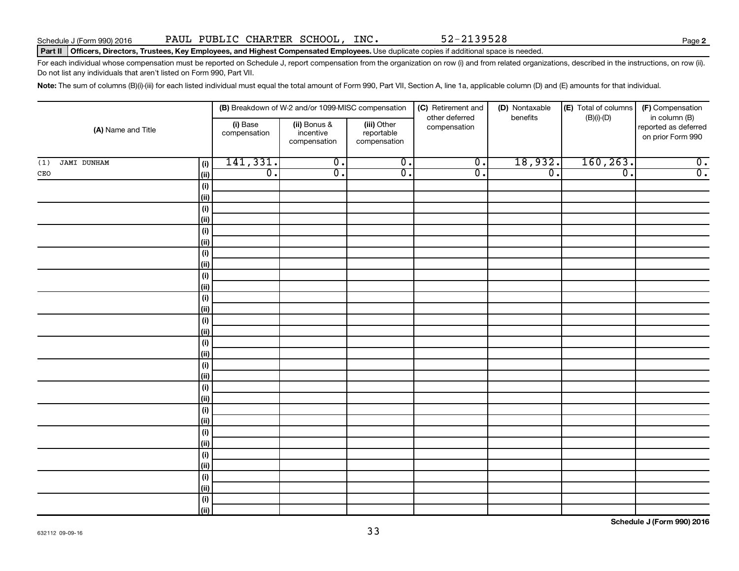**2**

#### Part II | Officers, Directors, Trustees, Key Employees, and Highest Compensated Employees. Use duplicate copies if additional space is needed.

For each individual whose compensation must be reported on Schedule J, report compensation from the organization on row (i) and from related organizations, described in the instructions, on row (ii). Do not list any individuals that aren't listed on Form 990, Part VII.

Note: The sum of columns (B)(i)-(iii) for each listed individual must equal the total amount of Form 990, Part VII, Section A, line 1a, applicable column (D) and (E) amounts for that individual.

| (A) Name and Title        |             |                          | (B) Breakdown of W-2 and/or 1099-MISC compensation |                                           | (C) Retirement and<br>other deferred | (D) Nontaxable<br>benefits | (E) Total of columns<br>$(B)(i)-(D)$ | (F) Compensation<br>in column (B)         |
|---------------------------|-------------|--------------------------|----------------------------------------------------|-------------------------------------------|--------------------------------------|----------------------------|--------------------------------------|-------------------------------------------|
|                           |             | (i) Base<br>compensation | (ii) Bonus &<br>incentive<br>compensation          | (iii) Other<br>reportable<br>compensation | compensation                         |                            |                                      | reported as deferred<br>on prior Form 990 |
| <b>JAMI DUNHAM</b><br>(1) | (i)         | 141,331.                 | $\overline{0}$ .                                   | $\overline{0}$ .                          | $\overline{\mathfrak{o}}$ .          | 18,932.                    | 160, 263.                            | $\overline{0}$ .                          |
| CEO                       | (ii)        | $\overline{0}$ .         | $\overline{0}$ .                                   | $\overline{0}$ .                          | $\overline{0}$ .                     | $\overline{0}$ .           | $\overline{\mathfrak{o}}$ .          | $\overline{0}$ .                          |
|                           | $(\sf{i})$  |                          |                                                    |                                           |                                      |                            |                                      |                                           |
|                           | (ii)        |                          |                                                    |                                           |                                      |                            |                                      |                                           |
|                           | $(\sf{i})$  |                          |                                                    |                                           |                                      |                            |                                      |                                           |
|                           | (ii)        |                          |                                                    |                                           |                                      |                            |                                      |                                           |
|                           | $(\sf{i})$  |                          |                                                    |                                           |                                      |                            |                                      |                                           |
|                           | (ii)        |                          |                                                    |                                           |                                      |                            |                                      |                                           |
|                           | $(\sf{i})$  |                          |                                                    |                                           |                                      |                            |                                      |                                           |
|                           | (ii)        |                          |                                                    |                                           |                                      |                            |                                      |                                           |
|                           | $(\sf{i})$  |                          |                                                    |                                           |                                      |                            |                                      |                                           |
|                           | (ii)        |                          |                                                    |                                           |                                      |                            |                                      |                                           |
|                           | $(\sf{i})$  |                          |                                                    |                                           |                                      |                            |                                      |                                           |
|                           | (ii)        |                          |                                                    |                                           |                                      |                            |                                      |                                           |
|                           | (i)         |                          |                                                    |                                           |                                      |                            |                                      |                                           |
|                           | (ii)        |                          |                                                    |                                           |                                      |                            |                                      |                                           |
|                           | (i)<br>(ii) |                          |                                                    |                                           |                                      |                            |                                      |                                           |
|                           | (i)         |                          |                                                    |                                           |                                      |                            |                                      |                                           |
|                           | (ii)        |                          |                                                    |                                           |                                      |                            |                                      |                                           |
|                           | $(\sf{i})$  |                          |                                                    |                                           |                                      |                            |                                      |                                           |
|                           | (ii)        |                          |                                                    |                                           |                                      |                            |                                      |                                           |
|                           | $(\sf{i})$  |                          |                                                    |                                           |                                      |                            |                                      |                                           |
|                           | (ii)        |                          |                                                    |                                           |                                      |                            |                                      |                                           |
|                           | $(\sf{i})$  |                          |                                                    |                                           |                                      |                            |                                      |                                           |
|                           | (ii)        |                          |                                                    |                                           |                                      |                            |                                      |                                           |
|                           | $(\sf{i})$  |                          |                                                    |                                           |                                      |                            |                                      |                                           |
|                           | (ii)        |                          |                                                    |                                           |                                      |                            |                                      |                                           |
|                           | $(\sf{i})$  |                          |                                                    |                                           |                                      |                            |                                      |                                           |
|                           | (ii)        |                          |                                                    |                                           |                                      |                            |                                      |                                           |
|                           | $(\sf{i})$  |                          |                                                    |                                           |                                      |                            |                                      |                                           |
|                           | (ii)        |                          |                                                    |                                           |                                      |                            |                                      |                                           |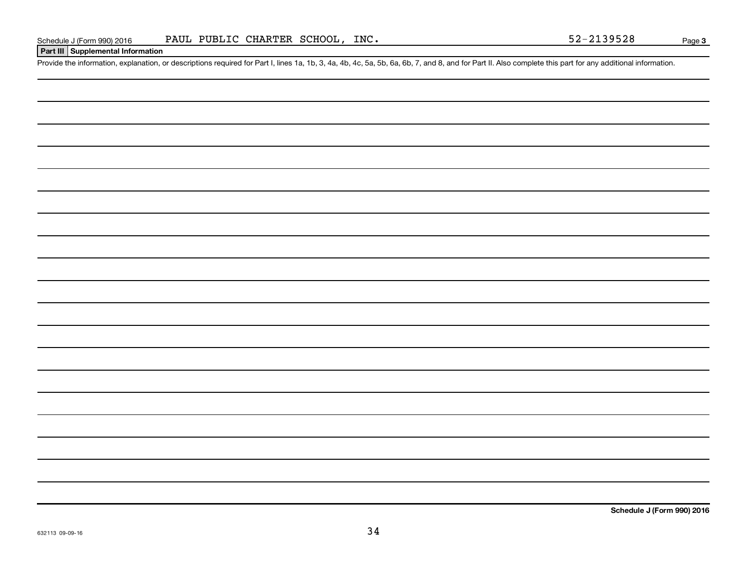# **Part III Supplemental Information**

Provide the information, explanation, or descriptions required for Part I, lines 1a, 1b, 3, 4a, 4b, 4c, 5a, 5b, 6a, 6b, 7, and 8, and for Part II. Also complete this part for any additional information.

**Schedule J (Form 990) 2016**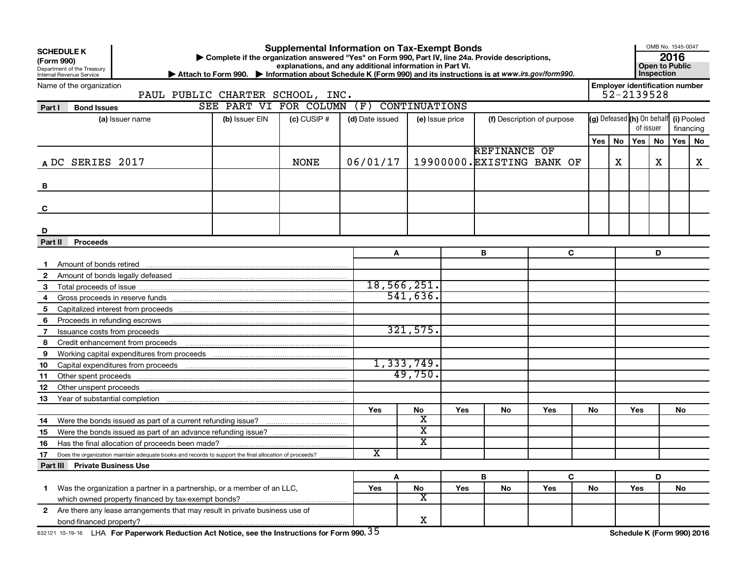| (Form 990)       | <b>Supplemental Information on Tax-Exempt Bonds</b><br><b>SCHEDULE K</b><br>Complete if the organization answered "Yes" on Form 990, Part IV, line 24a. Provide descriptions,<br>explanations, and any additional information in Part VI.<br>Department of the Treasury<br>Attach to Form 990. Information about Schedule K (Form 990) and its instructions is at www.irs.gov/form990.<br>Internal Revenue Service<br>Name of the organization |                                                                                                        |                                          |                 |                 |                             |                 |                            |     |           |                                                     |                            |                         |          | OMB No. 1545-0047<br>Open to Public |
|------------------|------------------------------------------------------------------------------------------------------------------------------------------------------------------------------------------------------------------------------------------------------------------------------------------------------------------------------------------------------------------------------------------------------------------------------------------------|--------------------------------------------------------------------------------------------------------|------------------------------------------|-----------------|-----------------|-----------------------------|-----------------|----------------------------|-----|-----------|-----------------------------------------------------|----------------------------|-------------------------|----------|-------------------------------------|
|                  |                                                                                                                                                                                                                                                                                                                                                                                                                                                | PAUL PUBLIC CHARTER SCHOOL, INC.                                                                       |                                          |                 |                 |                             |                 |                            |     |           | <b>Employer identification number</b><br>52-2139528 |                            |                         |          |                                     |
| Part I           | <b>Bond Issues</b>                                                                                                                                                                                                                                                                                                                                                                                                                             |                                                                                                        | SEE PART VI FOR COLUMN (F) CONTINUATIONS |                 |                 |                             |                 |                            |     |           |                                                     |                            |                         |          |                                     |
|                  |                                                                                                                                                                                                                                                                                                                                                                                                                                                | (a) Issuer name                                                                                        | (b) Issuer EIN                           | $(c)$ CUSIP $#$ | (d) Date issued |                             | (e) Issue price | (f) Description of purpose |     |           | (g) Defeased (h) On behalf<br>of issuer             |                            | (i) Pooled<br>financing |          |                                     |
|                  |                                                                                                                                                                                                                                                                                                                                                                                                                                                |                                                                                                        |                                          |                 |                 |                             |                 |                            |     | Yes l     | No                                                  | Yes   No                   |                         | Yes   No |                                     |
|                  |                                                                                                                                                                                                                                                                                                                                                                                                                                                |                                                                                                        |                                          |                 |                 |                             |                 | <b>REFINANCE OF</b>        |     |           |                                                     |                            |                         |          |                                     |
| A DC SERIES 2017 |                                                                                                                                                                                                                                                                                                                                                                                                                                                |                                                                                                        |                                          | <b>NONE</b>     | 06/01/17        |                             |                 | 19900000. EXISTING BANK OF |     |           | X.                                                  |                            | X                       |          | X                                   |
| В                |                                                                                                                                                                                                                                                                                                                                                                                                                                                |                                                                                                        |                                          |                 |                 |                             |                 |                            |     |           |                                                     |                            |                         |          |                                     |
| C                |                                                                                                                                                                                                                                                                                                                                                                                                                                                |                                                                                                        |                                          |                 |                 |                             |                 |                            |     |           |                                                     |                            |                         |          |                                     |
|                  |                                                                                                                                                                                                                                                                                                                                                                                                                                                |                                                                                                        |                                          |                 |                 |                             |                 |                            |     |           |                                                     |                            |                         |          |                                     |
| D                |                                                                                                                                                                                                                                                                                                                                                                                                                                                |                                                                                                        |                                          |                 |                 |                             |                 |                            |     |           |                                                     |                            |                         |          |                                     |
| Part II          | <b>Proceeds</b>                                                                                                                                                                                                                                                                                                                                                                                                                                |                                                                                                        |                                          |                 |                 |                             |                 |                            |     |           |                                                     |                            |                         |          |                                     |
|                  |                                                                                                                                                                                                                                                                                                                                                                                                                                                |                                                                                                        |                                          |                 | A               |                             |                 | В                          | C   |           |                                                     |                            | D                       |          |                                     |
|                  |                                                                                                                                                                                                                                                                                                                                                                                                                                                | Amount of bonds retired <b>contained</b> and account of the contact of bonds retired                   |                                          |                 |                 |                             |                 |                            |     |           |                                                     |                            |                         |          |                                     |
| $\mathbf{2}$     |                                                                                                                                                                                                                                                                                                                                                                                                                                                |                                                                                                        |                                          |                 |                 | 18,566,251.                 |                 |                            |     |           |                                                     |                            |                         |          |                                     |
| 3                |                                                                                                                                                                                                                                                                                                                                                                                                                                                |                                                                                                        |                                          |                 |                 | 541,636.                    |                 |                            |     |           |                                                     |                            |                         |          |                                     |
| 4                |                                                                                                                                                                                                                                                                                                                                                                                                                                                |                                                                                                        |                                          |                 |                 |                             |                 |                            |     |           |                                                     |                            |                         |          |                                     |
| 5                |                                                                                                                                                                                                                                                                                                                                                                                                                                                |                                                                                                        |                                          |                 |                 |                             |                 |                            |     |           |                                                     |                            |                         |          |                                     |
| 6                |                                                                                                                                                                                                                                                                                                                                                                                                                                                | Proceeds in refunding escrows <b>contained and the contained and all proceeds</b> in refunding escrows |                                          |                 |                 | 321,575.                    |                 |                            |     |           |                                                     |                            |                         |          |                                     |
| 7                |                                                                                                                                                                                                                                                                                                                                                                                                                                                |                                                                                                        |                                          |                 |                 |                             |                 |                            |     |           |                                                     |                            |                         |          |                                     |
| 8                |                                                                                                                                                                                                                                                                                                                                                                                                                                                | Credit enhancement from proceeds                                                                       |                                          |                 |                 |                             |                 |                            |     |           |                                                     |                            |                         |          |                                     |
| 9                |                                                                                                                                                                                                                                                                                                                                                                                                                                                |                                                                                                        |                                          |                 |                 | 1,333,749.                  |                 |                            |     |           |                                                     |                            |                         |          |                                     |
| 10               |                                                                                                                                                                                                                                                                                                                                                                                                                                                |                                                                                                        |                                          |                 |                 | 49,750.                     |                 |                            |     |           |                                                     |                            |                         |          |                                     |
| 11<br>12         | Other spent proceeds                                                                                                                                                                                                                                                                                                                                                                                                                           |                                                                                                        |                                          |                 |                 |                             |                 |                            |     |           |                                                     |                            |                         |          |                                     |
| 13               |                                                                                                                                                                                                                                                                                                                                                                                                                                                |                                                                                                        |                                          |                 |                 |                             |                 |                            |     |           |                                                     |                            |                         |          |                                     |
|                  |                                                                                                                                                                                                                                                                                                                                                                                                                                                |                                                                                                        |                                          |                 | Yes             | No                          | Yes             | No                         | Yes | <b>No</b> |                                                     | Yes                        |                         | No.      |                                     |
| 14               |                                                                                                                                                                                                                                                                                                                                                                                                                                                |                                                                                                        |                                          |                 |                 | x                           |                 |                            |     |           |                                                     |                            |                         |          |                                     |
| 15               |                                                                                                                                                                                                                                                                                                                                                                                                                                                |                                                                                                        |                                          |                 |                 | $\overline{\textbf{x}}$     |                 |                            |     |           |                                                     |                            |                         |          |                                     |
| 16               |                                                                                                                                                                                                                                                                                                                                                                                                                                                |                                                                                                        |                                          |                 |                 | X                           |                 |                            |     |           |                                                     |                            |                         |          |                                     |
| 17               |                                                                                                                                                                                                                                                                                                                                                                                                                                                | Does the organization maintain adequate books and records to support the final allocation of proceeds? |                                          |                 | X               |                             |                 |                            |     |           |                                                     |                            |                         |          |                                     |
|                  | Part III Private Business Use                                                                                                                                                                                                                                                                                                                                                                                                                  |                                                                                                        |                                          |                 |                 |                             |                 |                            |     |           |                                                     |                            |                         |          |                                     |
|                  |                                                                                                                                                                                                                                                                                                                                                                                                                                                |                                                                                                        |                                          |                 | A               |                             |                 | В                          | C   |           |                                                     |                            | D                       |          |                                     |
| $\mathbf 1$      |                                                                                                                                                                                                                                                                                                                                                                                                                                                | Was the organization a partner in a partnership, or a member of an LLC,                                |                                          |                 | Yes             | No                          | Yes             | No                         | Yes | No        |                                                     | Yes                        |                         | No       |                                     |
|                  |                                                                                                                                                                                                                                                                                                                                                                                                                                                |                                                                                                        |                                          |                 |                 | $\overline{\textnormal{x}}$ |                 |                            |     |           |                                                     |                            |                         |          |                                     |
|                  |                                                                                                                                                                                                                                                                                                                                                                                                                                                | 2 Are there any lease arrangements that may result in private business use of                          |                                          |                 |                 |                             |                 |                            |     |           |                                                     |                            |                         |          |                                     |
|                  |                                                                                                                                                                                                                                                                                                                                                                                                                                                |                                                                                                        |                                          |                 |                 | X                           |                 |                            |     |           |                                                     |                            |                         |          |                                     |
|                  |                                                                                                                                                                                                                                                                                                                                                                                                                                                | 632121 10-19-16 LHA For Paperwork Reduction Act Notice, see the Instructions for Form 990. 35          |                                          |                 |                 |                             |                 |                            |     |           |                                                     | Schedule K (Form 990) 2016 |                         |          |                                     |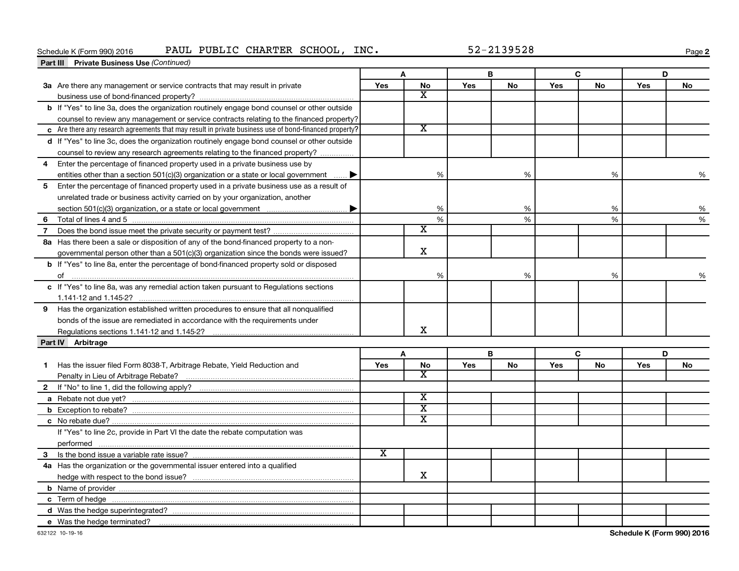# Schedule K (Form 990) 2016 PAUL PUBLIC CHARTER SCHOOL, INC. 52-2139528

**2**

|                | <b>Part III</b> Private Business Use (Continued)                                                       |                             |                         |            |           |            |    |     |    |
|----------------|--------------------------------------------------------------------------------------------------------|-----------------------------|-------------------------|------------|-----------|------------|----|-----|----|
|                |                                                                                                        |                             | A                       |            | В         |            | C  |     | D  |
|                | 3a Are there any management or service contracts that may result in private                            | Yes                         | <b>No</b>               | Yes        | <b>No</b> | Yes        | No | Yes | No |
|                |                                                                                                        |                             | x                       |            |           |            |    |     |    |
|                | b If "Yes" to line 3a, does the organization routinely engage bond counsel or other outside            |                             |                         |            |           |            |    |     |    |
|                | counsel to review any management or service contracts relating to the financed property?               |                             |                         |            |           |            |    |     |    |
|                | c Are there any research agreements that may result in private business use of bond-financed property? |                             | $\overline{\texttt{x}}$ |            |           |            |    |     |    |
|                | d If "Yes" to line 3c, does the organization routinely engage bond counsel or other outside            |                             |                         |            |           |            |    |     |    |
|                | counsel to review any research agreements relating to the financed property?                           |                             |                         |            |           |            |    |     |    |
| 4              | Enter the percentage of financed property used in a private business use by                            |                             |                         |            |           |            |    |     |    |
|                | entities other than a section 501(c)(3) organization or a state or local government $\ldots$           |                             | %                       |            | %         |            | %  |     | %  |
| 5              | Enter the percentage of financed property used in a private business use as a result of                |                             |                         |            |           |            |    |     |    |
|                | unrelated trade or business activity carried on by your organization, another                          |                             |                         |            |           |            |    |     |    |
|                |                                                                                                        |                             | %                       |            | %         |            | %  |     | %  |
| 6              |                                                                                                        |                             | $\%$                    |            | %         |            | %  |     | %  |
| $\overline{7}$ |                                                                                                        |                             | х                       |            |           |            |    |     |    |
|                | 8a Has there been a sale or disposition of any of the bond-financed property to a non-                 |                             |                         |            |           |            |    |     |    |
|                | governmental person other than a 501(c)(3) organization since the bonds were issued?                   |                             | X                       |            |           |            |    |     |    |
|                | b If "Yes" to line 8a, enter the percentage of bond-financed property sold or disposed                 |                             |                         |            |           |            |    |     |    |
|                |                                                                                                        |                             | $\%$                    |            | %         |            | %  |     | %  |
|                | c If "Yes" to line 8a, was any remedial action taken pursuant to Regulations sections                  |                             |                         |            |           |            |    |     |    |
|                |                                                                                                        |                             |                         |            |           |            |    |     |    |
|                | 9 Has the organization established written procedures to ensure that all nonqualified                  |                             |                         |            |           |            |    |     |    |
|                | bonds of the issue are remediated in accordance with the requirements under                            |                             |                         |            |           |            |    |     |    |
|                |                                                                                                        |                             | x                       |            |           |            |    |     |    |
|                | Part IV Arbitrage                                                                                      |                             |                         |            |           |            |    |     |    |
|                |                                                                                                        |                             | A                       |            | В         |            | C  |     | D  |
| 1              | Has the issuer filed Form 8038-T, Arbitrage Rebate, Yield Reduction and                                | Yes                         | No                      | <b>Yes</b> | No        | <b>Yes</b> | No | Yes | No |
|                |                                                                                                        |                             | x                       |            |           |            |    |     |    |
|                |                                                                                                        |                             |                         |            |           |            |    |     |    |
|                |                                                                                                        |                             | $\overline{\textbf{x}}$ |            |           |            |    |     |    |
|                |                                                                                                        |                             | $\overline{\text{x}}$   |            |           |            |    |     |    |
|                |                                                                                                        |                             | $\overline{\text{x}}$   |            |           |            |    |     |    |
|                | If "Yes" to line 2c, provide in Part VI the date the rebate computation was                            |                             |                         |            |           |            |    |     |    |
|                | performed                                                                                              |                             |                         |            |           |            |    |     |    |
|                |                                                                                                        | $\overline{\textnormal{x}}$ |                         |            |           |            |    |     |    |
|                | 4a Has the organization or the governmental issuer entered into a qualified                            |                             |                         |            |           |            |    |     |    |
|                |                                                                                                        |                             | x                       |            |           |            |    |     |    |
|                |                                                                                                        |                             |                         |            |           |            |    |     |    |
|                |                                                                                                        |                             |                         |            |           |            |    |     |    |
|                |                                                                                                        |                             |                         |            |           |            |    |     |    |
|                | e Was the hedge terminated?                                                                            |                             |                         |            |           |            |    |     |    |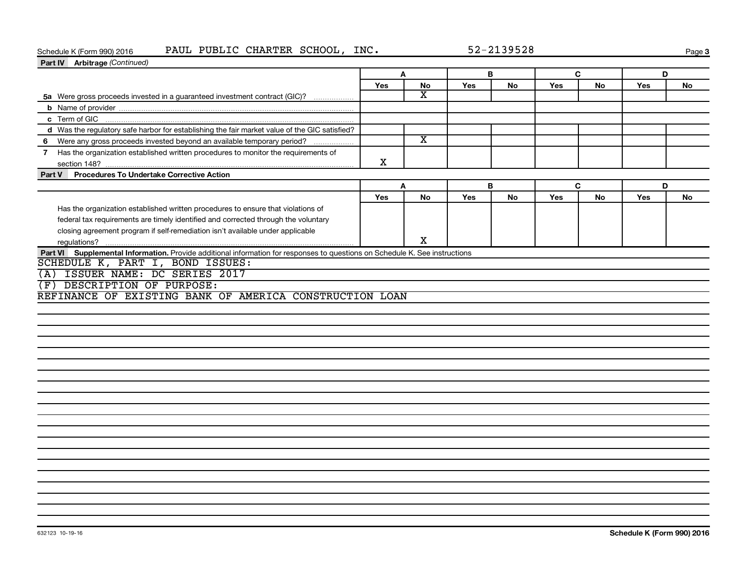# Schedule K (Form 990) 2016 PAUL PUBLIC CHARTER SCHOOL, INC. 52-2139528

**Page 3** 

| Part IV Arbitrage (Continued)                                                                                               |     |                         |            |           |     |           |     |           |
|-----------------------------------------------------------------------------------------------------------------------------|-----|-------------------------|------------|-----------|-----|-----------|-----|-----------|
|                                                                                                                             |     | A                       |            | B         |     | C         | D   |           |
|                                                                                                                             | Yes | No                      | <b>Yes</b> | No        | Yes | No        | Yes | No        |
| 5a Were gross proceeds invested in a guaranteed investment contract (GIC)?                                                  |     | $\overline{\mathbf{X}}$ |            |           |     |           |     |           |
|                                                                                                                             |     |                         |            |           |     |           |     |           |
| c Term of GIC                                                                                                               |     |                         |            |           |     |           |     |           |
| d Was the regulatory safe harbor for establishing the fair market value of the GIC satisfied?                               |     |                         |            |           |     |           |     |           |
| 6 Were any gross proceeds invested beyond an available temporary period?                                                    |     | $\overline{\texttt{x}}$ |            |           |     |           |     |           |
| 7 Has the organization established written procedures to monitor the requirements of                                        | X   |                         |            |           |     |           |     |           |
| Procedures To Undertake Corrective Action<br>Part V                                                                         |     |                         |            |           |     |           |     |           |
|                                                                                                                             |     | A                       |            | B.        |     | C.        | D   |           |
|                                                                                                                             | Yes | <b>No</b>               | <b>Yes</b> | <b>No</b> | Yes | <b>No</b> | Yes | <b>No</b> |
| Has the organization established written procedures to ensure that violations of                                            |     |                         |            |           |     |           |     |           |
| federal tax requirements are timely identified and corrected through the voluntary                                          |     |                         |            |           |     |           |     |           |
| closing agreement program if self-remediation isn't available under applicable                                              |     |                         |            |           |     |           |     |           |
| regulations?                                                                                                                |     | X                       |            |           |     |           |     |           |
| Part VI Supplemental Information. Provide additional information for responses to questions on Schedule K. See instructions |     |                         |            |           |     |           |     |           |
| SCHEDULE K, PART I, BOND ISSUES:                                                                                            |     |                         |            |           |     |           |     |           |
| ISSUER NAME: DC SERIES 2017<br>(A)                                                                                          |     |                         |            |           |     |           |     |           |
| DESCRIPTION OF PURPOSE:<br>(F)                                                                                              |     |                         |            |           |     |           |     |           |
| REFINANCE OF EXISTING BANK OF AMERICA CONSTRUCTION LOAN                                                                     |     |                         |            |           |     |           |     |           |
|                                                                                                                             |     |                         |            |           |     |           |     |           |
|                                                                                                                             |     |                         |            |           |     |           |     |           |
|                                                                                                                             |     |                         |            |           |     |           |     |           |
|                                                                                                                             |     |                         |            |           |     |           |     |           |
|                                                                                                                             |     |                         |            |           |     |           |     |           |
|                                                                                                                             |     |                         |            |           |     |           |     |           |
|                                                                                                                             |     |                         |            |           |     |           |     |           |
|                                                                                                                             |     |                         |            |           |     |           |     |           |
|                                                                                                                             |     |                         |            |           |     |           |     |           |
|                                                                                                                             |     |                         |            |           |     |           |     |           |
|                                                                                                                             |     |                         |            |           |     |           |     |           |
|                                                                                                                             |     |                         |            |           |     |           |     |           |
|                                                                                                                             |     |                         |            |           |     |           |     |           |
|                                                                                                                             |     |                         |            |           |     |           |     |           |
|                                                                                                                             |     |                         |            |           |     |           |     |           |
|                                                                                                                             |     |                         |            |           |     |           |     |           |
|                                                                                                                             |     |                         |            |           |     |           |     |           |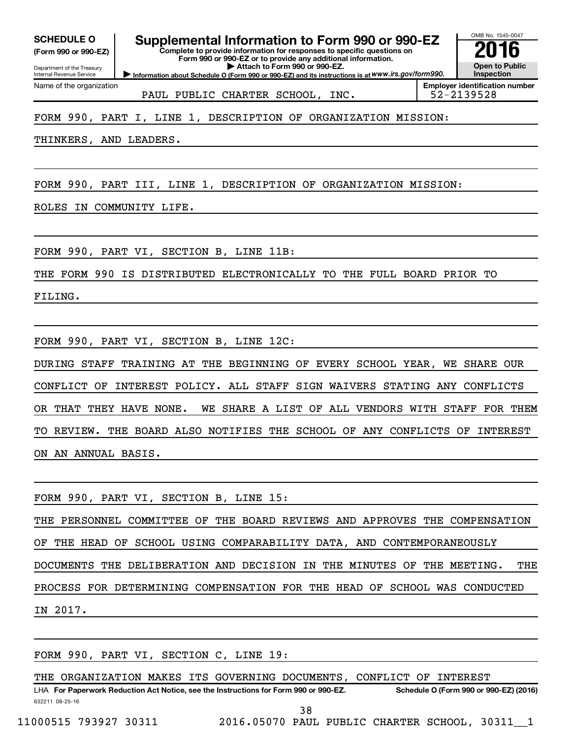**(Form 990 or 990-EZ)**

Name of the organization

Department of the Treasury Internal Revenue Service

**Form 990 or 990-EZ or to provide any additional information. | Attach to Form 990 or 990-EZ.**

**Complete to provide information for responses to specific questions on**

**Information about Schedule O (Form 990 or 990-EZ) and its instructions is at WWW.irs.gov/form990.** 

OMB No. 1545-0047 **Open to Public Inspection** SCHEDULE O **Supplemental Information to Form 990 or 990-EZ 2016**<br>(Form 990 or 990-EZ) Complete to provide information for responses to specific questions on

PAUL PUBLIC CHARTER SCHOOL, INC. | 52-2139528

**Employer identification number**

# FORM 990, PART I, LINE 1, DESCRIPTION OF ORGANIZATION MISSION:

THINKERS, AND LEADERS.

FORM 990, PART III, LINE 1, DESCRIPTION OF ORGANIZATION MISSION:

ROLES IN COMMUNITY LIFE.

FORM 990, PART VI, SECTION B, LINE 11B:

THE FORM 990 IS DISTRIBUTED ELECTRONICALLY TO THE FULL BOARD PRIOR TO

FILING.

FORM 990, PART VI, SECTION B, LINE 12C:

DURING STAFF TRAINING AT THE BEGINNING OF EVERY SCHOOL YEAR, WE SHARE OUR CONFLICT OF INTEREST POLICY. ALL STAFF SIGN WAIVERS STATING ANY CONFLICTS OR THAT THEY HAVE NONE. WE SHARE A LIST OF ALL VENDORS WITH STAFF FOR THEM TO REVIEW. THE BOARD ALSO NOTIFIES THE SCHOOL OF ANY CONFLICTS OF INTEREST ON AN ANNUAL BASIS.

FORM 990, PART VI, SECTION B, LINE 15: THE PERSONNEL COMMITTEE OF THE BOARD REVIEWS AND APPROVES THE COMPENSATION OF THE HEAD OF SCHOOL USING COMPARABILITY DATA, AND CONTEMPORANEOUSLY DOCUMENTS THE DELIBERATION AND DECISION IN THE MINUTES OF THE MEETING. THE PROCESS FOR DETERMINING COMPENSATION FOR THE HEAD OF SCHOOL WAS CONDUCTED IN 2017.

FORM 990, PART VI, SECTION C, LINE 19:

THE ORGANIZATION MAKES ITS GOVERNING DOCUMENTS, CONFLICT OF INTEREST

632211 08-25-16 LHA For Paperwork Reduction Act Notice, see the Instructions for Form 990 or 990-EZ. Schedule O (Form 990 or 990-EZ) (2016) 38